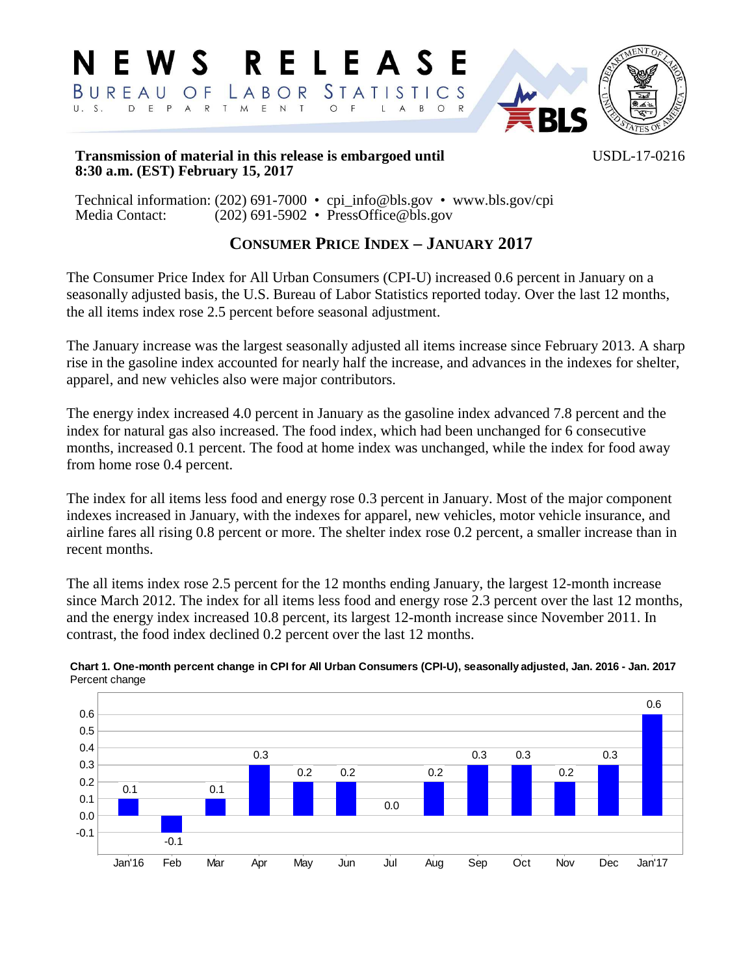

#### **Transmission of material in this release is embargoed until** USDL-17-0216 **8:30 a.m. (EST) February 15, 2017**

Technical information: (202) 691-7000 • cpi info@bls.gov • www.bls.gov/cpi Media Contact: (202) 691-5902 • PressOffice@bls.gov

## **CONSUMER PRICE INDEX – JANUARY 2017**

The Consumer Price Index for All Urban Consumers (CPI-U) increased 0.6 percent in January on a seasonally adjusted basis, the U.S. Bureau of Labor Statistics reported today. Over the last 12 months, the all items index rose 2.5 percent before seasonal adjustment.

The January increase was the largest seasonally adjusted all items increase since February 2013. A sharp rise in the gasoline index accounted for nearly half the increase, and advances in the indexes for shelter, apparel, and new vehicles also were major contributors.

The energy index increased 4.0 percent in January as the gasoline index advanced 7.8 percent and the index for natural gas also increased. The food index, which had been unchanged for 6 consecutive months, increased 0.1 percent. The food at home index was unchanged, while the index for food away from home rose 0.4 percent.

The index for all items less food and energy rose 0.3 percent in January. Most of the major component indexes increased in January, with the indexes for apparel, new vehicles, motor vehicle insurance, and airline fares all rising 0.8 percent or more. The shelter index rose 0.2 percent, a smaller increase than in recent months.

The all items index rose 2.5 percent for the 12 months ending January, the largest 12-month increase since March 2012. The index for all items less food and energy rose 2.3 percent over the last 12 months, and the energy index increased 10.8 percent, its largest 12-month increase since November 2011. In contrast, the food index declined 0.2 percent over the last 12 months.



#### **Chart 1. One-month percent change in CPI for All Urban Consumers (CPI-U), seasonally adjusted, Jan. 2016 - Jan. 2017** Percent change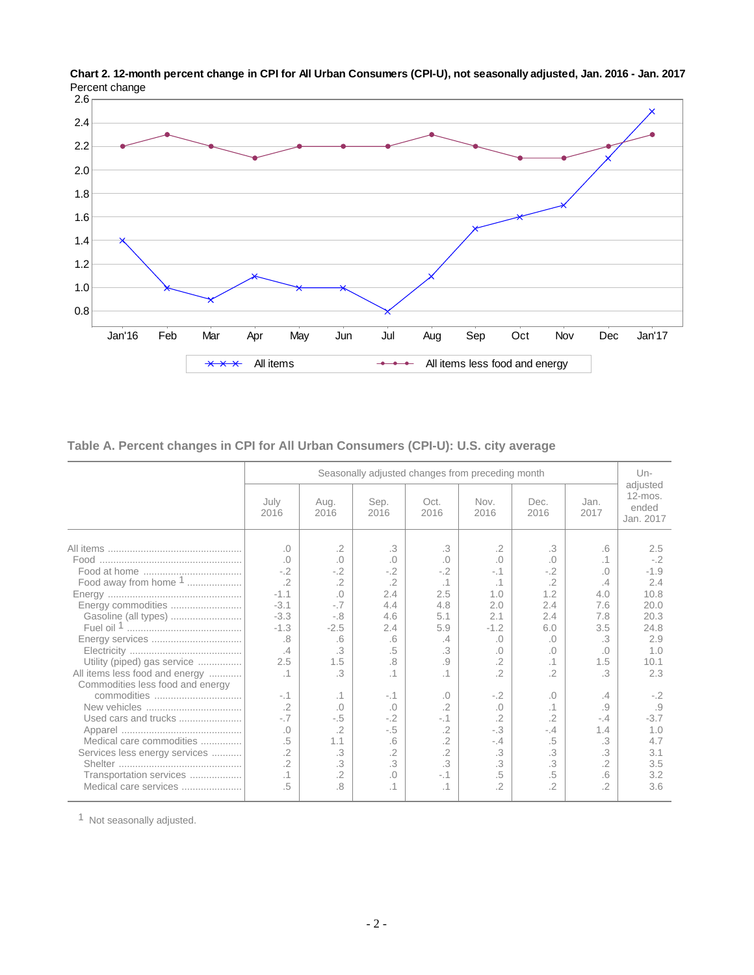

**Chart 2. 12-month percent change in CPI for All Urban Consumers (CPI-U), not seasonally adjusted, Jan. 2016 - Jan. 2017** Percent change

### **Table A. Percent changes in CPI for All Urban Consumers (CPI-U): U.S. city average**

|                                                                                                                                                                                                                                                                                                                              |                                                                                                                                                                                                                    | Seasonally adjusted changes from preceding month                                                                                                                        |                                                                                                                                                                 |                                                                                                                                                          |                                                                                                                                                                                                                         |                                                                                                                                                                           |                                                                                                                                         |                                                                                                                                                               |
|------------------------------------------------------------------------------------------------------------------------------------------------------------------------------------------------------------------------------------------------------------------------------------------------------------------------------|--------------------------------------------------------------------------------------------------------------------------------------------------------------------------------------------------------------------|-------------------------------------------------------------------------------------------------------------------------------------------------------------------------|-----------------------------------------------------------------------------------------------------------------------------------------------------------------|----------------------------------------------------------------------------------------------------------------------------------------------------------|-------------------------------------------------------------------------------------------------------------------------------------------------------------------------------------------------------------------------|---------------------------------------------------------------------------------------------------------------------------------------------------------------------------|-----------------------------------------------------------------------------------------------------------------------------------------|---------------------------------------------------------------------------------------------------------------------------------------------------------------|
|                                                                                                                                                                                                                                                                                                                              | July<br>2016                                                                                                                                                                                                       | Aug.<br>2016                                                                                                                                                            | Sep.<br>2016                                                                                                                                                    | Oct.<br>2016                                                                                                                                             | Nov.<br>2016                                                                                                                                                                                                            | Dec.<br>2016                                                                                                                                                              | Jan.<br>2017                                                                                                                            | adjusted<br>$12$ -mos.<br>ended<br>Jan. 2017                                                                                                                  |
| Food away from home <sup>1</sup><br>Energy commodities<br>Gasoline (all types)<br>Utility (piped) gas service<br>All items less food and energy<br>Commodities less food and energy<br>Used cars and trucks<br>Medical care commodities<br>Services less energy services<br>Transportation services<br>Medical care services | .0<br>.0<br>$-.2$<br>$\cdot$ .2<br>$-1.1$<br>$-3.1$<br>$-3.3$<br>$-1.3$<br>.8<br>$.4\,$<br>2.5<br>$\cdot$ 1<br>$-.1$<br>$.2\overline{ }$<br>$-7$<br>$\Omega$<br>.5<br>$\overline{2}$<br>$\overline{2}$<br>.1<br>.5 | $.2\overline{ }$<br>.0<br>$-.2$<br>$.2\overline{ }$<br>.0<br>$-7$<br>$-.8$<br>$-2.5$<br>.6<br>.3<br>1.5<br>.3<br>.1<br>.0<br>$-.5$<br>.2<br>1.1<br>.3<br>.3<br>.2<br>.8 | .3<br>.0<br>$-.2$<br>$.2\overline{ }$<br>2.4<br>4.4<br>4.6<br>2.4<br>.6<br>.5<br>.8<br>$\cdot$ 1<br>$-.1$<br>.0<br>$-.2$<br>$-.5$<br>.6<br>.2<br>.3<br>.0<br>.1 | .3<br>.0<br>$-.2$<br>.1<br>2.5<br>4.8<br>5.1<br>5.9<br>.4<br>.3<br>$\cdot$ 9.<br>.0<br>.2<br>$-.1$<br>.2<br>.2<br>$\cdot$ .2<br>.3<br>$-.1$<br>$\cdot$ 1 | $.2\overline{ }$<br>$\Omega$<br>$-.1$<br>.1<br>1.0<br>2.0<br>2.1<br>$-1.2$<br>.0<br>$\Omega$ .<br>$\cdot$ .2<br>$\overline{2}$<br>$-.2$<br>$\Omega$ .<br>$.2\overline{)}$<br>$-.3$<br>$-.4$<br>.3<br>.3<br>.5<br>$.2\,$ | .3<br>.0<br>$-.2$<br>.2<br>1.2<br>2.4<br>2.4<br>6.0<br>.0<br>.0<br>$\cdot$ 1<br>$\overline{2}$<br>.0<br>.1<br>$.2\overline{ }$<br>$-.4$<br>.5<br>.3<br>.3<br>.5<br>$.2\,$ | .6<br>.1<br>.0<br>.4<br>4.0<br>7.6<br>7.8<br>3.5<br>.3<br>.0<br>1.5<br>.3<br>.4<br>.9<br>$-.4$<br>1.4<br>.3<br>.3<br>.2<br>.6<br>$.2\,$ | 2.5<br>$-.2$<br>$-1.9$<br>2.4<br>10.8<br>20.0<br>20.3<br>24.8<br>2.9<br>1.0<br>10.1<br>2.3<br>$-.2$<br>.9<br>$-3.7$<br>1.0<br>4.7<br>3.1<br>3.5<br>3.2<br>3.6 |

1 Not seasonally adjusted.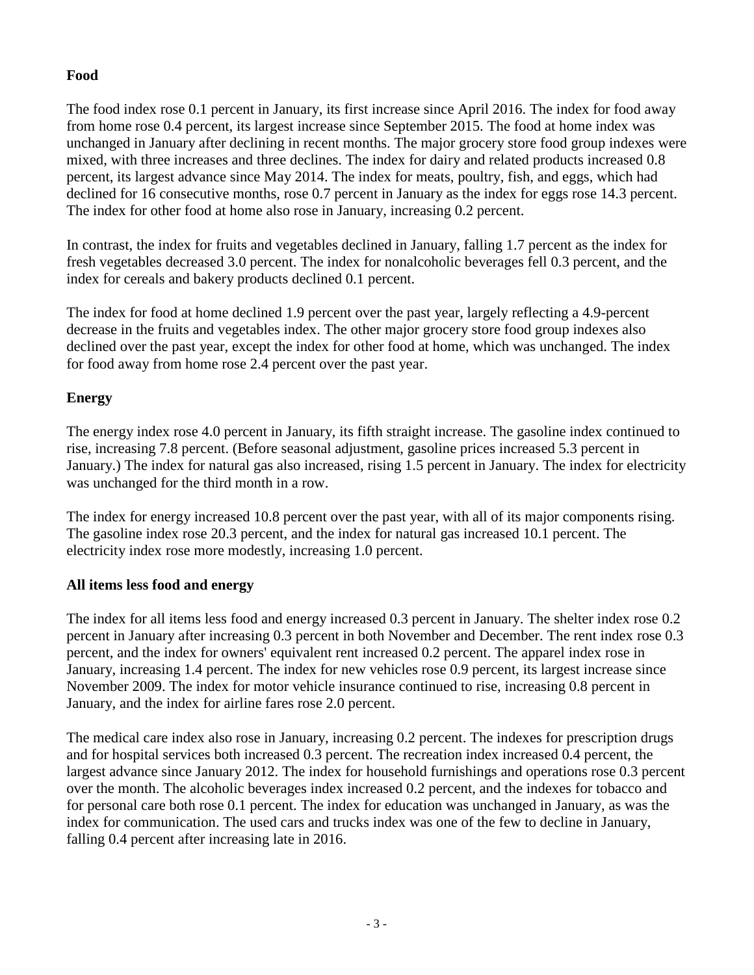## **Food**

The food index rose 0.1 percent in January, its first increase since April 2016. The index for food away from home rose 0.4 percent, its largest increase since September 2015. The food at home index was unchanged in January after declining in recent months. The major grocery store food group indexes were mixed, with three increases and three declines. The index for dairy and related products increased 0.8 percent, its largest advance since May 2014. The index for meats, poultry, fish, and eggs, which had declined for 16 consecutive months, rose 0.7 percent in January as the index for eggs rose 14.3 percent. The index for other food at home also rose in January, increasing 0.2 percent.

In contrast, the index for fruits and vegetables declined in January, falling 1.7 percent as the index for fresh vegetables decreased 3.0 percent. The index for nonalcoholic beverages fell 0.3 percent, and the index for cereals and bakery products declined 0.1 percent.

The index for food at home declined 1.9 percent over the past year, largely reflecting a 4.9-percent decrease in the fruits and vegetables index. The other major grocery store food group indexes also declined over the past year, except the index for other food at home, which was unchanged. The index for food away from home rose 2.4 percent over the past year.

## **Energy**

The energy index rose 4.0 percent in January, its fifth straight increase. The gasoline index continued to rise, increasing 7.8 percent. (Before seasonal adjustment, gasoline prices increased 5.3 percent in January.) The index for natural gas also increased, rising 1.5 percent in January. The index for electricity was unchanged for the third month in a row.

The index for energy increased 10.8 percent over the past year, with all of its major components rising. The gasoline index rose 20.3 percent, and the index for natural gas increased 10.1 percent. The electricity index rose more modestly, increasing 1.0 percent.

## **All items less food and energy**

The index for all items less food and energy increased 0.3 percent in January. The shelter index rose 0.2 percent in January after increasing 0.3 percent in both November and December. The rent index rose 0.3 percent, and the index for owners' equivalent rent increased 0.2 percent. The apparel index rose in January, increasing 1.4 percent. The index for new vehicles rose 0.9 percent, its largest increase since November 2009. The index for motor vehicle insurance continued to rise, increasing 0.8 percent in January, and the index for airline fares rose 2.0 percent.

The medical care index also rose in January, increasing 0.2 percent. The indexes for prescription drugs and for hospital services both increased 0.3 percent. The recreation index increased 0.4 percent, the largest advance since January 2012. The index for household furnishings and operations rose 0.3 percent over the month. The alcoholic beverages index increased 0.2 percent, and the indexes for tobacco and for personal care both rose 0.1 percent. The index for education was unchanged in January, as was the index for communication. The used cars and trucks index was one of the few to decline in January, falling 0.4 percent after increasing late in 2016.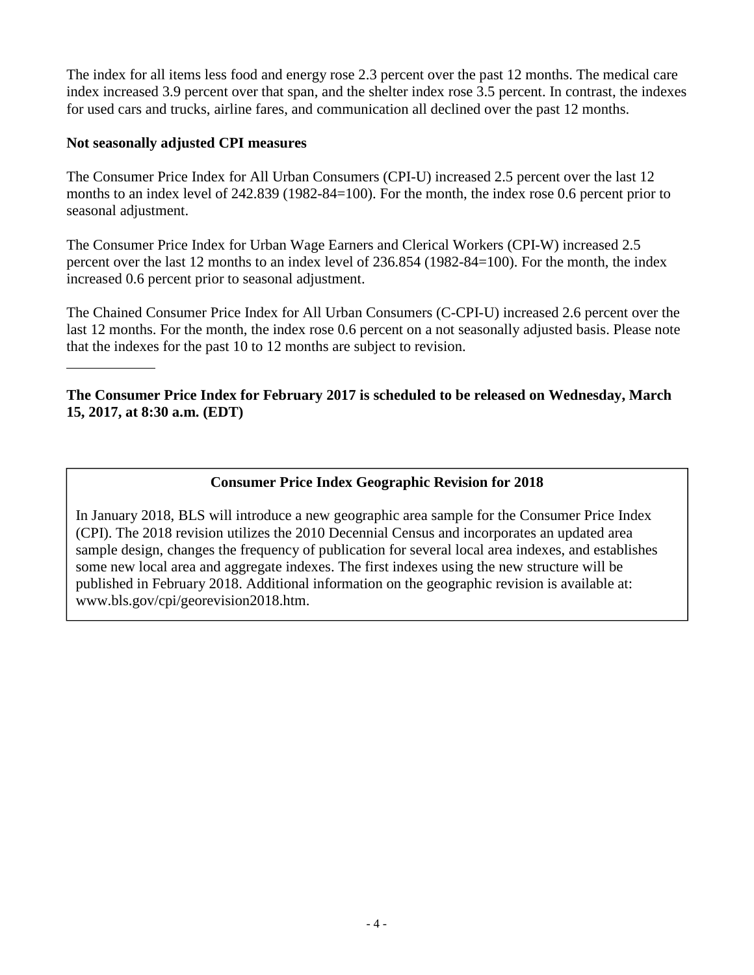The index for all items less food and energy rose 2.3 percent over the past 12 months. The medical care index increased 3.9 percent over that span, and the shelter index rose 3.5 percent. In contrast, the indexes for used cars and trucks, airline fares, and communication all declined over the past 12 months.

### **Not seasonally adjusted CPI measures**

 $\overline{a}$ 

The Consumer Price Index for All Urban Consumers (CPI-U) increased 2.5 percent over the last 12 months to an index level of 242.839 (1982-84=100). For the month, the index rose 0.6 percent prior to seasonal adjustment.

The Consumer Price Index for Urban Wage Earners and Clerical Workers (CPI-W) increased 2.5 percent over the last 12 months to an index level of 236.854 (1982-84=100). For the month, the index increased 0.6 percent prior to seasonal adjustment.

The Chained Consumer Price Index for All Urban Consumers (C-CPI-U) increased 2.6 percent over the last 12 months. For the month, the index rose 0.6 percent on a not seasonally adjusted basis. Please note that the indexes for the past 10 to 12 months are subject to revision.

## **The Consumer Price Index for February 2017 is scheduled to be released on Wednesday, March 15, 2017, at 8:30 a.m. (EDT)**

### **Consumer Price Index Geographic Revision for 2018**

In January 2018, BLS will introduce a new geographic area sample for the Consumer Price Index (CPI). The 2018 revision utilizes the 2010 Decennial Census and incorporates an updated area sample design, changes the frequency of publication for several local area indexes, and establishes some new local area and aggregate indexes. The first indexes using the new structure will be published in February 2018. Additional information on the geographic revision is available at: www.bls.gov/cpi/georevision2018.htm.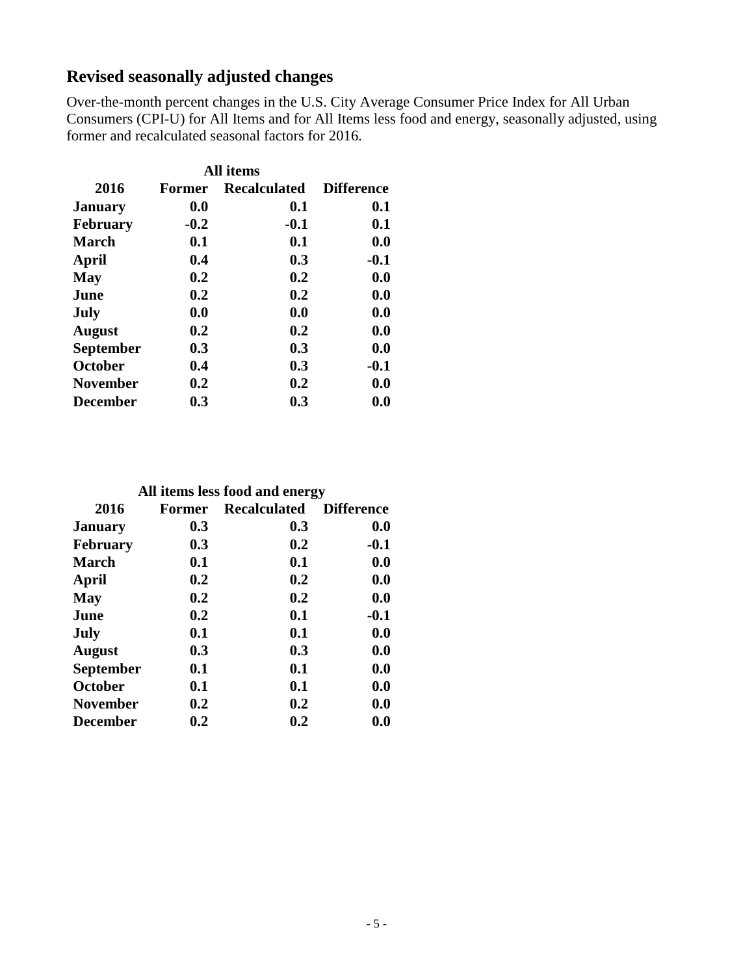## **Revised seasonally adjusted changes**

Over-the-month percent changes in the U.S. City Average Consumer Price Index for All Urban Consumers (CPI-U) for All Items and for All Items less food and energy, seasonally adjusted, using former and recalculated seasonal factors for 2016.

| All items        |        |                     |                   |  |  |  |  |  |  |
|------------------|--------|---------------------|-------------------|--|--|--|--|--|--|
| 2016             | Former | <b>Recalculated</b> | <b>Difference</b> |  |  |  |  |  |  |
| <b>January</b>   | 0.0    | 0.1                 | 0.1               |  |  |  |  |  |  |
| <b>February</b>  | $-0.2$ | $-0.1$              | 0.1               |  |  |  |  |  |  |
| <b>March</b>     | 0.1    | 0.1                 | 0.0               |  |  |  |  |  |  |
| April            | 0.4    | 0.3                 | $-0.1$            |  |  |  |  |  |  |
| <b>May</b>       | 0.2    | 0.2                 | 0.0               |  |  |  |  |  |  |
| June             | 0.2    | 0.2                 | 0.0               |  |  |  |  |  |  |
| July             | 0.0    | 0.0                 | 0.0               |  |  |  |  |  |  |
| <b>August</b>    | 0.2    | 0.2                 | 0.0               |  |  |  |  |  |  |
| <b>September</b> | 0.3    | 0.3                 | 0.0               |  |  |  |  |  |  |
| <b>October</b>   | 0.4    | 0.3                 | $-0.1$            |  |  |  |  |  |  |
| <b>November</b>  | 0.2    | 0.2                 | 0.0               |  |  |  |  |  |  |
| <b>December</b>  | 0.3    | 0.3                 | 0.0               |  |  |  |  |  |  |

|  |  | All items less food and energy |
|--|--|--------------------------------|
|  |  |                                |

| 2016            | <b>Former</b> | <b>Recalculated</b> | <b>Difference</b> |
|-----------------|---------------|---------------------|-------------------|
| <b>January</b>  | 0.3           | 0.3                 | 0.0               |
| <b>February</b> | 0.3           | 0.2                 | $-0.1$            |
| <b>March</b>    | 0.1           | 0.1                 | 0.0               |
| April           | 0.2           | 0.2                 | 0.0               |
| <b>May</b>      | 0.2           | 0.2                 | 0.0               |
| June            | 0.2           | 0.1                 | $-0.1$            |
| July            | 0.1           | 0.1                 | 0.0               |
| <b>August</b>   | 0.3           | 0.3                 | 0.0               |
| September       | 0.1           | 0.1                 | 0.0               |
| October         | 0.1           | 0.1                 | 0.0               |
| <b>November</b> | 0.2           | 0.2                 | 0.0               |
| <b>December</b> | 0.2           | 0.2                 | 0.0               |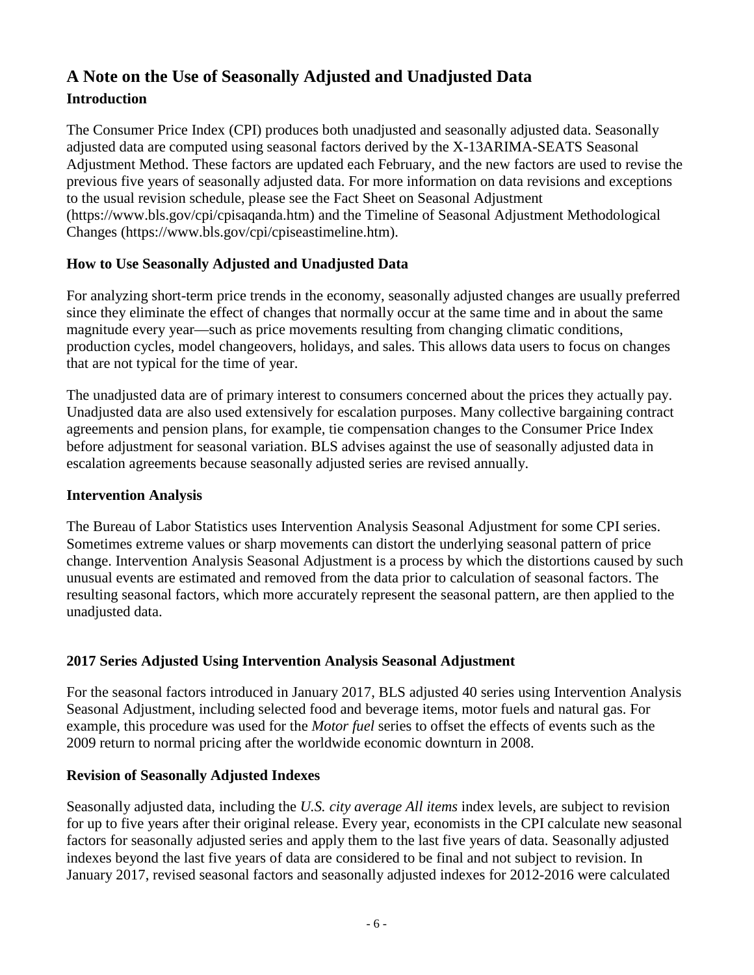# **A Note on the Use of Seasonally Adjusted and Unadjusted Data Introduction**

The Consumer Price Index (CPI) produces both unadjusted and seasonally adjusted data. Seasonally adjusted data are computed using seasonal factors derived by the X-13ARIMA-SEATS Seasonal Adjustment Method. These factors are updated each February, and the new factors are used to revise the previous five years of seasonally adjusted data. For more information on data revisions and exceptions to the usual revision schedule, please see the Fact Sheet on Seasonal Adjustment (https://www.bls.gov/cpi/cpisaqanda.htm) and the Timeline of Seasonal Adjustment Methodological Changes (https://www.bls.gov/cpi/cpiseastimeline.htm).

## **How to Use Seasonally Adjusted and Unadjusted Data**

For analyzing short-term price trends in the economy, seasonally adjusted changes are usually preferred since they eliminate the effect of changes that normally occur at the same time and in about the same magnitude every year—such as price movements resulting from changing climatic conditions, production cycles, model changeovers, holidays, and sales. This allows data users to focus on changes that are not typical for the time of year.

The unadjusted data are of primary interest to consumers concerned about the prices they actually pay. Unadjusted data are also used extensively for escalation purposes. Many collective bargaining contract agreements and pension plans, for example, tie compensation changes to the Consumer Price Index before adjustment for seasonal variation. BLS advises against the use of seasonally adjusted data in escalation agreements because seasonally adjusted series are revised annually.

### **Intervention Analysis**

The Bureau of Labor Statistics uses Intervention Analysis Seasonal Adjustment for some CPI series. Sometimes extreme values or sharp movements can distort the underlying seasonal pattern of price change. Intervention Analysis Seasonal Adjustment is a process by which the distortions caused by such unusual events are estimated and removed from the data prior to calculation of seasonal factors. The resulting seasonal factors, which more accurately represent the seasonal pattern, are then applied to the unadjusted data.

### **2017 Series Adjusted Using Intervention Analysis Seasonal Adjustment**

For the seasonal factors introduced in January 2017, BLS adjusted 40 series using Intervention Analysis Seasonal Adjustment, including selected food and beverage items, motor fuels and natural gas. For example, this procedure was used for the *Motor fuel* series to offset the effects of events such as the 2009 return to normal pricing after the worldwide economic downturn in 2008.

### **Revision of Seasonally Adjusted Indexes**

Seasonally adjusted data, including the *U.S. city average All items* index levels, are subject to revision for up to five years after their original release. Every year, economists in the CPI calculate new seasonal factors for seasonally adjusted series and apply them to the last five years of data. Seasonally adjusted indexes beyond the last five years of data are considered to be final and not subject to revision. In January 2017, revised seasonal factors and seasonally adjusted indexes for 2012-2016 were calculated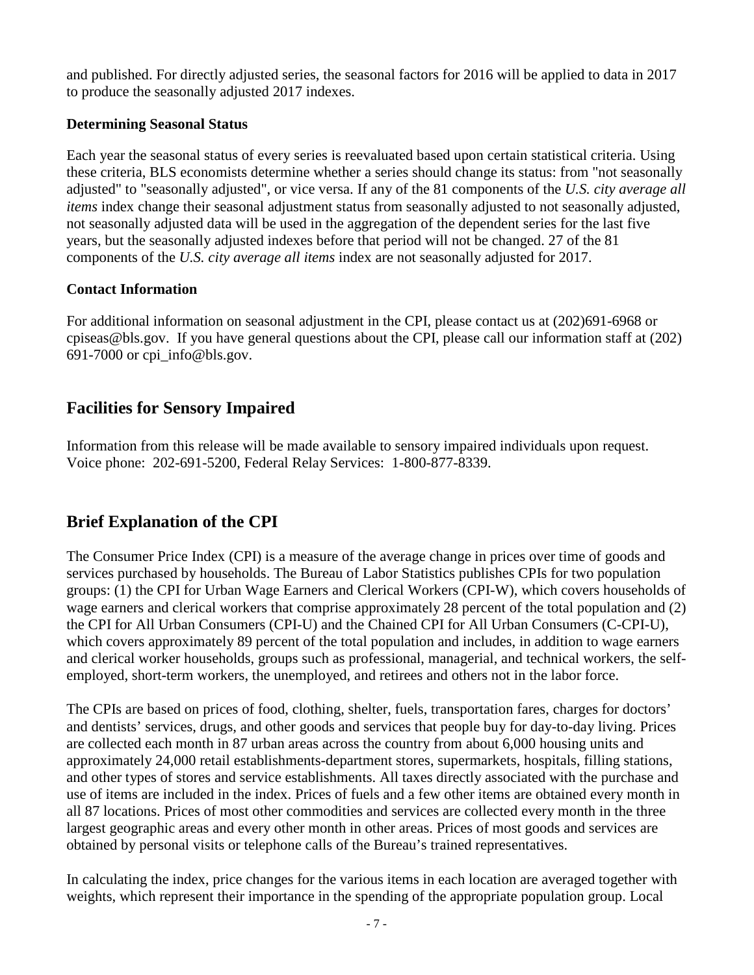and published. For directly adjusted series, the seasonal factors for 2016 will be applied to data in 2017 to produce the seasonally adjusted 2017 indexes.

## **Determining Seasonal Status**

Each year the seasonal status of every series is reevaluated based upon certain statistical criteria. Using these criteria, BLS economists determine whether a series should change its status: from "not seasonally adjusted" to "seasonally adjusted", or vice versa. If any of the 81 components of the *U.S. city average all items* index change their seasonal adjustment status from seasonally adjusted to not seasonally adjusted, not seasonally adjusted data will be used in the aggregation of the dependent series for the last five years, but the seasonally adjusted indexes before that period will not be changed. 27 of the 81 components of the *U.S. city average all items* index are not seasonally adjusted for 2017.

### **Contact Information**

For additional information on seasonal adjustment in the CPI, please contact us at (202)691-6968 or cpiseas@bls.gov. If you have general questions about the CPI, please call our information staff at (202) 691-7000 or cpi\_info@bls.gov.

## **Facilities for Sensory Impaired**

Information from this release will be made available to sensory impaired individuals upon request. Voice phone: 202-691-5200, Federal Relay Services: 1-800-877-8339.

## **Brief Explanation of the CPI**

The Consumer Price Index (CPI) is a measure of the average change in prices over time of goods and services purchased by households. The Bureau of Labor Statistics publishes CPIs for two population groups: (1) the CPI for Urban Wage Earners and Clerical Workers (CPI-W), which covers households of wage earners and clerical workers that comprise approximately 28 percent of the total population and (2) the CPI for All Urban Consumers (CPI-U) and the Chained CPI for All Urban Consumers (C-CPI-U), which covers approximately 89 percent of the total population and includes, in addition to wage earners and clerical worker households, groups such as professional, managerial, and technical workers, the selfemployed, short-term workers, the unemployed, and retirees and others not in the labor force.

The CPIs are based on prices of food, clothing, shelter, fuels, transportation fares, charges for doctors' and dentists' services, drugs, and other goods and services that people buy for day-to-day living. Prices are collected each month in 87 urban areas across the country from about 6,000 housing units and approximately 24,000 retail establishments-department stores, supermarkets, hospitals, filling stations, and other types of stores and service establishments. All taxes directly associated with the purchase and use of items are included in the index. Prices of fuels and a few other items are obtained every month in all 87 locations. Prices of most other commodities and services are collected every month in the three largest geographic areas and every other month in other areas. Prices of most goods and services are obtained by personal visits or telephone calls of the Bureau's trained representatives.

In calculating the index, price changes for the various items in each location are averaged together with weights, which represent their importance in the spending of the appropriate population group. Local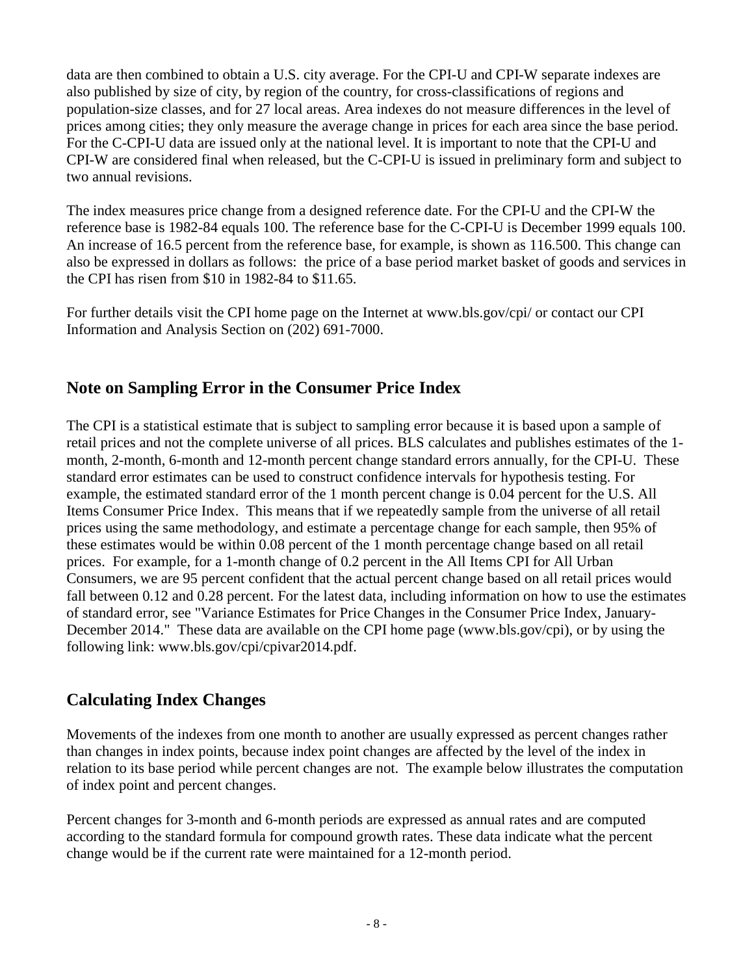data are then combined to obtain a U.S. city average. For the CPI-U and CPI-W separate indexes are also published by size of city, by region of the country, for cross-classifications of regions and population-size classes, and for 27 local areas. Area indexes do not measure differences in the level of prices among cities; they only measure the average change in prices for each area since the base period. For the C-CPI-U data are issued only at the national level. It is important to note that the CPI-U and CPI-W are considered final when released, but the C-CPI-U is issued in preliminary form and subject to two annual revisions.

The index measures price change from a designed reference date. For the CPI-U and the CPI-W the reference base is 1982-84 equals 100. The reference base for the C-CPI-U is December 1999 equals 100. An increase of 16.5 percent from the reference base, for example, is shown as 116.500. This change can also be expressed in dollars as follows: the price of a base period market basket of goods and services in the CPI has risen from \$10 in 1982-84 to \$11.65.

For further details visit the CPI home page on the Internet at www.bls.gov/cpi/ or contact our CPI Information and Analysis Section on (202) 691-7000.

## **Note on Sampling Error in the Consumer Price Index**

The CPI is a statistical estimate that is subject to sampling error because it is based upon a sample of retail prices and not the complete universe of all prices. BLS calculates and publishes estimates of the 1 month, 2-month, 6-month and 12-month percent change standard errors annually, for the CPI-U. These standard error estimates can be used to construct confidence intervals for hypothesis testing. For example, the estimated standard error of the 1 month percent change is 0.04 percent for the U.S. All Items Consumer Price Index. This means that if we repeatedly sample from the universe of all retail prices using the same methodology, and estimate a percentage change for each sample, then 95% of these estimates would be within 0.08 percent of the 1 month percentage change based on all retail prices. For example, for a 1-month change of 0.2 percent in the All Items CPI for All Urban Consumers, we are 95 percent confident that the actual percent change based on all retail prices would fall between 0.12 and 0.28 percent. For the latest data, including information on how to use the estimates of standard error, see "Variance Estimates for Price Changes in the Consumer Price Index, January-December 2014." These data are available on the CPI home page (www.bls.gov/cpi), or by using the following link: www.bls.gov/cpi/cpivar2014.pdf.

## **Calculating Index Changes**

Movements of the indexes from one month to another are usually expressed as percent changes rather than changes in index points, because index point changes are affected by the level of the index in relation to its base period while percent changes are not. The example below illustrates the computation of index point and percent changes.

Percent changes for 3-month and 6-month periods are expressed as annual rates and are computed according to the standard formula for compound growth rates. These data indicate what the percent change would be if the current rate were maintained for a 12-month period.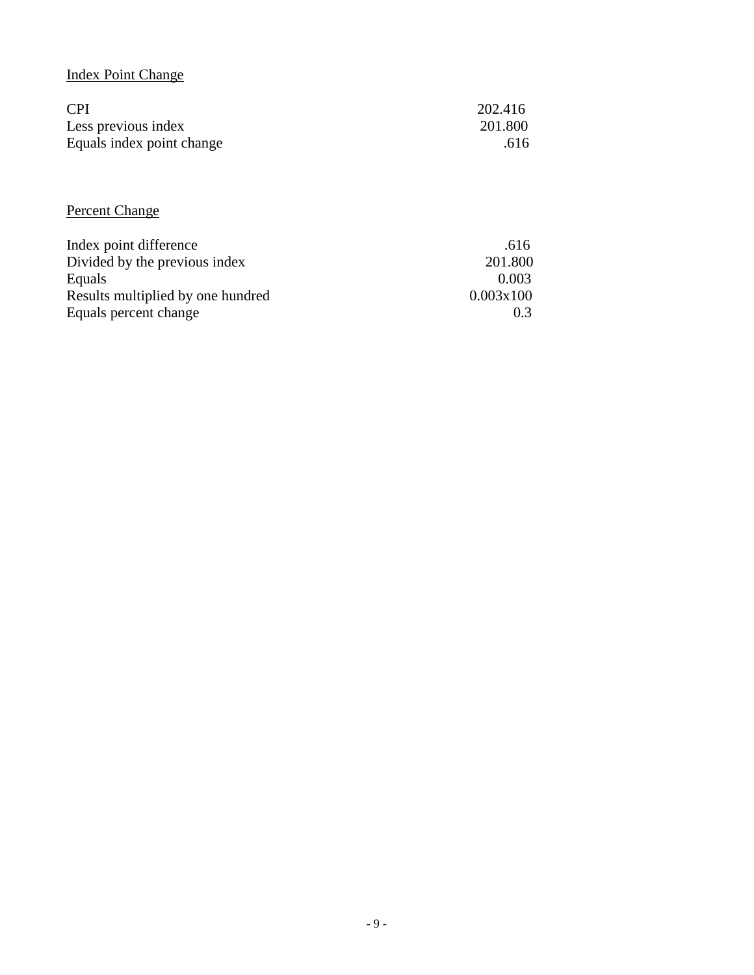## Index Point Change

| <b>CPI</b>                | 202.416 |
|---------------------------|---------|
| Less previous index       | 201.800 |
| Equals index point change | .616    |

## Percent Change

| Index point difference            | .616      |
|-----------------------------------|-----------|
| Divided by the previous index     | 201.800   |
| Equals                            | 0.003     |
| Results multiplied by one hundred | 0.003x100 |
| Equals percent change             | 0.3       |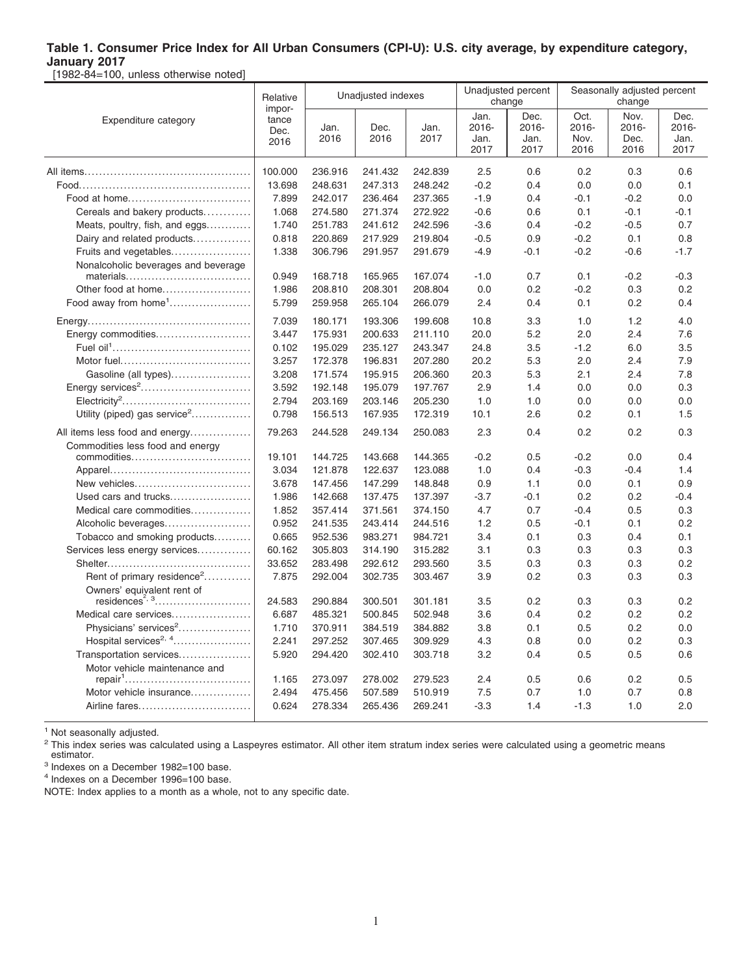#### **Table 1. Consumer Price Index for All Urban Consumers (CPI-U): U.S. city average, by expenditure category, January 2017**

[1982-84=100, unless otherwise noted]

|                                                            | Relative<br>impor-    |                    | Unadjusted indexes |                    | change                        | Unadjusted percent            |                               | Seasonally adjusted percent<br>change |                               |
|------------------------------------------------------------|-----------------------|--------------------|--------------------|--------------------|-------------------------------|-------------------------------|-------------------------------|---------------------------------------|-------------------------------|
| Expenditure category                                       | tance<br>Dec.<br>2016 | Jan.<br>2016       | Dec.<br>2016       | Jan.<br>2017       | Jan.<br>2016-<br>Jan.<br>2017 | Dec.<br>2016-<br>Jan.<br>2017 | Oct.<br>2016-<br>Nov.<br>2016 | Nov.<br>2016-<br>Dec.<br>2016         | Dec.<br>2016-<br>Jan.<br>2017 |
|                                                            | 100.000               | 236.916            | 241.432            | 242.839            | 2.5                           | 0.6                           | 0.2                           | 0.3                                   | 0.6                           |
|                                                            | 13.698                | 248.631            | 247.313            | 248.242            | $-0.2$                        | 0.4                           | 0.0                           | 0.0                                   | 0.1                           |
|                                                            | 7.899                 | 242.017            | 236.464            | 237.365            | $-1.9$                        | 0.4                           | $-0.1$                        | $-0.2$                                | 0.0                           |
| Cereals and bakery products                                | 1.068                 | 274.580            | 271.374            | 272.922            | $-0.6$                        | 0.6                           | 0.1                           | $-0.1$                                | -0.1                          |
| Meats, poultry, fish, and eggs                             | 1.740                 | 251.783            | 241.612            | 242.596            | $-3.6$                        | 0.4                           | $-0.2$                        | $-0.5$                                | 0.7                           |
| Dairy and related products                                 | 0.818                 | 220.869            | 217.929            | 219.804            | $-0.5$                        | 0.9                           | $-0.2$                        | 0.1                                   | 0.8                           |
| Fruits and vegetables                                      | 1.338                 | 306.796            | 291.957            | 291.679            | $-4.9$                        | $-0.1$                        | $-0.2$                        | $-0.6$                                | $-1.7$                        |
| Nonalcoholic beverages and beverage<br>materials           | 0.949                 | 168.718            | 165.965            | 167.074            | $-1.0$                        | 0.7                           | 0.1                           | $-0.2$                                | $-0.3$                        |
| Other food at home                                         | 1.986                 | 208.810            | 208.301            | 208.804            | 0.0                           | 0.2                           | $-0.2$                        | 0.3                                   | 0.2                           |
| Food away from home <sup>1</sup>                           | 5.799                 | 259.958            | 265.104            | 266.079            | 2.4                           | 0.4                           | 0.1                           | 0.2                                   | 0.4                           |
|                                                            | 7.039                 | 180.171            | 193.306            | 199.608            | 10.8                          | 3.3                           | 1.0                           | 1.2                                   | 4.0                           |
| Energy commodities                                         | 3.447                 | 175.931            | 200.633            | 211.110            | 20.0                          | 5.2                           | 2.0                           | 2.4                                   | 7.6                           |
|                                                            | 0.102                 | 195.029            | 235.127            | 243.347            | 24.8                          | 3.5                           | $-1.2$                        | 6.0                                   | 3.5                           |
| Motor fuel                                                 | 3.257                 | 172.378            | 196.831            | 207.280            | 20.2                          | 5.3                           | 2.0                           | 2.4                                   | 7.9                           |
| Gasoline (all types)                                       | 3.208                 | 171.574            | 195.915            | 206.360            | 20.3                          | 5.3                           | 2.1                           | 2.4                                   | 7.8                           |
| Energy services <sup>2</sup>                               | 3.592                 | 192.148            | 195.079            | 197.767            | 2.9                           | 1.4                           | 0.0                           | 0.0                                   | 0.3                           |
|                                                            | 2.794                 | 203.169            | 203.146            | 205.230            | 1.0                           | 1.0                           | 0.0                           | 0.0                                   | 0.0                           |
| Utility (piped) gas service <sup>2</sup>                   | 0.798                 | 156.513            | 167.935            | 172.319            | 10.1                          | 2.6                           | 0.2                           | 0.1                                   | 1.5                           |
| All items less food and energy                             | 79.263                | 244.528            | 249.134            | 250.083            | 2.3                           | 0.4                           | 0.2                           | 0.2                                   | 0.3                           |
| Commodities less food and energy                           |                       |                    |                    |                    |                               |                               |                               |                                       |                               |
| commodities                                                | 19.101                | 144.725            | 143.668            | 144.365            | $-0.2$                        | 0.5<br>0.4                    | -0.2<br>$-0.3$                | 0.0                                   | 0.4<br>1.4                    |
|                                                            | 3.034<br>3.678        | 121.878<br>147.456 | 122.637<br>147.299 | 123.088<br>148.848 | 1.0<br>0.9                    | 1.1                           | 0.0                           | $-0.4$<br>0.1                         | 0.9                           |
| New vehicles<br>Used cars and trucks                       | 1.986                 | 142.668            | 137.475            | 137.397            | $-3.7$                        | $-0.1$                        | 0.2                           | 0.2                                   | $-0.4$                        |
| Medical care commodities                                   | 1.852                 | 357.414            | 371.561            | 374.150            | 4.7                           | 0.7                           | $-0.4$                        | 0.5                                   | 0.3                           |
| Alcoholic beverages                                        | 0.952                 | 241.535            | 243.414            | 244.516            | 1.2                           | 0.5                           | $-0.1$                        | 0.1                                   | 0.2                           |
| Tobacco and smoking products                               | 0.665                 | 952.536            | 983.271            | 984.721            | 3.4                           | 0.1                           | 0.3                           | 0.4                                   | 0.1                           |
| Services less energy services                              | 60.162                | 305.803            | 314.190            | 315.282            | 3.1                           | 0.3                           | 0.3                           | 0.3                                   | 0.3                           |
|                                                            | 33.652                | 283.498            | 292.612            | 293.560            | 3.5                           | 0.3                           | 0.3                           | 0.3                                   | 0.2                           |
| Rent of primary residence <sup>2</sup>                     | 7.875                 | 292.004            | 302.735            | 303.467            | 3.9                           | 0.2                           | 0.3                           | 0.3                                   | 0.3                           |
| Owners' equivalent rent of                                 | 24.583                | 290.884            | 300.501            | 301.181            | 3.5                           | 0.2                           | 0.3                           | 0.3                                   | 0.2                           |
|                                                            |                       |                    |                    |                    |                               |                               |                               |                                       | 0.2                           |
| Medical care services<br>Physicians' services <sup>2</sup> | 6.687                 | 485.321            | 500.845            | 502.948<br>384.882 | 3.6                           | 0.4                           | 0.2                           | 0.2                                   |                               |
| Hospital services <sup>2, 4</sup>                          | 1.710<br>2.241        | 370.911<br>297.252 | 384.519<br>307.465 | 309.929            | 3.8<br>4.3                    | 0.1<br>0.8                    | 0.5<br>0.0                    | 0.2<br>0.2                            | 0.0<br>0.3                    |
| Transportation services                                    | 5.920                 | 294.420            | 302.410            | 303.718            | 3.2                           |                               | 0.5                           |                                       |                               |
| Motor vehicle maintenance and                              |                       |                    |                    |                    |                               | 0.4                           |                               | 0.5                                   | 0.6                           |
|                                                            | 1.165                 | 273.097            | 278.002            | 279.523            | 2.4                           | 0.5                           | 0.6                           | 0.2                                   | 0.5                           |
| Motor vehicle insurance                                    | 2.494                 | 475.456            | 507.589            | 510.919            | 7.5                           | 0.7                           | 1.0                           | 0.7                                   | 0.8                           |
| Airline fares                                              | 0.624                 | 278.334            | 265.436            | 269.241            | $-3.3$                        | 1.4                           | $-1.3$                        | 1.0                                   | 2.0                           |

<sup>1</sup> Not seasonally adjusted.

<sup>2</sup> This index series was calculated using a Laspeyres estimator. All other item stratum index series were calculated using a geometric means estimator.

<sup>3</sup> Indexes on a December 1982=100 base.

4 Indexes on a December 1996=100 base.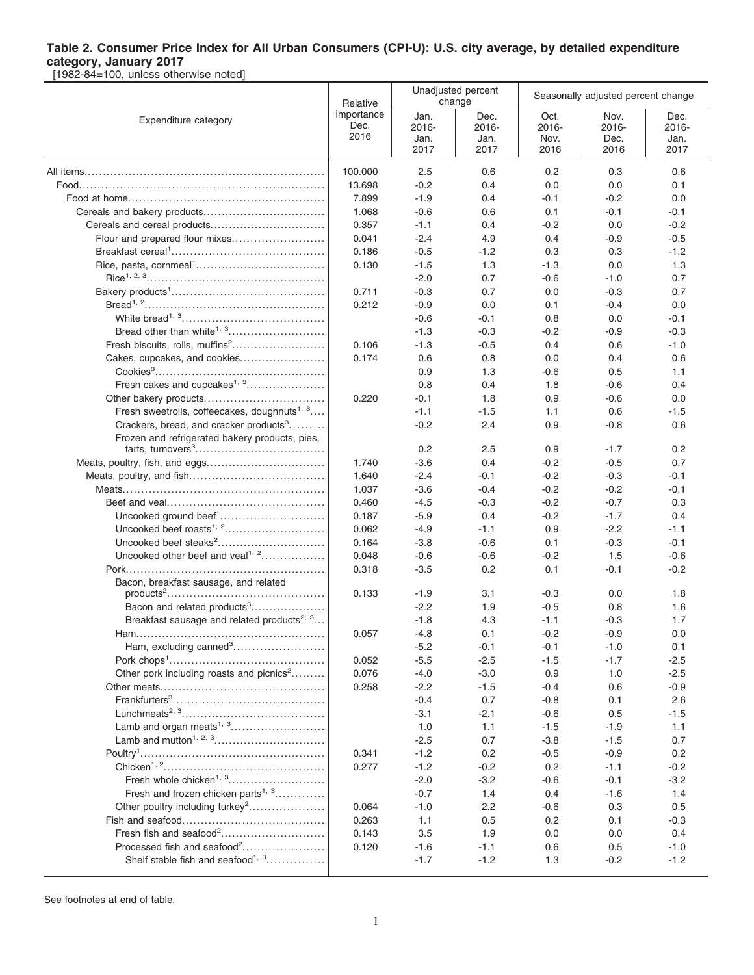[1982-84=100, unless otherwise noted]

|                                                                                                 | Relative                   |                                  | Unadjusted percent<br>change  | Seasonally adjusted percent change |                                  |                               |  |
|-------------------------------------------------------------------------------------------------|----------------------------|----------------------------------|-------------------------------|------------------------------------|----------------------------------|-------------------------------|--|
| Expenditure category                                                                            | importance<br>Dec.<br>2016 | Jan.<br>$2016 -$<br>Jan.<br>2017 | Dec.<br>2016-<br>Jan.<br>2017 | Oct.<br>2016-<br>Nov.<br>2016      | Nov.<br>$2016 -$<br>Dec.<br>2016 | Dec.<br>2016-<br>Jan.<br>2017 |  |
|                                                                                                 | 100.000                    | 2.5                              | 0.6                           | 0.2                                | 0.3                              | 0.6                           |  |
|                                                                                                 | 13.698                     | $-0.2$                           | 0.4                           | 0.0                                | 0.0                              | 0.1                           |  |
|                                                                                                 | 7.899                      | $-1.9$                           | 0.4                           | $-0.1$                             | $-0.2$                           | 0.0                           |  |
|                                                                                                 | 1.068                      | $-0.6$                           | 0.6                           | 0.1                                | $-0.1$                           | $-0.1$                        |  |
|                                                                                                 | 0.357                      | $-1.1$                           | 0.4                           | $-0.2$                             | 0.0                              | $-0.2$                        |  |
| Flour and prepared flour mixes                                                                  | 0.041                      | $-2.4$                           | 4.9                           | 0.4                                | $-0.9$                           | $-0.5$                        |  |
|                                                                                                 | 0.186                      | $-0.5$                           | $-1.2$                        | 0.3                                | 0.3                              | $-1.2$                        |  |
|                                                                                                 | 0.130                      | $-1.5$                           | 1.3                           | $-1.3$                             | 0.0                              | 1.3                           |  |
|                                                                                                 |                            | $-2.0$                           | 0.7                           | $-0.6$                             | $-1.0$                           | 0.7                           |  |
|                                                                                                 | 0.711                      | $-0.3$                           | 0.7                           | 0.0                                | $-0.3$                           | 0.7                           |  |
|                                                                                                 | 0.212                      | $-0.9$                           | 0.0                           | 0.1                                | $-0.4$                           | 0.0                           |  |
|                                                                                                 |                            | $-0.6$                           | $-0.1$                        | 0.8                                | 0.0                              | $-0.1$                        |  |
| Bread other than white <sup>1, 3</sup>                                                          |                            | $-1.3$                           | -0.3                          | $-0.2$                             | $-0.9$                           | $-0.3$                        |  |
| Fresh biscuits, rolls, muffins <sup>2</sup>                                                     | 0.106                      | $-1.3$                           | $-0.5$                        | 0.4                                | 0.6                              | $-1.0$                        |  |
| Cakes, cupcakes, and cookies                                                                    | 0.174                      | 0.6                              | 0.8                           | 0.0                                | 0.4                              | 0.6                           |  |
|                                                                                                 |                            | 0.9                              | 1.3                           | $-0.6$                             | 0.5                              | 1.1                           |  |
| Fresh cakes and cupcakes <sup>1, 3</sup>                                                        |                            | 0.8                              | 0.4                           | 1.8                                | $-0.6$                           | 0.4                           |  |
|                                                                                                 | 0.220                      | $-0.1$                           | 1.8                           | 0.9                                | $-0.6$                           | 0.0                           |  |
| Fresh sweetrolls, coffeecakes, doughnuts <sup>1, 3</sup>                                        |                            | $-1.1$                           | $-1.5$                        | 1.1                                | 0.6                              | $-1.5$                        |  |
| Crackers, bread, and cracker products <sup>3</sup>                                              |                            | $-0.2$                           | 2.4                           | 0.9                                | $-0.8$                           | 0.6                           |  |
| Frozen and refrigerated bakery products, pies,                                                  |                            |                                  |                               |                                    |                                  |                               |  |
|                                                                                                 |                            | 0.2                              | 2.5                           | 0.9                                | -1.7                             | 0.2                           |  |
| Meats, poultry, fish, and eggs                                                                  | 1.740                      | -3.6                             | 0.4                           | $-0.2$                             | $-0.5$                           | 0.7                           |  |
|                                                                                                 | 1.640                      | $-2.4$                           | $-0.1$                        | $-0.2$                             | $-0.3$                           | $-0.1$                        |  |
|                                                                                                 | 1.037                      | $-3.6$                           | $-0.4$                        | $-0.2$                             | $-0.2$                           | $-0.1$                        |  |
|                                                                                                 | 0.460                      | $-4.5$                           | $-0.3$                        | $-0.2$                             | $-0.7$                           | 0.3                           |  |
|                                                                                                 | 0.187                      | $-5.9$                           | 0.4                           | $-0.2$                             | $-1.7$                           | 0.4                           |  |
|                                                                                                 | 0.062                      | $-4.9$                           | $-1.1$                        | 0.9                                | $-2.2$                           | $-1.1$                        |  |
| Uncooked beef steaks <sup>2</sup>                                                               | 0.164                      | $-3.8$                           | $-0.6$                        | 0.1                                | $-0.3$                           | $-0.1$                        |  |
| Uncooked other beef and veal <sup>1, 2</sup>                                                    | 0.048                      | $-0.6$                           | $-0.6$                        | $-0.2$                             | 1.5                              | $-0.6$                        |  |
|                                                                                                 | 0.318                      | $-3.5$                           | 0.2                           | 0.1                                | $-0.1$                           | $-0.2$                        |  |
| Bacon, breakfast sausage, and related                                                           |                            |                                  |                               |                                    |                                  |                               |  |
| $products2 \ldots \ldots \ldots \ldots \ldots \ldots \ldots \ldots \ldots \ldots \ldots \ldots$ | 0.133                      | $-1.9$                           | 3.1                           | $-0.3$                             | 0.0                              | 1.8                           |  |
| Bacon and related products <sup>3</sup>                                                         |                            | $-2.2$                           | 1.9                           | $-0.5$                             | 0.8                              | 1.6                           |  |
| Breakfast sausage and related products <sup>2, 3</sup>                                          |                            | $-1.8$                           | 4.3                           | $-1.1$                             | $-0.3$                           | 1.7                           |  |
|                                                                                                 | 0.057                      | $-4.8$                           | 0.1                           | $-0.2$                             | $-0.9$                           | 0.0                           |  |
| Ham, excluding canned <sup>3</sup>                                                              |                            | $-5.2$                           | $-0.1$                        | $-0.1$                             | $-1.0$                           | 0.1                           |  |
|                                                                                                 | 0.052                      | $-5.5$                           | $-2.5$                        | $-1.5$                             | $-1.7$                           | $-2.5$                        |  |
| Other pork including roasts and picnics <sup>2</sup>                                            | 0.076                      | $-4.0$                           | $-3.0$                        | 0.9                                | 1.0                              | $-2.5$                        |  |
|                                                                                                 | 0.258                      | $-2.2$                           | $-1.5$                        | $-0.4$                             | 0.6                              | $-0.9$                        |  |
|                                                                                                 |                            | $-0.4$                           | 0.7                           | $-0.8$                             | 0.1                              | 2.6                           |  |
|                                                                                                 |                            | $-3.1$                           | $-2.1$                        | $-0.6$                             | 0.5                              | $-1.5$                        |  |
|                                                                                                 |                            | 1.0                              | 1.1                           | $-1.5$                             | $-1.9$                           | 1.1                           |  |
|                                                                                                 |                            | $-2.5$                           | 0.7                           | $-3.8$                             | $-1.5$                           | 0.7                           |  |
|                                                                                                 | 0.341                      | $-1.2$                           | 0.2                           | $-0.5$                             | $-0.9$                           | 0.2                           |  |
|                                                                                                 | 0.277                      | $-1.2$                           | $-0.2$                        | 0.2                                | $-1.1$                           | $-0.2$                        |  |
| Fresh whole chicken <sup>1, 3</sup>                                                             |                            | $-2.0$                           | $-3.2$                        | $-0.6$                             | $-0.1$                           | $-3.2$                        |  |
| Fresh and frozen chicken parts <sup>1, 3</sup>                                                  |                            | $-0.7$                           | 1.4                           | 0.4                                | $-1.6$                           | 1.4                           |  |
| Other poultry including turkey <sup>2</sup>                                                     | 0.064                      | $-1.0$                           | 2.2                           | $-0.6$                             | 0.3                              | 0.5                           |  |
|                                                                                                 | 0.263                      | 1.1                              | 0.5                           | 0.2                                | 0.1                              | $-0.3$                        |  |
|                                                                                                 | 0.143                      | 3.5                              | 1.9                           | 0.0                                | 0.0                              | 0.4                           |  |
| Processed fish and seafood <sup>2</sup>                                                         | 0.120                      | $-1.6$                           | $-1.1$                        | 0.6                                | 0.5                              | $-1.0$                        |  |
| Shelf stable fish and seafood <sup>1, 3</sup>                                                   |                            | $-1.7$                           | $-1.2$                        | 1.3                                | $-0.2$                           | $-1.2$                        |  |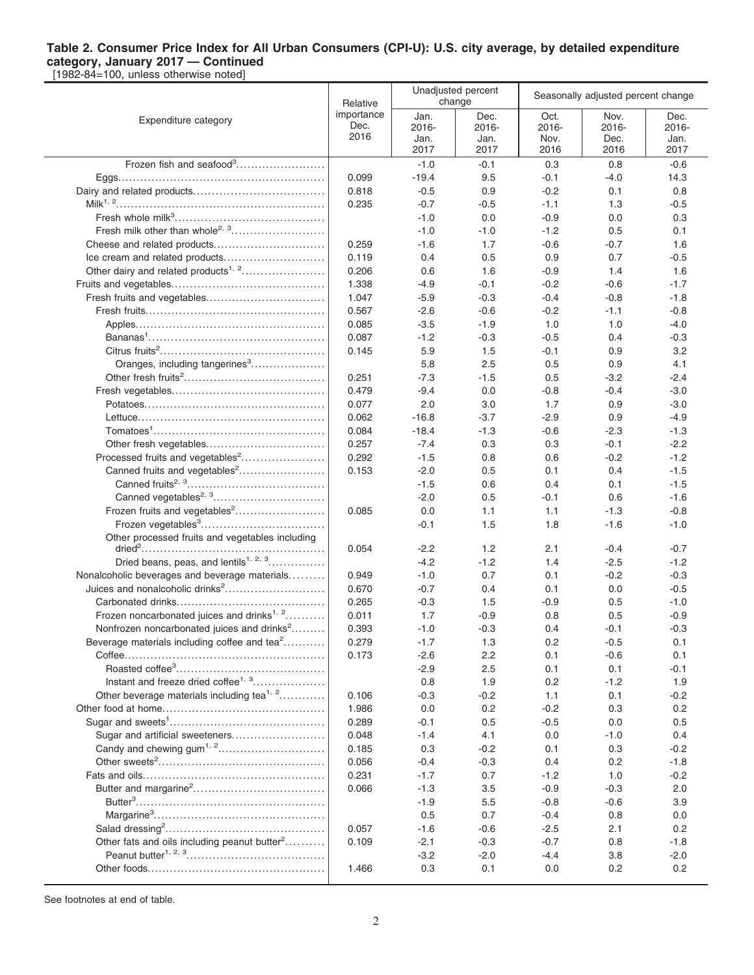[1982-84=100, unless otherwise noted]

|                                                          | Relative                   |                               | Unadjusted percent<br>change  |                               | Seasonally adjusted percent change |                               |
|----------------------------------------------------------|----------------------------|-------------------------------|-------------------------------|-------------------------------|------------------------------------|-------------------------------|
| Expenditure category                                     | importance<br>Dec.<br>2016 | Jan.<br>2016-<br>Jan.<br>2017 | Dec.<br>2016-<br>Jan.<br>2017 | Oct.<br>2016-<br>Nov.<br>2016 | Nov.<br>2016-<br>Dec.<br>2016      | Dec.<br>2016-<br>Jan.<br>2017 |
| Frozen fish and seafood <sup>3</sup>                     |                            | $-1.0$                        | $-0.1$                        | 0.3                           | 0.8                                | $-0.6$                        |
|                                                          | 0.099                      | $-19.4$                       | 9.5                           | $-0.1$                        | $-4.0$                             | 14.3                          |
|                                                          | 0.818                      | $-0.5$                        | 0.9                           | $-0.2$                        | 0.1                                | 0.8                           |
|                                                          | 0.235                      | $-0.7$                        | $-0.5$                        | $-1.1$                        | 1.3                                | $-0.5$                        |
|                                                          |                            | $-1.0$                        | 0.0                           | $-0.9$                        | 0.0                                | 0.3                           |
|                                                          |                            | $-1.0$                        | $-1.0$                        | $-1.2$                        | 0.5                                | 0.1                           |
|                                                          | 0.259                      | $-1.6$                        | 1.7                           | $-0.6$                        | $-0.7$                             | 1.6                           |
| Ice cream and related products                           | 0.119                      | 0.4                           | 0.5                           | 0.9                           | 0.7                                | $-0.5$                        |
| Other dairy and related products <sup>1, 2</sup>         | 0.206                      | 0.6                           | 1.6                           | $-0.9$                        | 1.4                                | 1.6                           |
|                                                          | 1.338                      | $-4.9$                        | $-0.1$                        | $-0.2$                        | $-0.6$                             | $-1.7$                        |
| Fresh fruits and vegetables                              | 1.047                      | $-5.9$                        | $-0.3$                        | $-0.4$                        | $-0.8$                             | $-1.8$                        |
|                                                          | 0.567                      | $-2.6$                        | $-0.6$                        | $-0.2$                        | $-1.1$                             | $-0.8$                        |
|                                                          | 0.085                      | $-3.5$                        | $-1.9$                        | 1.0                           | 1.0                                | $-4.0$                        |
|                                                          | 0.087                      | $-1.2$                        | $-0.3$                        | $-0.5$                        | 0.4                                | $-0.3$                        |
|                                                          | 0.145                      | 5.9                           | 1.5                           | $-0.1$                        | 0.9                                | 3.2                           |
| Oranges, including tangerines <sup>3</sup>               |                            | 5.8                           | 2.5                           | 0.5                           | 0.9                                | 4.1                           |
|                                                          | 0.251                      | $-7.3$                        | $-1.5$                        | 0.5                           | $-3.2$                             | $-2.4$                        |
|                                                          | 0.479                      | $-9.4$                        | 0.0                           | $-0.8$                        | $-0.4$                             | $-3.0$                        |
|                                                          | 0.077                      | 2.0                           | 3.0                           | 1.7                           | 0.9                                | $-3.0$                        |
|                                                          | 0.062                      | $-16.8$                       | $-3.7$                        | $-2.9$                        | 0.9                                | $-4.9$                        |
|                                                          | 0.084                      | $-18.4$                       | $-1.3$                        | $-0.6$                        | $-2.3$                             | $-1.3$                        |
|                                                          | 0.257                      | $-7.4$                        | 0.3                           | 0.3                           | $-0.1$                             | $-2.2$                        |
| Processed fruits and vegetables <sup>2</sup>             | 0.292                      | $-1.5$                        | 0.8                           | 0.6                           | $-0.2$                             | $-1.2$                        |
| Canned fruits and vegetables <sup>2</sup>                | 0.153                      | $-2.0$                        | 0.5                           | 0.1                           | 0.4                                | $-1.5$                        |
|                                                          |                            | $-1.5$                        | 0.6                           | 0.4                           | 0.1                                | $-1.5$                        |
|                                                          |                            | $-2.0$                        | 0.5                           | -0.1                          | 0.6                                | $-1.6$                        |
| Frozen fruits and vegetables <sup>2</sup>                | 0.085                      | 0.0                           | 1.1                           | 1.1                           | $-1.3$                             | $-0.8$                        |
| Frozen vegetables <sup>3</sup>                           |                            | $-0.1$                        | 1.5                           | 1.8                           | $-1.6$                             | $-1.0$                        |
| Other processed fruits and vegetables including          | 0.054                      | $-2.2$                        | 1.2                           | 2.1                           | $-0.4$                             | $-0.7$                        |
| Dried beans, peas, and lentils <sup>1, 2, 3</sup>        |                            | $-4.2$                        | $-1.2$                        | 1.4                           | $-2.5$                             | $-1.2$                        |
| Nonalcoholic beverages and beverage materials            | 0.949                      | $-1.0$                        | 0.7                           | 0.1                           | $-0.2$                             | $-0.3$                        |
| Juices and nonalcoholic drinks <sup>2</sup>              | 0.670                      | $-0.7$                        | 0.4                           | 0.1                           | 0.0                                | $-0.5$                        |
|                                                          | 0.265                      | $-0.3$                        | 1.5                           | $-0.9$                        | 0.5                                | $-1.0$                        |
| Frozen noncarbonated juices and drinks <sup>1, 2</sup>   | 0.011                      | 1.7                           | $-0.9$                        | 0.8                           | 0.5                                | $-0.9$                        |
| Nonfrozen noncarbonated juices and drinks <sup>2</sup>   | 0.393                      | $-1.0$                        | $-0.3$                        | 0.4                           | $-0.1$                             | $-0.3$                        |
| Beverage materials including coffee and tea <sup>2</sup> | 0.279                      | -1.7                          | 1.3                           | 0.2                           | $-0.5$                             | 0.1                           |
|                                                          | 0.173                      | $-2.6$                        | 2.2                           | 0.1                           | $-0.6$                             | 0.1                           |
|                                                          |                            | $-2.9$                        | 2.5                           | 0.1                           | 0.1                                | $-0.1$                        |
| Instant and freeze dried coffee <sup>1, 3</sup>          |                            | 0.8                           | 1.9                           | 0.2                           | $-1.2$                             | 1.9                           |
| Other beverage materials including tea <sup>1, 2</sup>   | 0.106                      | $-0.3$                        | $-0.2$                        | 1.1                           | 0.1                                | $-0.2$                        |
|                                                          | 1.986                      | 0.0                           | 0.2                           | $-0.2$                        | 0.3                                | 0.2                           |
|                                                          | 0.289                      | $-0.1$                        | 0.5                           | $-0.5$                        | 0.0                                | 0.5                           |
| Sugar and artificial sweeteners                          | 0.048                      | $-1.4$                        | 4.1                           | 0.0                           | $-1.0$                             | 0.4                           |
|                                                          | 0.185                      | 0.3                           | $-0.2$                        | 0.1                           | 0.3                                | $-0.2$                        |
|                                                          | 0.056                      | $-0.4$                        | $-0.3$                        | 0.4                           | 0.2                                | $-1.8$                        |
|                                                          | 0.231                      | $-1.7$                        | 0.7                           | $-1.2$                        | 1.0                                | $-0.2$                        |
|                                                          | 0.066                      | $-1.3$                        | 3.5                           | $-0.9$                        | $-0.3$                             | 2.0                           |
|                                                          |                            | $-1.9$                        | 5.5                           | $-0.8$                        | $-0.6$                             | 3.9                           |
|                                                          |                            | 0.5                           | 0.7                           | $-0.4$                        | 0.8                                | 0.0                           |
|                                                          | 0.057                      | $-1.6$                        | $-0.6$                        | $-2.5$                        | 2.1                                | 0.2                           |
| Other fats and oils including peanut butter <sup>2</sup> | 0.109                      | $-2.1$                        | $-0.3$                        | $-0.7$                        | 0.8                                | $-1.8$                        |
|                                                          |                            | $-3.2$                        | $-2.0$                        | $-4.4$                        | 3.8                                | $-2.0$                        |
|                                                          | 1.466                      | 0.3                           | 0.1                           | 0.0                           | 0.2                                | 0.2                           |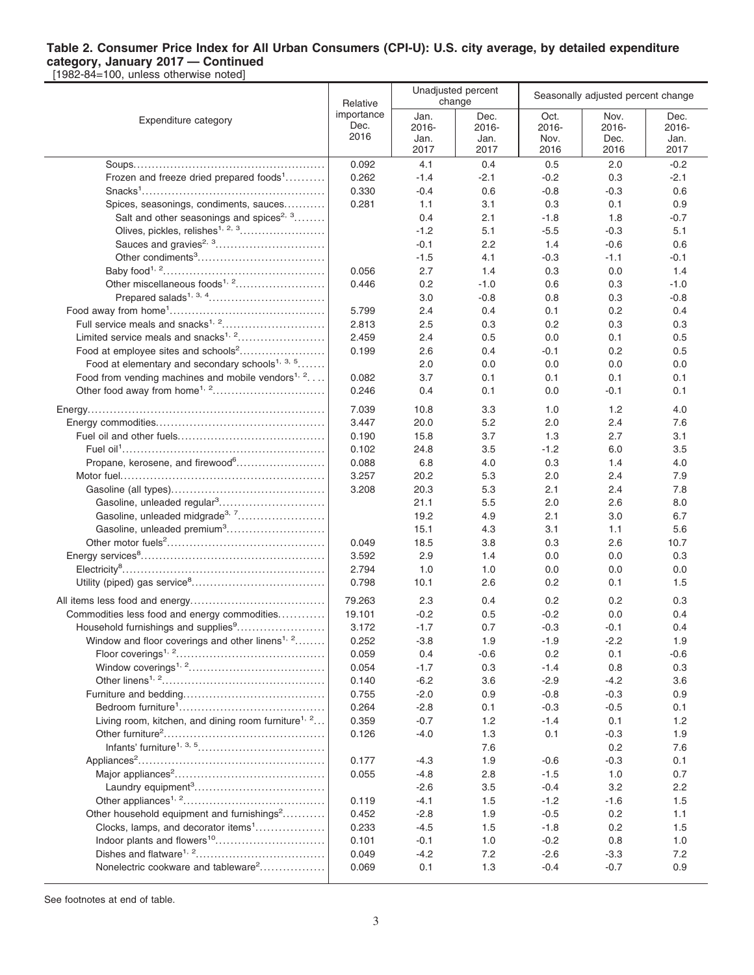[1982-84=100, unless otherwise noted]

|                                                                 | Relative                   |                               | Unadjusted percent<br>change  |                               | Seasonally adjusted percent change |                               |
|-----------------------------------------------------------------|----------------------------|-------------------------------|-------------------------------|-------------------------------|------------------------------------|-------------------------------|
| Expenditure category                                            | importance<br>Dec.<br>2016 | Jan.<br>2016-<br>Jan.<br>2017 | Dec.<br>2016-<br>Jan.<br>2017 | Oct.<br>2016-<br>Nov.<br>2016 | Nov.<br>2016-<br>Dec.<br>2016      | Dec.<br>2016-<br>Jan.<br>2017 |
|                                                                 | 0.092                      | 4.1                           | 0.4                           | 0.5                           | 2.0                                | $-0.2$                        |
| Frozen and freeze dried prepared foods <sup>1</sup>             | 0.262                      | $-1.4$                        | $-2.1$                        | $-0.2$                        | 0.3                                | $-2.1$                        |
|                                                                 | 0.330                      | $-0.4$                        | 0.6                           | $-0.8$                        | $-0.3$                             | 0.6                           |
| Spices, seasonings, condiments, sauces                          | 0.281                      | 1.1                           | 3.1                           | 0.3                           | 0.1                                | 0.9                           |
| Salt and other seasonings and spices <sup>2, 3</sup>            |                            | 0.4                           | 2.1                           | $-1.8$                        | 1.8                                | $-0.7$                        |
| Olives, pickles, relishes <sup>1, 2, 3</sup>                    |                            | $-1.2$                        | 5.1                           | $-5.5$                        | $-0.3$                             | 5.1                           |
|                                                                 |                            | $-0.1$                        | 2.2                           | 1.4                           | $-0.6$                             | 0.6                           |
|                                                                 |                            | $-1.5$                        | 4.1                           | $-0.3$                        | $-1.1$                             | -0.1                          |
|                                                                 | 0.056                      | 2.7                           | 1.4                           | 0.3                           | 0.0                                | 1.4                           |
| Other miscellaneous foods <sup>1, 2</sup>                       | 0.446                      | 0.2                           | $-1.0$                        | 0.6                           | 0.3                                | $-1.0$                        |
|                                                                 |                            | 3.0                           | $-0.8$                        | 0.8                           | 0.3                                | $-0.8$                        |
|                                                                 | 5.799                      | 2.4                           | 0.4                           | 0.1                           | 0.2                                | 0.4                           |
|                                                                 | 2.813                      | 2.5                           | 0.3                           | 0.2                           | 0.3                                | 0.3                           |
| Limited service meals and snacks <sup>1, 2</sup>                | 2.459                      | 2.4                           | 0.5                           | 0.0                           | 0.1                                | 0.5                           |
| Food at employee sites and schools <sup>2</sup>                 | 0.199                      | 2.6                           | 0.4                           | $-0.1$                        | 0.2                                | 0.5                           |
| Food at elementary and secondary schools <sup>1, 3, 5</sup>     |                            | 2.0                           | 0.0                           | 0.0                           | 0.0                                | 0.0                           |
| Food from vending machines and mobile vendors <sup>1, 2</sup>   | 0.082                      | 3.7                           | 0.1                           | 0.1                           | 0.1                                | 0.1                           |
|                                                                 | 0.246                      | 0.4                           | 0.1                           | 0.0                           | $-0.1$                             | 0.1                           |
|                                                                 | 7.039                      | 10.8                          | 3.3                           | 1.0                           | 1.2                                | 4.0                           |
|                                                                 | 3.447                      | 20.0                          | 5.2                           | 2.0                           | 2.4                                | 7.6                           |
|                                                                 | 0.190                      | 15.8                          | 3.7                           | 1.3                           | 2.7                                | 3.1                           |
|                                                                 | 0.102                      | 24.8                          | 3.5                           | $-1.2$                        | 6.0                                | 3.5                           |
| Propane, kerosene, and firewood <sup>6</sup>                    | 0.088                      | 6.8                           | 4.0                           | 0.3                           | 1.4                                | 4.0                           |
|                                                                 | 3.257                      | 20.2                          | 5.3                           | 2.0                           | 2.4                                | 7.9                           |
|                                                                 | 3.208                      | 20.3                          | 5.3                           | 2.1                           | 2.4                                | 7.8                           |
|                                                                 |                            | 21.1                          | 5.5                           | 2.0                           | 2.6                                | 8.0                           |
| Gasoline, unleaded midgrade <sup>3, 7</sup>                     |                            | 19.2                          | 4.9                           | 2.1                           | 3.0                                | 6.7                           |
| Gasoline, unleaded premium <sup>3</sup>                         |                            | 15.1                          | 4.3                           | 3.1                           | 1.1                                | 5.6                           |
|                                                                 | 0.049                      | 18.5                          | 3.8                           | 0.3                           | 2.6                                | 10.7                          |
|                                                                 | 3.592                      | 2.9                           | 1.4                           | 0.0                           | 0.0                                | 0.3                           |
|                                                                 | 2.794                      | 1.0                           | 1.0                           | 0.0                           | 0.0                                | 0.0                           |
|                                                                 | 0.798                      | 10.1                          | 2.6                           | 0.2                           | 0.1                                | 1.5                           |
|                                                                 | 79.263                     | 2.3                           | 0.4                           | 0.2                           | 0.2                                | 0.3                           |
| Commodities less food and energy commodities                    | 19.101                     | $-0.2$                        | 0.5                           | $-0.2$                        | 0.0                                | 0.4                           |
| Household furnishings and supplies <sup>9</sup>                 | 3.172                      | $-1.7$                        | 0.7                           | $-0.3$                        | $-0.1$                             | 0.4                           |
| Window and floor coverings and other linens <sup>1, 2</sup>     | 0.252                      | $-3.8$                        | 1.9                           | $-1.9$                        | $-2.2$                             | 1.9                           |
|                                                                 | 0.059                      | 0.4                           | -0.6                          | 0.2                           | 0.1                                | $-0.6$                        |
|                                                                 | 0.054                      | $-1.7$                        | 0.3                           | $-1.4$                        | 0.8                                | 0.3                           |
|                                                                 | 0.140                      | $-6.2$                        | 3.6                           | $-2.9$                        | $-4.2$                             | 3.6                           |
|                                                                 | 0.755                      | $-2.0$                        | 0.9                           | $-0.8$                        | $-0.3$                             | 0.9                           |
|                                                                 | 0.264                      | $-2.8$                        | 0.1                           | $-0.3$                        | $-0.5$                             | 0.1                           |
| Living room, kitchen, and dining room furniture <sup>1, 2</sup> | 0.359                      | $-0.7$                        | 1.2                           | $-1.4$                        | 0.1                                | 1.2                           |
|                                                                 | 0.126                      | $-4.0$                        | 1.3                           | 0.1                           | $-0.3$                             | 1.9                           |
|                                                                 |                            |                               | 7.6                           |                               | 0.2                                | 7.6                           |
|                                                                 | 0.177                      | $-4.3$                        | 1.9                           | $-0.6$                        | $-0.3$                             | 0.1                           |
|                                                                 | 0.055                      | $-4.8$                        | 2.8                           | $-1.5$                        | 1.0                                | 0.7                           |
|                                                                 |                            | $-2.6$                        | 3.5                           | $-0.4$                        | 3.2                                | 2.2                           |
|                                                                 | 0.119                      | $-4.1$                        | 1.5                           | $-1.2$                        | $-1.6$                             | 1.5                           |
| Other household equipment and furnishings <sup>2</sup>          | 0.452                      | $-2.8$                        | 1.9                           | $-0.5$                        | 0.2                                | 1.1                           |
| Clocks, lamps, and decorator items <sup>1</sup>                 | 0.233                      | $-4.5$                        | 1.5                           | $-1.8$                        | 0.2                                | 1.5                           |
| Indoor plants and flowers <sup>10</sup>                         | 0.101                      | $-0.1$                        | 1.0                           | $-0.2$                        | 0.8                                | 1.0                           |
|                                                                 | 0.049                      | $-4.2$                        | 7.2                           | $-2.6$                        | $-3.3$                             | 7.2                           |
| Nonelectric cookware and tableware <sup>2</sup>                 | 0.069                      | 0.1                           | 1.3                           | $-0.4$                        | $-0.7$                             | 0.9                           |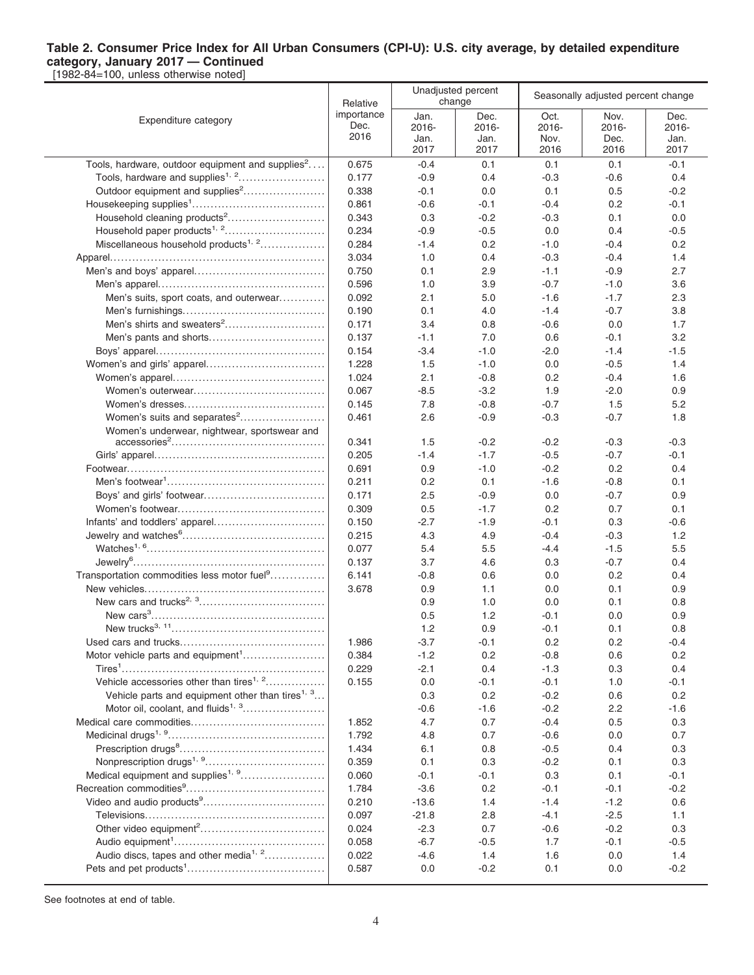[1982-84=100, unless otherwise noted]

|                                                              | Relative                   |                               | Unadjusted percent<br>change     | Seasonally adjusted percent change |                                  |                               |  |
|--------------------------------------------------------------|----------------------------|-------------------------------|----------------------------------|------------------------------------|----------------------------------|-------------------------------|--|
| Expenditure category                                         | importance<br>Dec.<br>2016 | Jan.<br>2016-<br>Jan.<br>2017 | Dec.<br>$2016 -$<br>Jan.<br>2017 | Oct.<br>2016-<br>Nov.<br>2016      | Nov.<br>$2016 -$<br>Dec.<br>2016 | Dec.<br>2016-<br>Jan.<br>2017 |  |
| Tools, hardware, outdoor equipment and supplies <sup>2</sup> | 0.675                      | $-0.4$                        | 0.1                              | 0.1                                | 0.1                              | $-0.1$                        |  |
| Tools, hardware and supplies <sup>1, 2</sup>                 | 0.177                      | $-0.9$                        | 0.4                              | $-0.3$                             | $-0.6$                           | 0.4                           |  |
| Outdoor equipment and supplies <sup>2</sup>                  | 0.338                      | $-0.1$                        | 0.0                              | 0.1                                | 0.5                              | $-0.2$                        |  |
|                                                              | 0.861                      | $-0.6$                        | $-0.1$                           | $-0.4$                             | 0.2                              | $-0.1$                        |  |
| Household cleaning products <sup>2</sup>                     | 0.343                      | 0.3                           | $-0.2$                           | $-0.3$                             | 0.1                              | 0.0                           |  |
| Household paper products <sup>1, 2</sup>                     | 0.234                      | $-0.9$                        | $-0.5$                           | 0.0                                | 0.4                              | $-0.5$                        |  |
| Miscellaneous household products <sup>1, 2</sup>             | 0.284                      | $-1.4$                        | 0.2                              | $-1.0$                             | $-0.4$                           | 0.2                           |  |
|                                                              | 3.034                      | 1.0                           | 0.4                              | $-0.3$                             | -0.4                             | 1.4                           |  |
|                                                              | 0.750                      | 0.1                           | 2.9                              | $-1.1$                             | $-0.9$                           | 2.7                           |  |
|                                                              | 0.596                      | 1.0                           | 3.9                              | $-0.7$                             | $-1.0$                           | 3.6                           |  |
| Men's suits, sport coats, and outerwear                      | 0.092                      | 2.1                           | 5.0                              | $-1.6$                             | $-1.7$                           | 2.3                           |  |
|                                                              | 0.190                      | 0.1                           | 4.0                              | $-1.4$                             | $-0.7$                           | 3.8                           |  |
|                                                              | 0.171                      | 3.4                           | 0.8                              | $-0.6$                             | 0.0                              | 1.7                           |  |
|                                                              | 0.137                      | $-1.1$                        | 7.0                              | 0.6                                | $-0.1$                           | 3.2                           |  |
|                                                              | 0.154                      | $-3.4$                        | $-1.0$                           | $-2.0$                             | $-1.4$                           | $-1.5$                        |  |
|                                                              | 1.228                      | 1.5                           | $-1.0$                           | 0.0                                | $-0.5$                           | 1.4                           |  |
|                                                              | 1.024                      | 2.1                           | $-0.8$                           | 0.2                                | $-0.4$                           | 1.6                           |  |
|                                                              | 0.067                      | $-8.5$                        | $-3.2$                           | 1.9                                | $-2.0$                           | 0.9                           |  |
|                                                              | 0.145                      | 7.8                           | $-0.8$                           | $-0.7$                             | 1.5                              | 5.2                           |  |
| Women's suits and separates <sup>2</sup>                     | 0.461                      | 2.6                           | $-0.9$                           | $-0.3$                             | $-0.7$                           | 1.8                           |  |
| Women's underwear, nightwear, sportswear and                 | 0.341                      | 1.5                           | $-0.2$                           | $-0.2$                             | -0.3                             | $-0.3$                        |  |
|                                                              | 0.205                      | -1.4                          | $-1.7$                           | $-0.5$                             | $-0.7$                           | $-0.1$                        |  |
|                                                              | 0.691                      | 0.9                           | $-1.0$                           | $-0.2$                             | 0.2                              | 0.4                           |  |
|                                                              | 0.211                      | 0.2                           | 0.1                              | $-1.6$                             | $-0.8$                           | 0.1                           |  |
|                                                              | 0.171                      | 2.5                           | $-0.9$                           | 0.0                                | $-0.7$                           | 0.9                           |  |
|                                                              | 0.309                      | 0.5                           | $-1.7$                           | 0.2                                | 0.7                              | 0.1                           |  |
|                                                              | 0.150                      | $-2.7$                        | $-1.9$                           | $-0.1$                             | 0.3                              | $-0.6$                        |  |
|                                                              | 0.215                      | 4.3                           | 4.9                              | $-0.4$                             | $-0.3$                           | 1.2                           |  |
|                                                              | 0.077                      | 5.4                           | 5.5                              | $-4.4$                             | $-1.5$                           | 5.5                           |  |
|                                                              | 0.137                      | 3.7                           | 4.6                              | 0.3                                | $-0.7$                           | 0.4                           |  |
| Transportation commodities less motor fuel <sup>9</sup>      | 6.141                      | -0.8                          | 0.6                              | 0.0                                | 0.2                              | 0.4                           |  |
|                                                              | 3.678                      | 0.9                           | 1.1                              | 0.0                                | 0.1                              | 0.9                           |  |
|                                                              |                            | 0.9                           | 1.0                              | 0.0                                | 0.1                              | 0.8                           |  |
|                                                              |                            | 0.5                           | 1.2                              | $-0.1$                             | 0.0                              | 0.9                           |  |
|                                                              |                            | 1.2                           | 0.9                              | $-0.1$                             | 0.1                              | 0.8                           |  |
|                                                              | 1.986                      | $-3.7$                        | -0.1                             | 0.2                                | 0.2                              | $-0.4$                        |  |
| Motor vehicle parts and equipment <sup>1</sup>               | 0.384                      | $-1.2$                        | 0.2                              | $-0.8$                             | 0.6                              | 0.2                           |  |
|                                                              | 0.229                      | $-2.1$                        | 0.4                              | $-1.3$                             | 0.3                              | 0.4                           |  |
| Vehicle accessories other than tires <sup>1, 2</sup>         | 0.155                      | 0.0                           | $-0.1$                           | $-0.1$                             | 1.0                              | $-0.1$                        |  |
| Vehicle parts and equipment other than tires <sup>1, 3</sup> |                            | 0.3                           | 0.2                              | $-0.2$                             | 0.6                              | 0.2                           |  |
| Motor oil, coolant, and fluids <sup>1, 3</sup>               |                            | $-0.6$                        | $-1.6$                           | $-0.2$                             | 2.2                              | $-1.6$                        |  |
|                                                              | 1.852                      | 4.7                           | 0.7                              | $-0.4$                             | 0.5                              | 0.3                           |  |
|                                                              | 1.792                      | 4.8                           | 0.7                              | $-0.6$                             | 0.0                              | 0.7                           |  |
|                                                              | 1.434                      | 6.1                           | 0.8                              | $-0.5$                             | 0.4                              | 0.3                           |  |
|                                                              | 0.359                      | 0.1                           | 0.3                              | $-0.2$                             | 0.1                              | 0.3                           |  |
| Medical equipment and supplies <sup>1, 9</sup>               | 0.060                      | $-0.1$                        | $-0.1$                           | 0.3                                | 0.1                              | $-0.1$                        |  |
|                                                              | 1.784                      | $-3.6$                        | 0.2                              | $-0.1$                             | $-0.1$                           | $-0.2$                        |  |
|                                                              | 0.210                      | $-13.6$                       | 1.4                              | $-1.4$                             | $-1.2$                           | 0.6                           |  |
|                                                              | 0.097                      | $-21.8$                       | 2.8                              | $-4.1$                             | $-2.5$                           | 1.1                           |  |
|                                                              | 0.024                      | $-2.3$                        | 0.7                              | $-0.6$                             | $-0.2$                           | 0.3                           |  |
|                                                              | 0.058                      | $-6.7$                        | $-0.5$                           | 1.7                                | $-0.1$                           | $-0.5$                        |  |
| Audio discs, tapes and other media <sup>1, 2</sup>           | 0.022                      | $-4.6$                        | 1.4                              | 1.6                                | 0.0                              | 1.4                           |  |
|                                                              | 0.587                      | 0.0                           | $-0.2$                           | 0.1                                | 0.0                              | $-0.2$                        |  |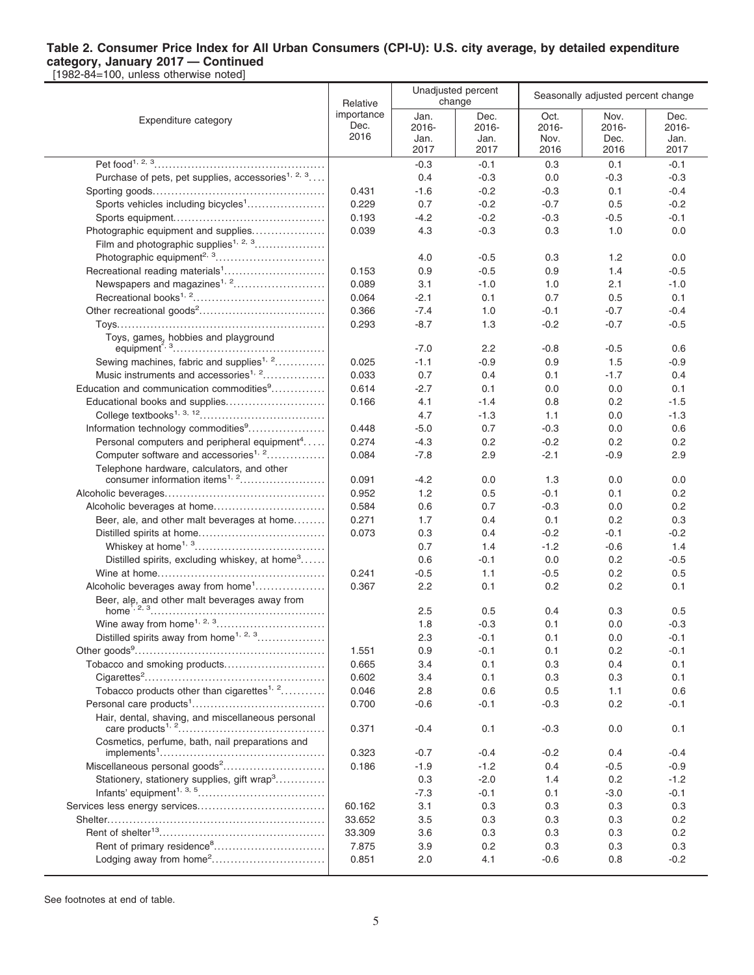[1982-84=100, unless otherwise noted]

|                                                                | Relative                   | Unadjusted percent<br>change  |                               | Seasonally adjusted percent change |                               |                               |
|----------------------------------------------------------------|----------------------------|-------------------------------|-------------------------------|------------------------------------|-------------------------------|-------------------------------|
| Expenditure category                                           | importance<br>Dec.<br>2016 | Jan.<br>2016-<br>Jan.<br>2017 | Dec.<br>2016-<br>Jan.<br>2017 | Oct.<br>2016-<br>Nov.<br>2016      | Nov.<br>2016-<br>Dec.<br>2016 | Dec.<br>2016-<br>Jan.<br>2017 |
|                                                                |                            | $-0.3$                        | $-0.1$                        | 0.3                                | 0.1                           | $-0.1$                        |
| Purchase of pets, pet supplies, accessories <sup>1, 2, 3</sup> |                            | 0.4                           | $-0.3$                        | 0.0                                | $-0.3$                        | $-0.3$                        |
|                                                                | 0.431                      | $-1.6$                        | $-0.2$                        | $-0.3$                             | 0.1                           | $-0.4$                        |
| Sports vehicles including bicycles <sup>1</sup>                | 0.229                      | 0.7                           | $-0.2$                        | $-0.7$                             | 0.5                           | $-0.2$                        |
|                                                                | 0.193                      | $-4.2$                        | $-0.2$                        | $-0.3$                             | $-0.5$                        | $-0.1$                        |
| Photographic equipment and supplies                            | 0.039                      | 4.3                           | $-0.3$                        | 0.3                                | 1.0                           | 0.0                           |
| Film and photographic supplies <sup>1, 2, 3</sup>              |                            |                               |                               |                                    |                               |                               |
|                                                                |                            | 4.0                           | $-0.5$                        | 0.3                                | 1.2                           | 0.0                           |
|                                                                | 0.153                      | 0.9                           | $-0.5$                        | 0.9                                | 1.4                           | $-0.5$                        |
| Newspapers and magazines <sup>1, 2</sup>                       | 0.089                      | 3.1                           | $-1.0$                        | 1.0                                | 2.1                           | $-1.0$                        |
|                                                                | 0.064                      | $-2.1$                        | 0.1                           | 0.7                                | 0.5                           | 0.1                           |
|                                                                | 0.366                      | $-7.4$                        | 1.0                           | $-0.1$                             | $-0.7$                        | $-0.4$                        |
|                                                                | 0.293                      | -8.7                          | 1.3                           | $-0.2$                             | $-0.7$                        | $-0.5$                        |
| Toys, games, hobbies and playground                            |                            | $-7.0$                        | 2.2                           | -0.8                               | $-0.5$                        | 0.6                           |
| Sewing machines, fabric and supplies <sup>1, 2</sup>           | 0.025                      | $-1.1$                        | $-0.9$                        | 0.9                                | 1.5                           | $-0.9$                        |
| Music instruments and accessories <sup>1, 2</sup>              | 0.033                      | 0.7                           | 0.4                           | 0.1                                | $-1.7$                        | 0.4                           |
| Education and communication commodities <sup>9</sup>           | 0.614                      | $-2.7$                        | 0.1                           | 0.0                                | 0.0                           | 0.1                           |
| Educational books and supplies                                 | 0.166                      | 4.1                           | $-1.4$                        | 0.8                                | 0.2                           | $-1.5$                        |
|                                                                |                            | 4.7                           | $-1.3$                        | 1.1                                | 0.0                           | $-1.3$                        |
| Information technology commodities <sup>9</sup>                | 0.448                      | $-5.0$                        | 0.7                           | $-0.3$                             | 0.0                           | 0.6                           |
| Personal computers and peripheral equipment <sup>4</sup>       | 0.274                      | $-4.3$                        | 0.2                           | $-0.2$                             | 0.2                           | 0.2                           |
| Computer software and accessories <sup>1, 2</sup>              | 0.084                      | $-7.8$                        | 2.9                           | $-2.1$                             | $-0.9$                        | 2.9                           |
| Telephone hardware, calculators, and other                     |                            |                               |                               |                                    |                               |                               |
| consumer information items <sup>1, 2</sup>                     | 0.091                      | $-4.2$                        | 0.0                           | 1.3                                | 0.0                           | 0.0                           |
|                                                                | 0.952                      | 1.2                           | 0.5                           | $-0.1$                             | 0.1                           | 0.2                           |
|                                                                | 0.584                      | 0.6                           | 0.7                           | $-0.3$                             | 0.0                           | 0.2                           |
| Beer, ale, and other malt beverages at home                    | 0.271                      | 1.7                           | 0.4                           | 0.1                                | 0.2                           | 0.3                           |
|                                                                | 0.073                      | 0.3                           | 0.4                           | $-0.2$                             | $-0.1$                        | $-0.2$                        |
|                                                                |                            | 0.7                           | 1.4                           | $-1.2$                             | $-0.6$                        | 1.4                           |
| Distilled spirits, excluding whiskey, at home <sup>3</sup>     |                            | 0.6                           | $-0.1$                        | 0.0                                | 0.2                           | $-0.5$                        |
|                                                                | 0.241                      | $-0.5$                        | 1.1                           | $-0.5$                             | 0.2                           | 0.5                           |
| Alcoholic beverages away from home <sup>1</sup>                | 0.367                      | 2.2                           | 0.1                           | 0.2                                | 0.2                           | 0.1                           |
| Beer, ale, and other malt beverages away from                  |                            |                               |                               |                                    |                               |                               |
|                                                                |                            | 2.5                           | 0.5                           | 0.4                                | 0.3                           | 0.5                           |
|                                                                |                            | 1.8                           | $-0.3$                        | 0.1                                | 0.0                           | $-0.3$                        |
| Distilled spirits away from home <sup>1, 2, 3</sup> .          |                            | 2.3                           | $-0.1$                        | 0.1                                | 0.0                           | $-0.1$                        |
|                                                                | 1.551                      | 0.9                           | $-0.1$                        | 0.1                                | 0.2                           | $-0.1$                        |
| Tobacco and smoking products                                   | 0.665                      | 3.4                           | 0.1                           | 0.3                                | 0.4                           | 0.1                           |
|                                                                | 0.602                      | 3.4                           | 0.1                           | 0.3                                | 0.3                           | 0.1                           |
| Tobacco products other than cigarettes <sup>1, 2</sup>         | 0.046                      | 2.8                           | 0.6                           | 0.5                                | 1.1                           | 0.6                           |
|                                                                | 0.700                      | $-0.6$                        | $-0.1$                        | $-0.3$                             | 0.2                           | $-0.1$                        |
| Hair, dental, shaving, and miscellaneous personal              | 0.371                      | -0.4                          | 0.1                           | -0.3                               | 0.0                           | 0.1                           |
| Cosmetics, perfume, bath, nail preparations and                | 0.323                      |                               |                               |                                    |                               | $-0.4$                        |
| Miscellaneous personal goods <sup>2</sup>                      | 0.186                      | $-0.7$<br>$-1.9$              | $-0.4$<br>$-1.2$              | $-0.2$<br>0.4                      | 0.4<br>$-0.5$                 | $-0.9$                        |
| Stationery, stationery supplies, gift wrap <sup>3</sup>        |                            | 0.3                           | $-2.0$                        | 1.4                                | 0.2                           | $-1.2$                        |
|                                                                |                            | $-7.3$                        | $-0.1$                        | 0.1                                | $-3.0$                        | $-0.1$                        |
|                                                                | 60.162                     | 3.1                           | 0.3                           | 0.3                                | 0.3                           | 0.3                           |
|                                                                | 33.652                     | 3.5                           | 0.3                           | 0.3                                | 0.3                           | 0.2                           |
|                                                                | 33.309                     | 3.6                           | 0.3                           | 0.3                                | 0.3                           | 0.2                           |
| Rent of primary residence <sup>8</sup>                         | 7.875                      | 3.9                           | 0.2                           | 0.3                                | 0.3                           | 0.3                           |
| Lodging away from home <sup>2</sup>                            | 0.851                      | 2.0                           | 4.1                           | -0.6                               | 0.8                           | $-0.2$                        |
|                                                                |                            |                               |                               |                                    |                               |                               |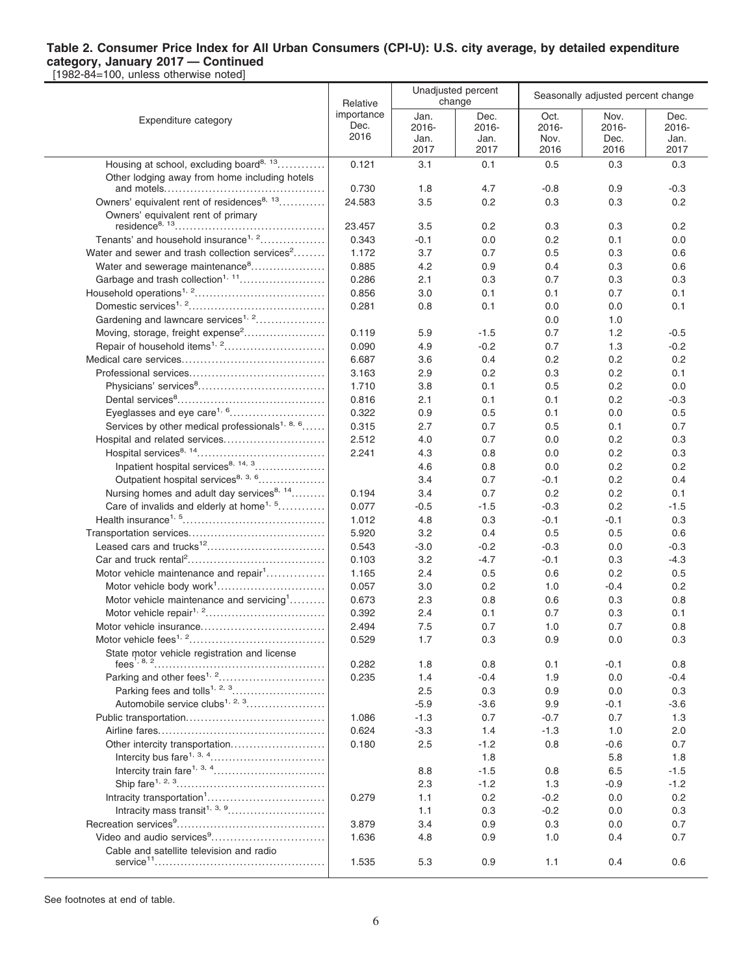[1982-84=100, unless otherwise noted]

|                                                                                              | Relative                   | Unadjusted percent<br>change  |                               | Seasonally adjusted percent change |                               |                               |  |
|----------------------------------------------------------------------------------------------|----------------------------|-------------------------------|-------------------------------|------------------------------------|-------------------------------|-------------------------------|--|
| Expenditure category                                                                         | importance<br>Dec.<br>2016 | Jan.<br>2016-<br>Jan.<br>2017 | Dec.<br>2016-<br>Jan.<br>2017 | Oct.<br>2016-<br>Nov.<br>2016      | Nov.<br>2016-<br>Dec.<br>2016 | Dec.<br>2016-<br>Jan.<br>2017 |  |
| Housing at school, excluding board <sup>8, 13</sup>                                          | 0.121                      | 3.1                           | 0.1                           | 0.5                                | 0.3                           | 0.3                           |  |
| Other lodging away from home including hotels                                                |                            |                               |                               |                                    |                               |                               |  |
|                                                                                              | 0.730                      | 1.8                           | 4.7                           | $-0.8$                             | 0.9                           | $-0.3$                        |  |
| Owners' equivalent rent of residences <sup>8, 13</sup>                                       | 24.583                     | 3.5                           | 0.2                           | 0.3                                | 0.3                           | 0.2                           |  |
| Owners' equivalent rent of primary                                                           |                            |                               |                               |                                    |                               |                               |  |
| Tenants' and household insurance <sup>1, 2</sup>                                             | 23.457                     | 3.5                           | 0.2                           | 0.3                                | 0.3                           | 0.2                           |  |
| Water and sewer and trash collection services <sup>2</sup>                                   | 0.343<br>1.172             | $-0.1$                        | 0.0                           | 0.2                                | 0.1                           | 0.0                           |  |
|                                                                                              | 0.885                      | 3.7                           | 0.7                           | 0.5                                | 0.3                           | 0.6                           |  |
| Water and sewerage maintenance <sup>8</sup><br>Garbage and trash collection <sup>1, 11</sup> |                            | 4.2                           | 0.9                           | 0.4                                | 0.3                           | 0.6                           |  |
|                                                                                              | 0.286                      | 2.1                           | 0.3                           | 0.7                                | 0.3                           | 0.3                           |  |
|                                                                                              | 0.856<br>0.281             | 3.0                           | 0.1                           | 0.1                                | 0.7                           | 0.1                           |  |
| Gardening and lawncare services <sup>1, 2</sup>                                              |                            | 0.8                           | 0.1                           | 0.0<br>0.0                         | 0.0<br>1.0                    | 0.1                           |  |
| Moving, storage, freight expense <sup>2</sup>                                                | 0.119                      | 5.9                           | $-1.5$                        | 0.7                                | 1.2                           | $-0.5$                        |  |
|                                                                                              | 0.090                      |                               | $-0.2$                        | 0.7                                | 1.3                           | $-0.2$                        |  |
|                                                                                              |                            | 4.9                           |                               |                                    |                               |                               |  |
|                                                                                              | 6.687                      | 3.6                           | 0.4                           | 0.2                                | 0.2                           | 0.2                           |  |
|                                                                                              | 3.163                      | 2.9                           | 0.2                           | 0.3                                | 0.2                           | 0.1                           |  |
|                                                                                              | 1.710                      | 3.8                           | 0.1                           | 0.5                                | 0.2                           | 0.0                           |  |
|                                                                                              | 0.816                      | 2.1                           | 0.1                           | 0.1                                | 0.2                           | $-0.3$                        |  |
|                                                                                              | 0.322                      | 0.9                           | 0.5                           | 0.1                                | 0.0                           | 0.5                           |  |
| Services by other medical professionals <sup>1, 8, 6</sup>                                   | 0.315                      | 2.7                           | 0.7                           | 0.5                                | 0.1                           | 0.7                           |  |
| Hospital and related services                                                                | 2.512                      | 4.0                           | 0.7                           | 0.0                                | 0.2                           | 0.3                           |  |
| Inpatient hospital services <sup>8, 14, 3</sup>                                              | 2.241                      | 4.3                           | 0.8                           | 0.0                                | 0.2                           | 0.3                           |  |
|                                                                                              |                            | 4.6                           | 0.8                           | 0.0                                | 0.2                           | 0.2                           |  |
| Outpatient hospital services <sup>8, 3, 6</sup>                                              |                            | 3.4                           | 0.7                           | $-0.1$                             | 0.2                           | 0.4                           |  |
| Nursing homes and adult day services <sup>8, 14</sup>                                        | 0.194                      | 3.4                           | 0.7                           | 0.2                                | 0.2                           | 0.1                           |  |
| Care of invalids and elderly at home <sup>1, 5</sup>                                         | 0.077<br>1.012             | $-0.5$                        | $-1.5$                        | $-0.3$                             | 0.2                           | $-1.5$                        |  |
|                                                                                              | 5.920                      | 4.8                           | 0.3                           | $-0.1$                             | $-0.1$                        | 0.3                           |  |
|                                                                                              |                            | 3.2                           | 0.4                           | 0.5                                | 0.5                           | 0.6                           |  |
|                                                                                              | 0.543                      | $-3.0$                        | $-0.2$                        | $-0.3$                             | 0.0                           | $-0.3$                        |  |
|                                                                                              | 0.103<br>1.165             | 3.2                           | $-4.7$                        | $-0.1$                             | 0.3                           | $-4.3$                        |  |
| Motor vehicle maintenance and repair <sup>1</sup>                                            |                            | 2.4                           | 0.5                           | 0.6                                | 0.2                           | 0.5                           |  |
| Motor vehicle body work <sup>1</sup>                                                         | 0.057                      | 3.0                           | 0.2                           | 1.0                                | -0.4                          | 0.2                           |  |
| Motor vehicle maintenance and servicing <sup>1</sup>                                         | 0.673<br>0.392             | 2.3                           | 0.8                           | 0.6                                | 0.3                           | 0.8                           |  |
|                                                                                              | 2.494                      | 2.4<br>7.5                    | 0.1<br>0.7                    | 0.7<br>1.0                         | 0.3<br>0.7                    | 0.1                           |  |
|                                                                                              |                            | 1.7                           | $0.3\,$                       | 0.9                                | $0.0\,$                       | 0.8                           |  |
| State motor vehicle registration and license                                                 | 0.529                      |                               |                               |                                    |                               | 0.3                           |  |
| fees <sup><math>, 8, 2</math></sup> .                                                        | 0.282                      | 1.8                           | 0.8                           | 0.1                                | $-0.1$                        | 0.8                           |  |
| Parking and other fees <sup>1, 2</sup>                                                       | 0.235                      | 1.4                           | $-0.4$                        | 1.9                                | 0.0                           | $-0.4$                        |  |
|                                                                                              |                            | 2.5                           | 0.3                           | 0.9                                | 0.0                           | 0.3                           |  |
| Automobile service clubs <sup>1, 2, 3</sup>                                                  |                            | $-5.9$                        | $-3.6$                        | 9.9                                | $-0.1$                        | $-3.6$                        |  |
|                                                                                              | 1.086                      | $-1.3$                        | 0.7                           | $-0.7$                             | 0.7                           | 1.3                           |  |
|                                                                                              | 0.624                      | $-3.3$                        | 1.4                           | $-1.3$                             | 1.0                           | 2.0                           |  |
| Other intercity transportation                                                               | 0.180                      | 2.5                           | $-1.2$                        | 0.8                                | $-0.6$                        | 0.7                           |  |
|                                                                                              |                            |                               | 1.8                           |                                    | 5.8                           | 1.8                           |  |
|                                                                                              |                            | 8.8                           | $-1.5$                        | 0.8                                | 6.5                           | $-1.5$                        |  |
|                                                                                              |                            | 2.3                           | $-1.2$                        | 1.3                                | $-0.9$                        | $-1.2$                        |  |
| Intracity transportation <sup>1</sup>                                                        | 0.279                      | 1.1                           | 0.2                           | $-0.2$                             | 0.0                           | 0.2                           |  |
|                                                                                              |                            | 1.1                           | 0.3                           | $-0.2$                             | 0.0                           | 0.3                           |  |
|                                                                                              | 3.879                      | 3.4                           | 0.9                           | 0.3                                | 0.0                           | 0.7                           |  |
| Video and audio services <sup>9</sup>                                                        | 1.636                      | 4.8                           | 0.9                           | 1.0                                | 0.4                           | 0.7                           |  |
| Cable and satellite television and radio                                                     |                            |                               |                               |                                    |                               |                               |  |
|                                                                                              | 1.535                      | 5.3                           | 0.9                           | 1.1                                | 0.4                           | 0.6                           |  |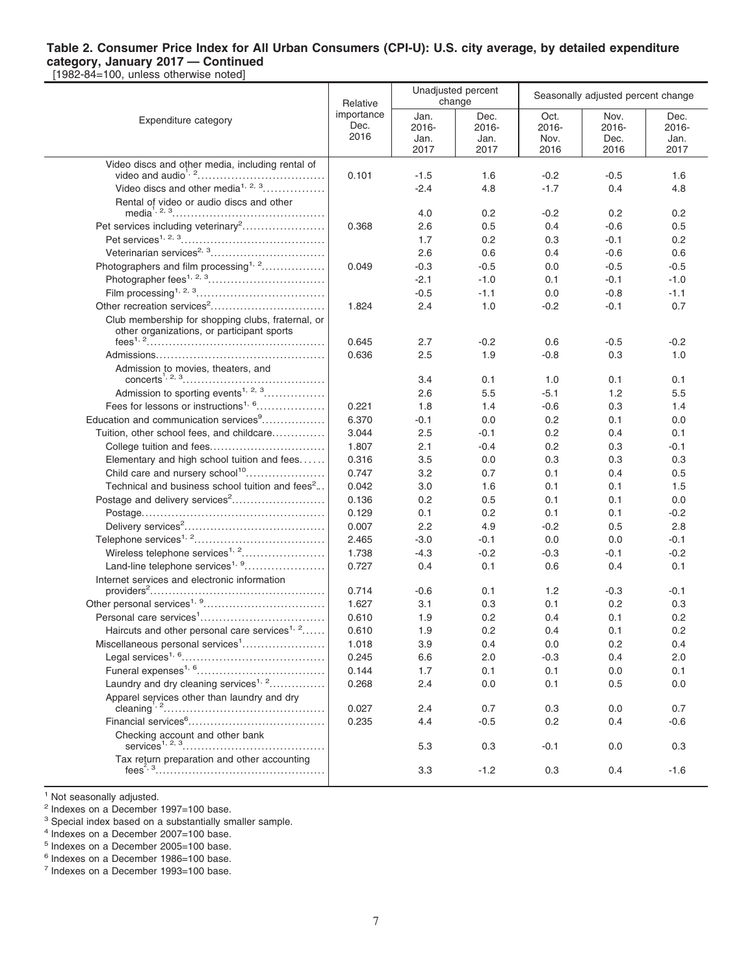[1982-84=100, unless otherwise noted]

|                                                                                                 | Unadjusted percent<br>Seasonally adjusted percent change<br>change<br>Relative |               |               |               |               |               |
|-------------------------------------------------------------------------------------------------|--------------------------------------------------------------------------------|---------------|---------------|---------------|---------------|---------------|
| Expenditure category                                                                            | importance<br>Dec.                                                             | Jan.<br>2016- | Dec.<br>2016- | Oct.<br>2016- | Nov.<br>2016- | Dec.<br>2016- |
|                                                                                                 | 2016                                                                           | Jan.          | Jan.          | Nov.          | Dec.          | Jan.          |
|                                                                                                 |                                                                                | 2017          | 2017          | 2016          | 2016          | 2017          |
| Video discs and other media, including rental of                                                |                                                                                |               |               |               |               |               |
|                                                                                                 | 0.101                                                                          | $-1.5$        | 1.6           | $-0.2$        | $-0.5$        | 1.6           |
| Video discs and other media <sup>1, 2, 3</sup>                                                  |                                                                                | $-2.4$        | 4.8           | $-1.7$        | 0.4           | 4.8           |
| Rental of video or audio discs and other                                                        |                                                                                | 4.0           | 0.2           | $-0.2$        | 0.2           | 0.2           |
| Pet services including veterinary <sup>2</sup>                                                  | 0.368                                                                          | 2.6           | 0.5           | 0.4           | $-0.6$        | 0.5           |
|                                                                                                 |                                                                                | 1.7           | 0.2           | 0.3           | $-0.1$        | 0.2           |
| Veterinarian services <sup>2, 3</sup>                                                           |                                                                                | 2.6           | 0.6           | 0.4           | $-0.6$        | 0.6           |
| Photographers and film processing <sup>1, 2</sup>                                               | 0.049                                                                          | $-0.3$        | $-0.5$        | 0.0           | $-0.5$        | $-0.5$        |
|                                                                                                 |                                                                                | $-2.1$        | $-1.0$        | 0.1           | $-0.1$        | $-1.0$        |
|                                                                                                 |                                                                                | $-0.5$        | $-1.1$        | 0.0           | $-0.8$        | $-1.1$        |
|                                                                                                 | 1.824                                                                          | 2.4           | 1.0           | $-0.2$        | $-0.1$        | 0.7           |
| Club membership for shopping clubs, fraternal, or<br>other organizations, or participant sports |                                                                                |               |               |               |               |               |
|                                                                                                 | 0.645                                                                          | 2.7           | $-0.2$        | 0.6           | $-0.5$        | $-0.2$        |
|                                                                                                 | 0.636                                                                          | 2.5           | 1.9           | $-0.8$        | 0.3           | 1.0           |
| Admission to movies, theaters, and                                                              |                                                                                |               |               |               |               |               |
|                                                                                                 |                                                                                | 3.4           | 0.1           | 1.0           | 0.1           | 0.1           |
| Admission to sporting events <sup>1, 2, 3</sup>                                                 |                                                                                | 2.6           | 5.5           | $-5.1$        | 1.2           | 5.5           |
| Fees for lessons or instructions <sup>1, 6</sup>                                                | 0.221                                                                          | 1.8           | 1.4           | $-0.6$        | 0.3           | 1.4           |
| Education and communication services ${}^9$                                                     | 6.370                                                                          | -0.1          | 0.0           | 0.2           | 0.1           | 0.0           |
| Tuition, other school fees, and childcare                                                       | 3.044                                                                          | 2.5           | $-0.1$        | 0.2           | 0.4           | 0.1           |
| College tuition and fees                                                                        | 1.807                                                                          | 2.1           | $-0.4$        | 0.2           | 0.3           | $-0.1$        |
| Elementary and high school tuition and fees                                                     | 0.316                                                                          | 3.5           | 0.0           | 0.3           | 0.3           | 0.3           |
| Child care and nursery school <sup>10</sup>                                                     | 0.747                                                                          | 3.2           | 0.7           | 0.1           | 0.4           | 0.5           |
| Technical and business school tuition and fees <sup>2</sup>                                     | 0.042                                                                          | 3.0           | 1.6           | 0.1           | 0.1           | 1.5           |
| Postage and delivery services <sup>2</sup>                                                      | 0.136                                                                          | 0.2           | 0.5           | 0.1           | 0.1           | 0.0           |
|                                                                                                 | 0.129                                                                          | 0.1           | 0.2           | 0.1           | 0.1           | $-0.2$        |
|                                                                                                 | 0.007                                                                          | 2.2           | 4.9           | $-0.2$        | 0.5           | 2.8           |
|                                                                                                 | 2.465                                                                          | $-3.0$        | $-0.1$        | 0.0           | 0.0           | $-0.1$        |
| Wireless telephone services <sup>1, 2</sup>                                                     | 1.738                                                                          | $-4.3$        | $-0.2$        | $-0.3$        | $-0.1$        | $-0.2$        |
| Land-line telephone services <sup>1, 9</sup>                                                    | 0.727                                                                          | 0.4           | 0.1           | 0.6           | 0.4           | 0.1           |
| Internet services and electronic information                                                    |                                                                                |               |               |               |               |               |
|                                                                                                 | 0.714                                                                          | $-0.6$        | 0.1           | 1.2           | $-0.3$        | $-0.1$        |
|                                                                                                 | 1.627                                                                          | 3.1           | 0.3           | 0.1           | 0.2           | 0.3           |
|                                                                                                 | 0.610                                                                          | 1.9           | 0.2           | 0.4           | 0.1           | 0.2           |
| Haircuts and other personal care services <sup>1, 2</sup>                                       | 0.610                                                                          | 1.9           | 0.2           | 0.4           | 0.1           | 0.2           |
| Miscellaneous personal services <sup>1</sup>                                                    | 1.018                                                                          | 3.9           | 0.4           | 0.0           | 0.2           | 0.4           |
|                                                                                                 | 0.245                                                                          | 6.6           | 2.0           | $-0.3$        | 0.4           | 2.0           |
|                                                                                                 | 0.144                                                                          | 1.7           | 0.1           | 0.1           | 0.0           | 0.1           |
| Laundry and dry cleaning services <sup>1, 2</sup>                                               | 0.268                                                                          | 2.4           | 0.0           | 0.1           | 0.5           | 0.0           |
| Apparel services other than laundry and dry                                                     | 0.027                                                                          | 2.4           | 0.7           | 0.3           | 0.0           | 0.7           |
|                                                                                                 | 0.235                                                                          | 4.4           | $-0.5$        | 0.2           | 0.4           | $-0.6$        |
| Checking account and other bank                                                                 |                                                                                |               |               |               |               |               |
| Tax return preparation and other accounting                                                     |                                                                                | 5.3           | 0.3           | $-0.1$        | 0.0           | 0.3           |
|                                                                                                 |                                                                                | 3.3           | $-1.2$        | 0.3           | 0.4           | $-1.6$        |

<sup>1</sup> Not seasonally adjusted.

<sup>2</sup> Indexes on a December 1997=100 base.

<sup>3</sup> Special index based on a substantially smaller sample.

4 Indexes on a December 2007=100 base.

5 Indexes on a December 2005=100 base.

<sup>6</sup> Indexes on a December 1986=100 base.

7 Indexes on a December 1993=100 base.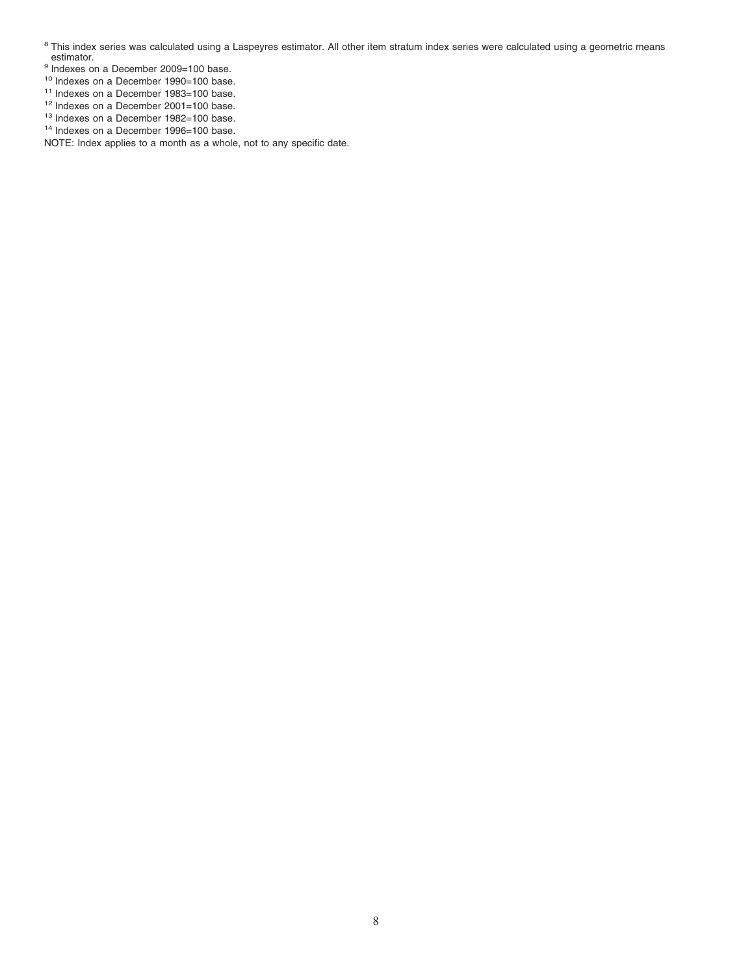- <sup>8</sup> This index series was calculated using a Laspeyres estimator. All other item stratum index series were calculated using a geometric means estimator.
- <sup>9</sup> Indexes on a December 2009=100 base.
- <sup>10</sup> Indexes on a December 1990=100 base.
- <sup>11</sup> Indexes on a December 1983=100 base.
- <sup>12</sup> Indexes on a December 2001=100 base.
- 13 Indexes on a December 1982=100 base.
- <sup>14</sup> Indexes on a December 1996=100 base.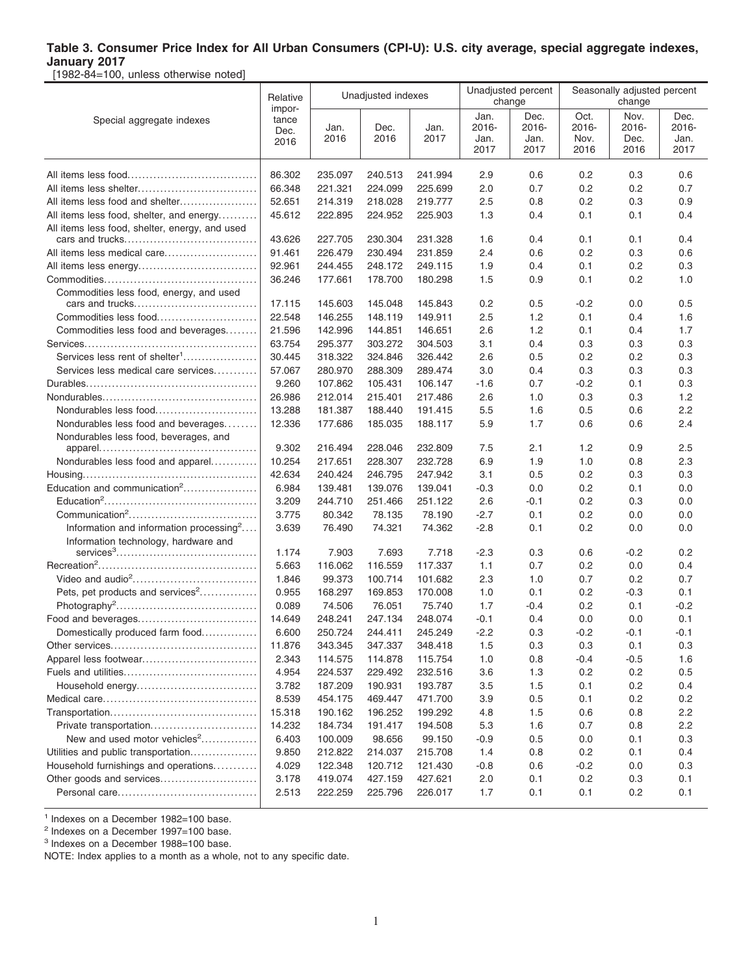#### **Table 3. Consumer Price Index for All Urban Consumers (CPI-U): U.S. city average, special aggregate indexes, January 2017**

[1982-84=100, unless otherwise noted]

|                                                     | Relative        |         | Unadjusted indexes |         |        | Unadjusted percent<br>change |        | change | Seasonally adjusted percent |  |  |
|-----------------------------------------------------|-----------------|---------|--------------------|---------|--------|------------------------------|--------|--------|-----------------------------|--|--|
| Special aggregate indexes                           | impor-<br>tance |         |                    |         | Jan.   | Dec.                         | Oct.   | Nov.   | Dec.                        |  |  |
|                                                     | Dec.            | Jan.    | Dec.               | Jan.    | 2016-  | 2016-                        | 2016-  | 2016-  | 2016-                       |  |  |
|                                                     | 2016            | 2016    | 2016               | 2017    | Jan.   | Jan.                         | Nov.   | Dec.   | Jan.                        |  |  |
|                                                     |                 |         |                    |         | 2017   | 2017                         | 2016   | 2016   | 2017                        |  |  |
|                                                     | 86.302          | 235.097 | 240.513            | 241.994 | 2.9    | 0.6                          | 0.2    | 0.3    | 0.6                         |  |  |
| All items less shelter                              | 66.348          | 221.321 | 224.099            | 225.699 | 2.0    | 0.7                          | 0.2    | 0.2    | 0.7                         |  |  |
| All items less food and shelter                     | 52.651          | 214.319 | 218.028            | 219.777 | 2.5    | 0.8                          | 0.2    | 0.3    | 0.9                         |  |  |
| All items less food, shelter, and energy            | 45.612          | 222.895 | 224.952            | 225.903 | 1.3    | 0.4                          | 0.1    | 0.1    | 0.4                         |  |  |
| All items less food, shelter, energy, and used      |                 |         |                    |         |        |                              |        |        |                             |  |  |
|                                                     | 43.626          | 227.705 | 230.304            | 231.328 | 1.6    | 0.4                          | 0.1    | 0.1    | 0.4                         |  |  |
| All items less medical care                         | 91.461          | 226.479 | 230.494            | 231.859 | 2.4    | 0.6                          | 0.2    | 0.3    | 0.6                         |  |  |
|                                                     | 92.961          | 244.455 | 248.172            | 249.115 | 1.9    | 0.4                          | 0.1    | 0.2    | 0.3                         |  |  |
|                                                     | 36.246          | 177.661 | 178.700            | 180.298 | 1.5    | 0.9                          | 0.1    | 0.2    | 1.0                         |  |  |
| Commodities less food, energy, and used             |                 |         |                    |         |        |                              |        |        |                             |  |  |
|                                                     | 17.115          | 145.603 | 145.048            | 145.843 | 0.2    | 0.5                          | $-0.2$ | 0.0    | 0.5                         |  |  |
| Commodities less food                               | 22.548          | 146.255 | 148.119            | 149.911 | 2.5    | 1.2                          | 0.1    | 0.4    | 1.6                         |  |  |
| Commodities less food and beverages                 | 21.596          | 142.996 | 144.851            | 146.651 | 2.6    | 1.2                          | 0.1    | 0.4    | 1.7                         |  |  |
|                                                     | 63.754          | 295.377 | 303.272            | 304.503 | 3.1    | 0.4                          | 0.3    | 0.3    | 0.3                         |  |  |
| Services less rent of shelter <sup>1</sup>          | 30.445          | 318.322 | 324.846            | 326.442 | 2.6    | 0.5                          | 0.2    | 0.2    | 0.3                         |  |  |
| Services less medical care services                 | 57.067          | 280.970 | 288.309            | 289.474 | 3.0    | 0.4                          | 0.3    | 0.3    | 0.3                         |  |  |
|                                                     | 9.260           | 107.862 | 105.431            | 106.147 | $-1.6$ | 0.7                          | $-0.2$ | 0.1    | 0.3                         |  |  |
|                                                     | 26.986          | 212.014 | 215.401            | 217.486 | 2.6    | 1.0                          | 0.3    | 0.3    | 1.2                         |  |  |
| Nondurables less food                               | 13.288          | 181.387 | 188.440            | 191.415 | 5.5    | 1.6                          | 0.5    | 0.6    | 2.2                         |  |  |
| Nondurables less food and beverages                 | 12.336          | 177.686 | 185.035            | 188.117 | 5.9    | 1.7                          | 0.6    | 0.6    | 2.4                         |  |  |
| Nondurables less food, beverages, and               |                 |         |                    |         |        |                              |        |        |                             |  |  |
|                                                     | 9.302           | 216.494 | 228.046            | 232.809 | 7.5    | 2.1                          | 1.2    | 0.9    | 2.5                         |  |  |
| Nondurables less food and apparel                   | 10.254          | 217.651 | 228.307            | 232.728 | 6.9    | 1.9                          | 1.0    | 0.8    | 2.3                         |  |  |
|                                                     | 42.634          | 240.424 | 246.795            | 247.942 | 3.1    | 0.5                          | 0.2    | 0.3    | 0.3                         |  |  |
| Education and communication <sup>2</sup>            | 6.984           | 139.481 | 139.076            | 139.041 | $-0.3$ | 0.0                          | 0.2    | 0.1    | 0.0                         |  |  |
|                                                     | 3.209           | 244.710 | 251.466            | 251.122 | 2.6    | $-0.1$                       | 0.2    | 0.3    | 0.0                         |  |  |
|                                                     | 3.775           | 80.342  | 78.135             | 78.190  | $-2.7$ | 0.1                          | 0.2    | 0.0    | 0.0                         |  |  |
| Information and information processing <sup>2</sup> | 3.639           | 76.490  | 74.321             | 74.362  | $-2.8$ | 0.1                          | 0.2    | 0.0    | 0.0                         |  |  |
| Information technology, hardware and                |                 |         |                    |         |        |                              |        |        |                             |  |  |
|                                                     | 1.174           | 7.903   | 7.693              | 7.718   | $-2.3$ | 0.3                          | 0.6    | $-0.2$ | 0.2                         |  |  |
|                                                     | 5.663           | 116.062 | 116.559            | 117.337 | 1.1    | 0.7                          | 0.2    | 0.0    | 0.4                         |  |  |
|                                                     | 1.846           | 99.373  | 100.714            | 101.682 | 2.3    | 1.0                          | 0.7    | 0.2    | 0.7                         |  |  |
| Pets, pet products and services <sup>2</sup>        | 0.955           | 168.297 | 169.853            | 170.008 | 1.0    | 0.1                          | 0.2    | $-0.3$ | 0.1                         |  |  |
|                                                     | 0.089           | 74.506  | 76.051             | 75.740  | 1.7    | $-0.4$                       | 0.2    | 0.1    | $-0.2$                      |  |  |
| Food and beverages                                  | 14.649          | 248.241 | 247.134            | 248.074 | $-0.1$ | 0.4                          | 0.0    | 0.0    | 0.1                         |  |  |
| Domestically produced farm food                     | 6.600           | 250.724 | 244.411            | 245.249 | $-2.2$ | 0.3                          | $-0.2$ | $-0.1$ | $-0.1$                      |  |  |
|                                                     | 11.876          | 343.345 | 347.337            | 348.418 | 1.5    | 0.3                          | 0.3    | 0.1    | 0.3                         |  |  |
| Apparel less footwear                               | 2.343           | 114.575 | 114.878            | 115.754 | 1.0    | 0.8                          | $-0.4$ | $-0.5$ | 1.6                         |  |  |
|                                                     | 4.954           | 224.537 | 229.492            | 232.516 | 3.6    | 1.3                          | 0.2    | 0.2    | 0.5                         |  |  |
| Household energy                                    | 3.782           | 187.209 | 190.931            | 193.787 | 3.5    | 1.5                          | 0.1    | 0.2    | 0.4                         |  |  |
|                                                     | 8.539           | 454.175 | 469.447            | 471.700 | 3.9    | 0.5                          | 0.1    | 0.2    | 0.2                         |  |  |
|                                                     | 15.318          | 190.162 | 196.252            | 199.292 | 4.8    | 1.5                          | 0.6    | 0.8    | 2.2                         |  |  |
| Private transportation                              | 14.232          | 184.734 | 191.417            | 194.508 | 5.3    | 1.6                          | 0.7    | 0.8    | 2.2                         |  |  |
| New and used motor vehicles <sup>2</sup>            | 6.403           | 100.009 | 98.656             | 99.150  | $-0.9$ | 0.5                          | 0.0    | 0.1    | 0.3                         |  |  |
| Utilities and public transportation                 | 9.850           | 212.822 | 214.037            | 215.708 | 1.4    | 0.8                          | 0.2    | 0.1    | 0.4                         |  |  |
| Household furnishings and operations                | 4.029           | 122.348 | 120.712            | 121.430 | $-0.8$ | 0.6                          | $-0.2$ | 0.0    | 0.3                         |  |  |
| Other goods and services                            | 3.178           | 419.074 | 427.159            | 427.621 | 2.0    | 0.1                          | 0.2    | 0.3    | 0.1                         |  |  |
|                                                     | 2.513           | 222.259 | 225.796            | 226.017 | 1.7    | 0.1                          | 0.1    | 0.2    | 0.1                         |  |  |

<sup>1</sup> Indexes on a December 1982=100 base.

<sup>2</sup> Indexes on a December 1997=100 base.

3 Indexes on a December 1988=100 base.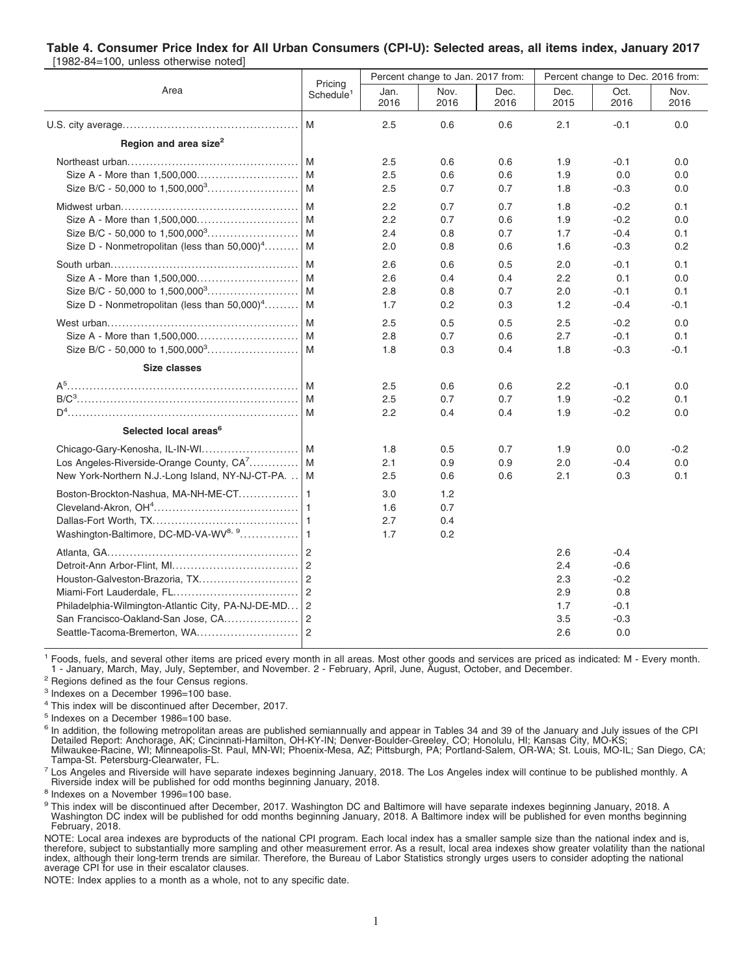#### **Table 4. Consumer Price Index for All Urban Consumers (CPI-U): Selected areas, all items index, January 2017** [1982-84=100, unless otherwise noted]

|                                                           |                            | Percent change to Jan. 2017 from: |              |              | Percent change to Dec. 2016 from: |              |              |
|-----------------------------------------------------------|----------------------------|-----------------------------------|--------------|--------------|-----------------------------------|--------------|--------------|
| Area                                                      | Pricing<br>$S$ chedule $1$ | Jan.<br>2016                      | Nov.<br>2016 | Dec.<br>2016 | Dec.<br>2015                      | Oct.<br>2016 | Nov.<br>2016 |
|                                                           | M                          | 2.5                               | 0.6          | 0.6          | 2.1                               | $-0.1$       | 0.0          |
| Region and area size <sup>2</sup>                         |                            |                                   |              |              |                                   |              |              |
|                                                           | M                          | 2.5                               | 0.6          | 0.6          | 1.9                               | $-0.1$       | 0.0          |
|                                                           | M                          | 2.5                               | 0.6          | 0.6          | 1.9                               | 0.0          | 0.0          |
|                                                           | M                          | 2.5                               | 0.7          | 0.7          | 1.8                               | $-0.3$       | 0.0          |
|                                                           | M                          | 2.2                               | 0.7          | 0.7          | 1.8                               | $-0.2$       | 0.1          |
| Size A - More than 1,500,000                              | M                          | 2.2                               | 0.7          | 0.6          | 1.9                               | $-0.2$       | 0.0          |
|                                                           | M                          | 2.4                               | 0.8          | 0.7          | 1.7                               | $-0.4$       | 0.1          |
| Size D - Nonmetropolitan (less than 50,000) <sup>4</sup>  | M                          | 2.0                               | 0.8          | 0.6          | 1.6                               | $-0.3$       | 0.2          |
|                                                           | M                          | 2.6                               | 0.6          | 0.5          | 2.0                               | $-0.1$       | 0.1          |
|                                                           | M                          | 2.6                               | 0.4          | 0.4          | 2.2                               | 0.1          | 0.0          |
|                                                           | M                          | 2.8                               | 0.8          | 0.7          | 2.0                               | $-0.1$       | 0.1          |
| Size D - Nonmetropolitan (less than $50,000$ <sup>4</sup> | M                          | 1.7                               | 0.2          | 0.3          | 1.2                               | $-0.4$       | $-0.1$       |
|                                                           | M                          | 2.5                               | 0.5          | 0.5          | 2.5                               | $-0.2$       | 0.0          |
|                                                           | M                          | 2.8                               | 0.7          | 0.6          | 2.7                               | $-0.1$       | 0.1          |
|                                                           | M                          | 1.8                               | 0.3          | 0.4          | 1.8                               | $-0.3$       | $-0.1$       |
| <b>Size classes</b>                                       |                            |                                   |              |              |                                   |              |              |
|                                                           |                            | 2.5                               | 0.6          | 0.6          | 2.2                               | $-0.1$       | 0.0          |
|                                                           | M                          | 2.5                               | 0.7          | 0.7          | 1.9                               | $-0.2$       | 0.1          |
|                                                           | M                          | 2.2                               | 0.4          | 0.4          | 1.9                               | $-0.2$       | 0.0          |
| Selected local areas <sup>6</sup>                         |                            |                                   |              |              |                                   |              |              |
| Chicago-Gary-Kenosha, IL-IN-WI                            | M                          | 1.8                               | 0.5          | 0.7          | 1.9                               | 0.0          | $-0.2$       |
| Los Angeles-Riverside-Orange County, CA <sup>7</sup>      | M                          | 2.1                               | 0.9          | 0.9          | 2.0                               | $-0.4$       | 0.0          |
| New York-Northern N.J.-Long Island, NY-NJ-CT-PA.          | M                          | 2.5                               | 0.6          | 0.6          | 2.1                               | 0.3          | 0.1          |
| Boston-Brockton-Nashua, MA-NH-ME-CT                       | $\overline{1}$             | 3.0                               | 1.2          |              |                                   |              |              |
|                                                           | $\mathbf{1}$               | 1.6                               | 0.7          |              |                                   |              |              |
|                                                           |                            | 2.7                               | 0.4          |              |                                   |              |              |
| Washington-Baltimore, DC-MD-VA-WV8, 9                     | $\overline{1}$             | 1.7                               | 0.2          |              |                                   |              |              |
|                                                           | $\overline{2}$             |                                   |              |              | 2.6                               | $-0.4$       |              |
|                                                           |                            |                                   |              |              | 2.4                               | $-0.6$       |              |
| Houston-Galveston-Brazoria, TX                            | $\overline{2}$             |                                   |              |              | 2.3                               | $-0.2$       |              |
|                                                           |                            |                                   |              |              | 2.9                               | 0.8          |              |
| Philadelphia-Wilmington-Atlantic City, PA-NJ-DE-MD        | $\overline{2}$             |                                   |              |              | 1.7                               | $-0.1$       |              |
| San Francisco-Oakland-San Jose, CA                        | $\overline{2}$             |                                   |              |              | 3.5                               | $-0.3$       |              |
|                                                           |                            |                                   |              |              | 2.6                               | 0.0          |              |

<sup>1</sup> Foods, fuels, and several other items are priced every month in all areas. Most other goods and services are priced as indicated: M - Every month.<br>1 - January, March, May, July, September, and November. 2 - February, A

<sup>2</sup> Regions defined as the four Census regions.

<sup>3</sup> Indexes on a December 1996=100 base.

<sup>4</sup> This index will be discontinued after December, 2017.

5 Indexes on a December 1986=100 base.

<sup>6</sup> In addition, the following metropolitan areas are published semiannually and appear in Tables 34 and 39 of the January and July issues of the CPI Detailed Report: Anchorage, AK; Cincinnati-Hamilton, OH-KY-IN; Denver-Boulder-Greeley, CO; Honolulu, HI; Kansas City, MO-KS;<br>Milwaukee-Racine, WI; Minneapolis-St. Paul, MN-WI; Phoenix-Mesa, AZ; Pittsburgh, PA; Portland-Sal Tampa-St. Petersburg-Clearwater, FL.

<sup>7</sup> Los Angeles and Riverside will have separate indexes beginning January, 2018. The Los Angeles index will continue to be published monthly. A Riverside index will be published for odd months beginning January, 2018.

<sup>8</sup> Indexes on a November 1996=100 base.

9 This index will be discontinued after December, 2017. Washington DC and Baltimore will have separate indexes beginning January, 2018. A Washington DC index will be published for odd months beginning January, 2018. A Baltimore index will be published for even months beginning February, 2018.

NOTE: Local area indexes are byproducts of the national CPI program. Each local index has a smaller sample size than the national index and is, therefore, subject to substantially more sampling and other measurement error. As a result, local area indexes show greater volatility than the national<br>index, although their long-term trends are similar. Therefore, the Bu average CPI for use in their escalator clauses.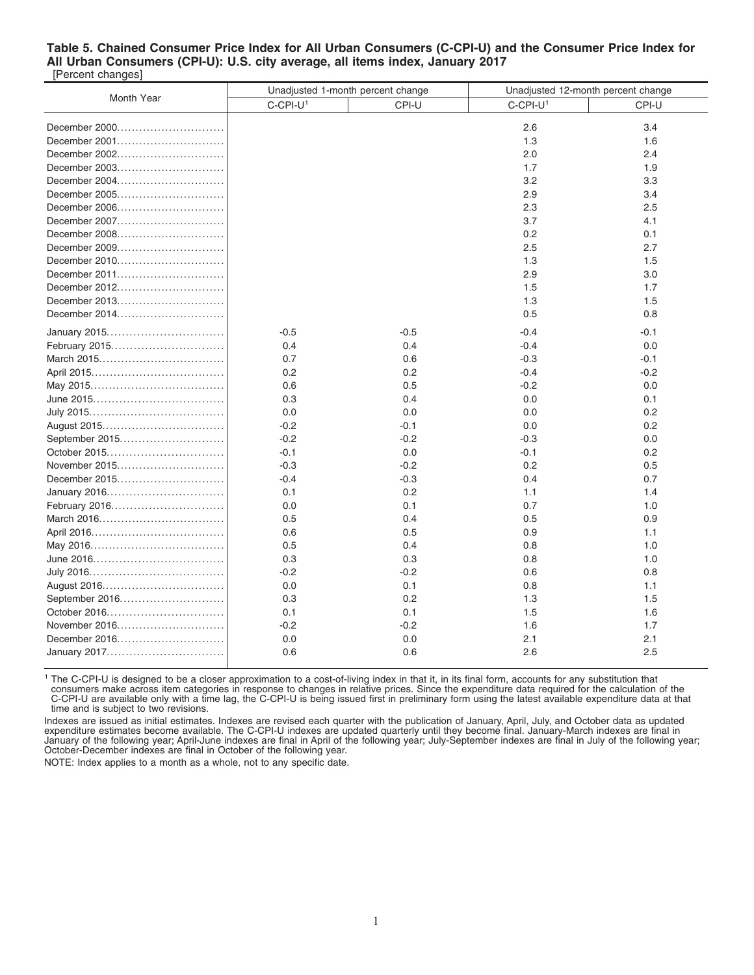#### **Table 5. Chained Consumer Price Index for All Urban Consumers (C-CPI-U) and the Consumer Price Index for All Urban Consumers (CPI-U): U.S. city average, all items index, January 2017** [Percent changes]

|                |                         | Unadjusted 1-month percent change | Unadjusted 12-month percent change |        |
|----------------|-------------------------|-----------------------------------|------------------------------------|--------|
| Month Year     | $C$ -CPI-U <sup>1</sup> | CPI-U                             | $C$ -CPI-U <sup>1</sup>            | CPI-U  |
| December 2000  |                         |                                   | 2.6                                | 3.4    |
| December 2001  |                         |                                   | 1.3                                | 1.6    |
| December 2002  |                         |                                   | 2.0                                | 2.4    |
| December 2003  |                         |                                   | 1.7                                | 1.9    |
| December 2004  |                         |                                   | 3.2                                | 3.3    |
| December 2005  |                         |                                   | 2.9                                | 3.4    |
| December 2006  |                         |                                   | 2.3                                | 2.5    |
| December 2007  |                         |                                   | 3.7                                | 4.1    |
| December 2008  |                         |                                   | 0.2                                | 0.1    |
| December 2009  |                         |                                   | 2.5                                | 2.7    |
| December 2010  |                         |                                   | 1.3                                | 1.5    |
| December 2011  |                         |                                   | 2.9                                | 3.0    |
| December 2012  |                         |                                   | 1.5                                | 1.7    |
| December 2013  |                         |                                   | 1.3                                | 1.5    |
| December 2014  |                         |                                   | 0.5                                | 0.8    |
| January 2015   | $-0.5$                  | $-0.5$                            | $-0.4$                             | $-0.1$ |
| February 2015  | 0.4                     | 0.4                               | $-0.4$                             | 0.0    |
| March 2015     | 0.7                     | 0.6                               | $-0.3$                             | $-0.1$ |
|                | 0.2                     | 0.2                               | $-0.4$                             | $-0.2$ |
|                | 0.6                     | 0.5                               | $-0.2$                             | 0.0    |
|                | 0.3                     | 0.4                               | 0.0                                | 0.1    |
|                | 0.0                     | 0.0                               | 0.0                                | 0.2    |
|                | $-0.2$                  | $-0.1$                            | 0.0                                | 0.2    |
| September 2015 | $-0.2$                  | $-0.2$                            | $-0.3$                             | 0.0    |
| October 2015   | $-0.1$                  | 0.0                               | $-0.1$                             | 0.2    |
| November 2015  | $-0.3$                  | $-0.2$                            | 0.2                                | 0.5    |
| December 2015  | $-0.4$                  | $-0.3$                            | 0.4                                | 0.7    |
| January 2016   | 0.1                     | 0.2                               | 1.1                                | 1.4    |
| February 2016  | 0.0                     | 0.1                               | 0.7                                | 1.0    |
| March 2016     | 0.5                     | 0.4                               | 0.5                                | 0.9    |
|                | 0.6                     | 0.5                               | 0.9                                | 1.1    |
|                | 0.5                     | 0.4                               | 0.8                                | 1.0    |
|                | 0.3                     | 0.3                               | 0.8                                | 1.0    |
|                | $-0.2$                  | $-0.2$                            | 0.6                                | 0.8    |
|                | 0.0                     | 0.1                               | 0.8                                | 1.1    |
| September 2016 | 0.3                     | 0.2                               | 1.3                                | 1.5    |
| October 2016   | 0.1                     | 0.1                               | 1.5                                | 1.6    |
| November 2016  | $-0.2$                  | $-0.2$                            | 1.6                                | 1.7    |
| December 2016  | 0.0                     | 0.0                               | 2.1                                | 2.1    |
| January 2017   | 0.6                     | 0.6                               | 2.6                                | 2.5    |
|                |                         |                                   |                                    |        |

<sup>1</sup> The C-CPI-U is designed to be a closer approximation to a cost-of-living index in that it, in its final form, accounts for any substitution that consumers make across item categories in response to changes in relative prices. Since the expenditure data required for the calculation of the C-CPI-U are available only with a time lag, the C-CPI-U is being issued first in preliminary form using the latest available expenditure data at that time and is subject to two revisions.

Indexes are issued as initial estimates. Indexes are revised each quarter with the publication of January, April, July, and October data as updated<br>expenditure estimates become available. The C-CPI-U indexes are updated qu January of the following year; April-June indexes are final in April of the following year; July-September indexes are final in July of the following year; October-December indexes are final in October of the following year.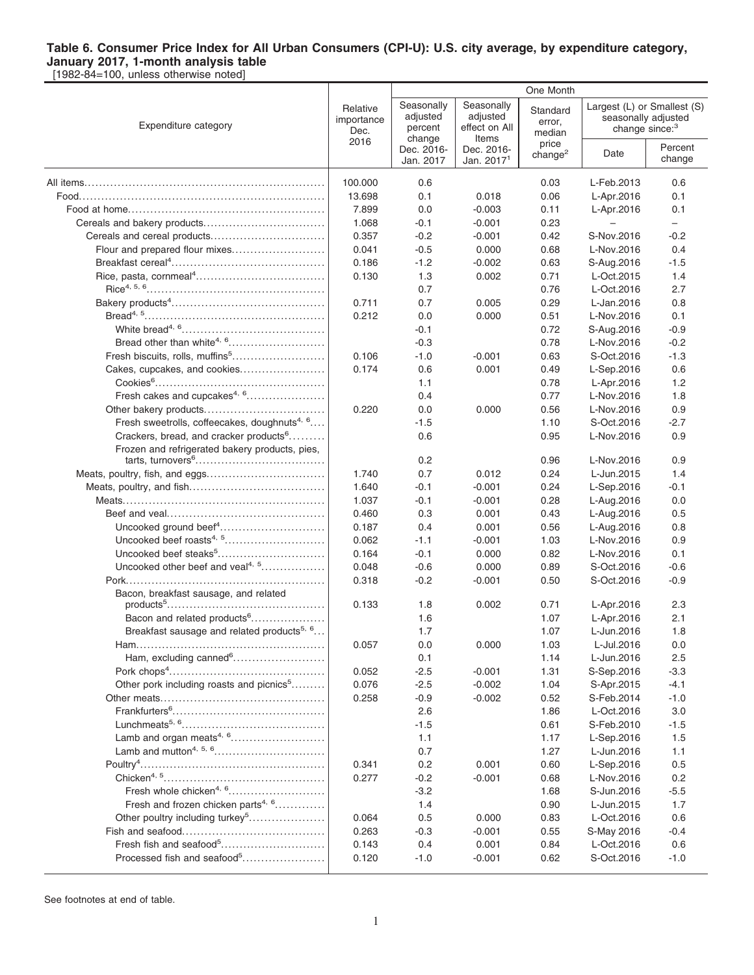[1982-84=100, unless otherwise noted]

|                                                                                                                                       |                                        |                                             | One Month                                        |                                       |                            |                                                    |
|---------------------------------------------------------------------------------------------------------------------------------------|----------------------------------------|---------------------------------------------|--------------------------------------------------|---------------------------------------|----------------------------|----------------------------------------------------|
| Expenditure category                                                                                                                  | Relative<br>importance<br>Dec.<br>2016 | Seasonally<br>adjusted<br>percent<br>change | Seasonally<br>adjusted<br>effect on All<br>Items | Standard<br>error,<br>median<br>price | change since: <sup>3</sup> | Largest (L) or Smallest (S)<br>seasonally adjusted |
|                                                                                                                                       |                                        | Dec. 2016-<br>Jan. 2017                     | Dec. 2016-<br>Jan. 2017 <sup>1</sup>             | change <sup>2</sup>                   | Date                       | Percent<br>change                                  |
|                                                                                                                                       | 100.000                                | 0.6                                         |                                                  | 0.03                                  | L-Feb.2013                 | 0.6                                                |
|                                                                                                                                       | 13.698                                 | 0.1                                         | 0.018                                            | 0.06                                  | L-Apr.2016                 | 0.1                                                |
|                                                                                                                                       | 7.899                                  | 0.0                                         | $-0.003$                                         | 0.11                                  | L-Apr.2016                 | 0.1                                                |
|                                                                                                                                       | 1.068                                  | $-0.1$                                      | $-0.001$                                         | 0.23                                  | $\overline{\phantom{0}}$   | $\overline{\phantom{0}}$                           |
|                                                                                                                                       | 0.357                                  | $-0.2$                                      | $-0.001$                                         | 0.42                                  | S-Nov.2016                 | $-0.2$                                             |
| Flour and prepared flour mixes                                                                                                        | 0.041                                  | $-0.5$                                      | 0.000                                            | 0.68                                  | L-Nov.2016                 | 0.4                                                |
|                                                                                                                                       | 0.186                                  | $-1.2$                                      | $-0.002$                                         | 0.63                                  | S-Aug.2016                 | $-1.5$                                             |
|                                                                                                                                       | 0.130                                  | 1.3                                         | 0.002                                            | 0.71                                  | L-Oct.2015                 | 1.4                                                |
|                                                                                                                                       |                                        | 0.7                                         |                                                  | 0.76                                  | L-Oct.2016                 | 2.7                                                |
|                                                                                                                                       | 0.711                                  | 0.7                                         | 0.005                                            | 0.29                                  | L-Jan.2016                 | 0.8                                                |
|                                                                                                                                       | 0.212                                  | 0.0                                         | 0.000                                            | 0.51                                  | L-Nov.2016                 | 0.1                                                |
|                                                                                                                                       |                                        | $-0.1$                                      |                                                  | 0.72                                  | S-Aug.2016                 | $-0.9$                                             |
|                                                                                                                                       |                                        | $-0.3$                                      |                                                  | 0.78                                  | L-Nov.2016                 | $-0.2$                                             |
| Fresh biscuits, rolls, muffins <sup>5</sup>                                                                                           | 0.106                                  | $-1.0$                                      | $-0.001$                                         | 0.63                                  | S-Oct.2016                 | $-1.3$                                             |
| Cakes, cupcakes, and cookies                                                                                                          | 0.174                                  | 0.6                                         | 0.001                                            | 0.49                                  | L-Sep.2016                 | 0.6                                                |
|                                                                                                                                       |                                        | 1.1                                         |                                                  | 0.78                                  | L-Apr.2016                 | 1.2                                                |
| Fresh cakes and cupcakes <sup>4, 6</sup>                                                                                              |                                        | 0.4                                         |                                                  | 0.77                                  | L-Nov.2016                 | 1.8                                                |
|                                                                                                                                       | 0.220                                  | 0.0                                         | 0.000                                            | 0.56                                  | L-Nov.2016                 | 0.9                                                |
| Fresh sweetrolls, coffeecakes, doughnuts <sup>4, 6</sup>                                                                              |                                        | $-1.5$                                      |                                                  | 1.10                                  | S-Oct.2016                 | $-2.7$                                             |
| Crackers, bread, and cracker products <sup>6</sup>                                                                                    |                                        | 0.6                                         |                                                  | 0.95                                  | L-Nov.2016                 | 0.9                                                |
| Frozen and refrigerated bakery products, pies,                                                                                        |                                        |                                             |                                                  |                                       |                            |                                                    |
|                                                                                                                                       |                                        | 0.2                                         |                                                  | 0.96                                  | L-Nov.2016                 | 0.9                                                |
|                                                                                                                                       | 1.740                                  | 0.7                                         | 0.012                                            | 0.24                                  | L-Jun.2015                 | 1.4                                                |
|                                                                                                                                       | 1.640                                  | $-0.1$                                      | $-0.001$                                         | 0.24                                  | L-Sep.2016                 | $-0.1$                                             |
|                                                                                                                                       | 1.037                                  | $-0.1$                                      | $-0.001$                                         | 0.28                                  | L-Aug.2016                 | 0.0                                                |
| Uncooked ground beef <sup>4</sup>                                                                                                     | 0.460                                  | 0.3<br>0.4                                  | 0.001                                            | 0.43<br>0.56                          | L-Aug.2016                 | 0.5<br>0.8                                         |
|                                                                                                                                       | 0.187<br>0.062                         | $-1.1$                                      | 0.001<br>$-0.001$                                | 1.03                                  | L-Aug.2016<br>L-Nov.2016   | 0.9                                                |
|                                                                                                                                       | 0.164                                  | $-0.1$                                      | 0.000                                            | 0.82                                  | L-Nov.2016                 | 0.1                                                |
| Uncooked other beef and veal <sup>4, 5</sup>                                                                                          | 0.048                                  | $-0.6$                                      | 0.000                                            | 0.89                                  | S-Oct.2016                 | $-0.6$                                             |
|                                                                                                                                       | 0.318                                  | $-0.2$                                      | $-0.001$                                         | 0.50                                  | S-Oct.2016                 | $-0.9$                                             |
| Bacon, breakfast sausage, and related                                                                                                 |                                        |                                             |                                                  |                                       |                            |                                                    |
|                                                                                                                                       | 0.133                                  | 1.8                                         | 0.002                                            | 0.71                                  | L-Apr.2016                 | 2.3                                                |
| Bacon and related products <sup>6</sup>                                                                                               |                                        | 1.6                                         |                                                  | 1.07                                  | L-Apr.2016                 | 2.1                                                |
| Breakfast sausage and related products <sup>5, 6</sup>                                                                                |                                        | 1.7                                         |                                                  | 1.07                                  | L-Jun.2016                 | 1.8                                                |
|                                                                                                                                       | 0.057                                  | 0.0                                         | 0.000                                            | 1.03                                  | L-Jul.2016                 | 0.0                                                |
| Ham, excluding canned <sup>6</sup>                                                                                                    |                                        | 0.1                                         |                                                  | 1.14                                  | L-Jun.2016                 | 2.5                                                |
|                                                                                                                                       | 0.052                                  | $-2.5$                                      | $-0.001$                                         | 1.31                                  | S-Sep.2016                 | $-3.3$                                             |
| Other pork including roasts and picnics <sup>5</sup>                                                                                  | 0.076                                  | $-2.5$                                      | $-0.002$                                         | 1.04                                  | S-Apr.2015                 | $-4.1$                                             |
|                                                                                                                                       | 0.258                                  | $-0.9$                                      | $-0.002$                                         | 0.52                                  | S-Feb.2014                 | $-1.0$                                             |
|                                                                                                                                       |                                        | 2.6                                         |                                                  | 1.86                                  | L-Oct.2016                 | 3.0                                                |
| $\text{Lunchmeats}^{5,~6} \text{.\,}\dots \text{.\,}\dots \text{.\,}\dots \text{.\,}\dots \text{.\,}\dots \text{.\,}\dots \text{.\,}$ |                                        | $-1.5$                                      |                                                  | 0.61                                  | S-Feb.2010                 | $-1.5$                                             |
|                                                                                                                                       |                                        | 1.1                                         |                                                  | 1.17                                  | L-Sep.2016                 | 1.5                                                |
|                                                                                                                                       |                                        | 0.7                                         |                                                  | 1.27                                  | L-Jun.2016                 | 1.1                                                |
|                                                                                                                                       | 0.341                                  | 0.2                                         | 0.001                                            | 0.60                                  | L-Sep.2016                 | 0.5                                                |
|                                                                                                                                       | 0.277                                  | $-0.2$                                      | $-0.001$                                         | 0.68                                  | L-Nov.2016                 | 0.2                                                |
| Fresh whole chicken <sup>4, 6</sup>                                                                                                   |                                        | $-3.2$                                      |                                                  | 1.68                                  | S-Jun.2016                 | $-5.5$                                             |
| Fresh and frozen chicken parts <sup>4, 6</sup>                                                                                        |                                        | 1.4                                         |                                                  | 0.90                                  | L-Jun.2015                 | 1.7                                                |
| Other poultry including turkey <sup>5</sup>                                                                                           | 0.064                                  | 0.5                                         | 0.000                                            | 0.83                                  | L-Oct.2016                 | 0.6                                                |
|                                                                                                                                       | 0.263                                  | $-0.3$                                      | $-0.001$                                         | 0.55                                  | S-May 2016                 | $-0.4$                                             |
| Fresh fish and seafood <sup>5</sup>                                                                                                   | 0.143                                  | 0.4                                         | 0.001                                            | 0.84                                  | L-Oct.2016                 | 0.6                                                |
| Processed fish and seafood <sup>5</sup>                                                                                               | 0.120                                  | $-1.0$                                      | $-0.001$                                         | 0.62                                  | S-Oct.2016                 | $-1.0$                                             |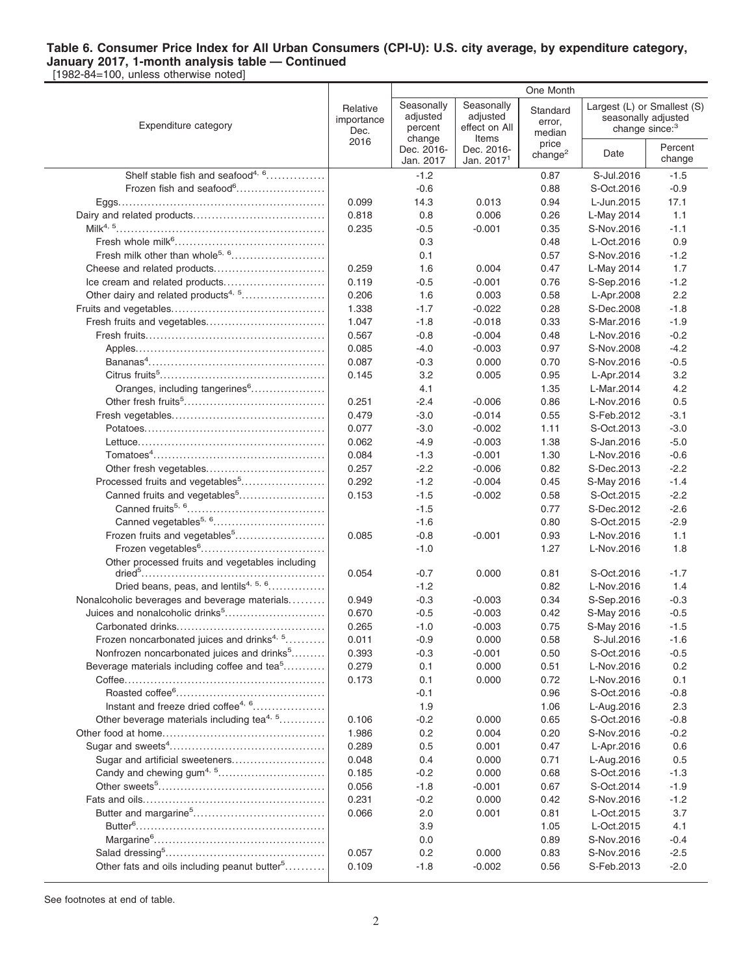[1982-84=100, unless otherwise noted]

|                                                          |                                        |                                             |                                                  | One Month                    |                            |                                                    |
|----------------------------------------------------------|----------------------------------------|---------------------------------------------|--------------------------------------------------|------------------------------|----------------------------|----------------------------------------------------|
| Expenditure category                                     | Relative<br>importance<br>Dec.<br>2016 | Seasonally<br>adjusted<br>percent<br>change | Seasonally<br>adjusted<br>effect on All<br>Items | Standard<br>error,<br>median | change since: <sup>3</sup> | Largest (L) or Smallest (S)<br>seasonally adjusted |
|                                                          |                                        | Dec. 2016-<br>Jan. 2017                     | Dec. 2016-<br>Jan. 2017 <sup>1</sup>             | price<br>change <sup>2</sup> | Date                       | Percent<br>change                                  |
| Shelf stable fish and seafood <sup>4, 6</sup>            |                                        | $-1.2$                                      |                                                  | 0.87                         | S-Jul.2016                 | $-1.5$                                             |
| Frozen fish and seafood <sup>6</sup>                     |                                        | $-0.6$                                      |                                                  | 0.88                         | S-Oct.2016                 | $-0.9$                                             |
|                                                          | 0.099                                  | 14.3                                        | 0.013                                            | 0.94                         | L-Jun.2015                 | 17.1                                               |
|                                                          | 0.818                                  | 0.8                                         | 0.006                                            | 0.26                         | L-May 2014                 | 1.1                                                |
|                                                          | 0.235                                  | $-0.5$                                      | $-0.001$                                         | 0.35                         | S-Nov.2016                 | $-1.1$                                             |
|                                                          |                                        | 0.3                                         |                                                  | 0.48                         | L-Oct.2016                 | 0.9                                                |
| Fresh milk other than whole <sup>5, 6</sup>              |                                        | 0.1                                         |                                                  | 0.57                         | S-Nov.2016                 | $-1.2$                                             |
|                                                          | 0.259                                  | 1.6                                         | 0.004                                            | 0.47                         | L-May 2014                 | 1.7                                                |
| Ice cream and related products                           | 0.119                                  | $-0.5$                                      | $-0.001$                                         | 0.76                         | S-Sep.2016                 | $-1.2$                                             |
| Other dairy and related products <sup>4, 5</sup>         | 0.206                                  | 1.6                                         | 0.003                                            | 0.58                         | L-Apr.2008                 | 2.2                                                |
|                                                          | 1.338                                  | $-1.7$                                      | $-0.022$                                         | 0.28                         | S-Dec.2008                 | $-1.8$                                             |
| Fresh fruits and vegetables                              | 1.047                                  | $-1.8$                                      | $-0.018$                                         | 0.33                         | S-Mar.2016                 | $-1.9$                                             |
|                                                          | 0.567                                  | $-0.8$                                      | $-0.004$                                         | 0.48                         | L-Nov.2016                 | $-0.2$                                             |
|                                                          | 0.085                                  | $-4.0$                                      | $-0.003$                                         | 0.97                         | S-Nov.2008                 | $-4.2$                                             |
|                                                          | 0.087                                  | $-0.3$                                      | 0.000                                            | 0.70                         | S-Nov.2016                 | $-0.5$                                             |
|                                                          | 0.145                                  | 3.2                                         | 0.005                                            | 0.95                         | L-Apr.2014                 | 3.2                                                |
| Oranges, including tangerines <sup>6</sup>               |                                        | 4.1                                         |                                                  | 1.35                         | L-Mar.2014                 | 4.2                                                |
|                                                          | 0.251                                  | $-2.4$                                      | $-0.006$                                         | 0.86                         | L-Nov.2016                 | 0.5                                                |
|                                                          | 0.479                                  | $-3.0$                                      | $-0.014$                                         | 0.55                         | S-Feb.2012                 | $-3.1$                                             |
|                                                          | 0.077                                  | $-3.0$                                      | $-0.002$                                         | 1.11                         | S-Oct.2013                 | $-3.0$                                             |
|                                                          | 0.062                                  | $-4.9$                                      | $-0.003$                                         | 1.38                         | S-Jan.2016                 | $-5.0$                                             |
|                                                          | 0.084                                  | $-1.3$                                      | $-0.001$                                         | 1.30                         | L-Nov.2016                 | $-0.6$                                             |
|                                                          | 0.257                                  | $-2.2$                                      | $-0.006$                                         | 0.82                         | S-Dec.2013                 | $-2.2$                                             |
| Processed fruits and vegetables <sup>5</sup>             | 0.292                                  | $-1.2$                                      | $-0.004$                                         | 0.45                         | S-May 2016                 | $-1.4$                                             |
| Canned fruits and vegetables <sup>5</sup>                | 0.153                                  | $-1.5$                                      | $-0.002$                                         | 0.58                         | S-Oct.2015                 | $-2.2$                                             |
|                                                          |                                        | $-1.5$                                      |                                                  | 0.77                         | S-Dec.2012                 | $-2.6$                                             |
| Canned vegetables <sup>5, 6</sup>                        |                                        | $-1.6$                                      |                                                  | 0.80                         | S-Oct.2015                 | $-2.9$                                             |
| Frozen fruits and vegetables <sup>5</sup>                | 0.085                                  | $-0.8$                                      | $-0.001$                                         | 0.93                         | L-Nov.2016                 | 1.1                                                |
| Frozen vegetables <sup>6</sup>                           |                                        | $-1.0$                                      |                                                  | 1.27                         | L-Nov.2016                 | 1.8                                                |
| Other processed fruits and vegetables including          | 0.054                                  | $-0.7$                                      | 0.000                                            | 0.81                         | S-Oct.2016                 | $-1.7$                                             |
| Dried beans, peas, and lentils <sup>4, 5, 6</sup>        |                                        | $-1.2$                                      |                                                  | 0.82                         | L-Nov.2016                 | 1.4                                                |
| Nonalcoholic beverages and beverage materials            | 0.949                                  | $-0.3$                                      | $-0.003$                                         | 0.34                         | S-Sep.2016                 | $-0.3$                                             |
|                                                          | 0.670                                  | $-0.5$                                      | $-0.003$                                         | 0.42                         | S-May 2016                 | $-0.5$                                             |
|                                                          | 0.265                                  | $-1.0$                                      | $-0.003$                                         | 0.75                         | S-May 2016                 | $-1.5$                                             |
| Frozen noncarbonated juices and drinks <sup>4, 5</sup>   | 0.011                                  | $-0.9$                                      | 0.000                                            | 0.58                         | S-Jul.2016                 | $-1.6$                                             |
| Nonfrozen noncarbonated juices and drinks <sup>5</sup>   | 0.393                                  | $-0.3$                                      | $-0.001$                                         | 0.50                         | S-Oct.2016                 | $-0.5$                                             |
| Beverage materials including coffee and tea <sup>5</sup> | 0.279                                  | 0.1                                         | 0.000                                            | 0.51                         | L-Nov.2016                 | 0.2                                                |
|                                                          | 0.173                                  | 0.1                                         | 0.000                                            | 0.72                         | L-Nov.2016                 | 0.1                                                |
|                                                          |                                        | $-0.1$                                      |                                                  | 0.96                         | S-Oct.2016                 | $-0.8$                                             |
| Instant and freeze dried coffee <sup>4, 6</sup>          |                                        | 1.9                                         |                                                  | 1.06                         | L-Aug.2016                 | 2.3                                                |
| Other beverage materials including tea <sup>4, 5</sup>   | 0.106                                  | $-0.2$                                      | 0.000                                            | 0.65                         | S-Oct.2016                 | $-0.8$                                             |
|                                                          | 1.986                                  | 0.2                                         | 0.004                                            | 0.20                         | S-Nov.2016                 | $-0.2$                                             |
|                                                          | 0.289                                  | 0.5                                         | 0.001                                            | 0.47                         | L-Apr.2016                 | 0.6                                                |
| Sugar and artificial sweeteners                          | 0.048                                  | 0.4                                         | 0.000                                            | 0.71                         | L-Aug.2016                 | 0.5                                                |
|                                                          | 0.185                                  | $-0.2$                                      | 0.000                                            | 0.68                         | S-Oct.2016                 | $-1.3$                                             |
|                                                          | 0.056                                  | $-1.8$                                      | $-0.001$                                         | 0.67                         | S-Oct.2014                 | $-1.9$                                             |
|                                                          | 0.231                                  | $-0.2$                                      | 0.000                                            | 0.42                         | S-Nov.2016                 | $-1.2$                                             |
|                                                          | 0.066                                  | 2.0                                         | 0.001                                            | 0.81                         | L-Oct.2015                 | 3.7                                                |
|                                                          |                                        | 3.9                                         |                                                  | 1.05                         | L-Oct.2015                 | 4.1                                                |
|                                                          |                                        | 0.0                                         |                                                  | 0.89                         | S-Nov.2016                 | $-0.4$                                             |
|                                                          | 0.057                                  | 0.2                                         | 0.000                                            | 0.83                         | S-Nov.2016                 | $-2.5$                                             |
| Other fats and oils including peanut butter <sup>5</sup> | 0.109                                  | $-1.8$                                      | $-0.002$                                         | 0.56                         | S-Feb.2013                 | $-2.0$                                             |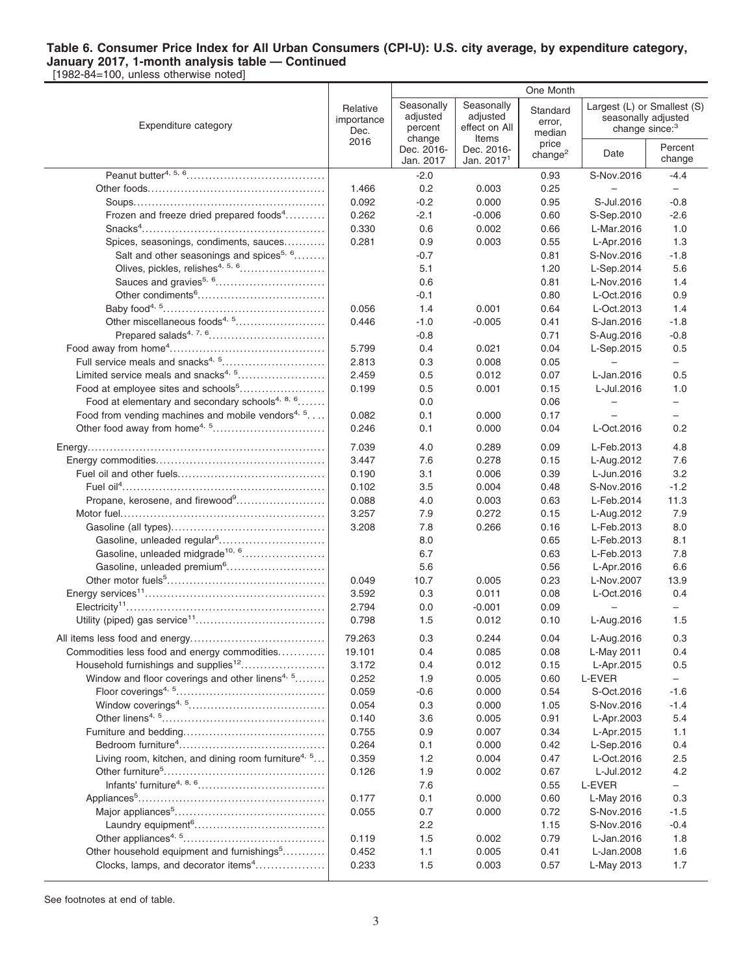[1982-84=100, unless otherwise noted]

|                                                                 |                                |                                             |                                                  | One Month                    |                                                   |                             |
|-----------------------------------------------------------------|--------------------------------|---------------------------------------------|--------------------------------------------------|------------------------------|---------------------------------------------------|-----------------------------|
| Expenditure category                                            | Relative<br>importance<br>Dec. | Seasonally<br>adjusted<br>percent<br>change | Seasonally<br>adjusted<br>effect on All<br>Items | Standard<br>error,<br>median | seasonally adjusted<br>change since: <sup>3</sup> | Largest (L) or Smallest (S) |
|                                                                 | 2016                           | Dec. 2016-<br>Jan. 2017                     | Dec. 2016-<br>Jan. 2017 <sup>1</sup>             | price<br>change <sup>2</sup> | Date                                              | Percent<br>change           |
|                                                                 |                                | $-2.0$                                      |                                                  | 0.93                         | S-Nov.2016                                        | $-4.4$                      |
|                                                                 | 1.466                          | 0.2                                         | 0.003                                            | 0.25                         | $\overline{\phantom{0}}$                          | $-$                         |
|                                                                 | 0.092                          | $-0.2$                                      | 0.000                                            | 0.95                         | S-Jul.2016                                        | $-0.8$                      |
| Frozen and freeze dried prepared foods <sup>4</sup>             | 0.262                          | $-2.1$                                      | $-0.006$                                         | 0.60                         | S-Sep.2010                                        | $-2.6$                      |
|                                                                 | 0.330                          | 0.6                                         | 0.002                                            | 0.66                         | L-Mar.2016                                        | 1.0                         |
| Spices, seasonings, condiments, sauces                          | 0.281                          | 0.9                                         | 0.003                                            | 0.55                         | L-Apr.2016                                        | 1.3                         |
| Salt and other seasonings and spices <sup>5, 6</sup>            |                                | $-0.7$                                      |                                                  | 0.81                         | S-Nov.2016                                        | $-1.8$                      |
| Olives, pickles, relishes <sup>4, 5, 6</sup>                    |                                | 5.1                                         |                                                  | 1.20                         | L-Sep.2014                                        | 5.6                         |
| Sauces and gravies <sup>5, 6</sup>                              |                                | 0.6                                         |                                                  | 0.81                         | L-Nov.2016                                        | 1.4                         |
|                                                                 |                                | -0.1                                        |                                                  | 0.80                         | L-Oct.2016                                        | 0.9                         |
|                                                                 | 0.056                          | 1.4                                         | 0.001                                            | 0.64                         | L-Oct.2013                                        | 1.4                         |
| Other miscellaneous foods <sup>4, 5</sup>                       | 0.446                          | $-1.0$                                      | $-0.005$                                         | 0.41                         | S-Jan.2016                                        | $-1.8$                      |
|                                                                 |                                | $-0.8$                                      |                                                  | 0.71                         | S-Aug.2016                                        | $-0.8$                      |
|                                                                 | 5.799                          | 0.4                                         | 0.021                                            | 0.04                         | L-Sep.2015                                        | 0.5                         |
|                                                                 | 2.813                          | 0.3                                         | 0.008                                            | 0.05                         |                                                   | $-$                         |
| Limited service meals and snacks <sup>4, 5</sup>                | 2.459                          | 0.5                                         | 0.012                                            | 0.07                         | L-Jan.2016                                        | 0.5                         |
| Food at employee sites and schools <sup>5</sup>                 | 0.199                          | 0.5                                         | 0.001                                            | 0.15                         | L-Jul.2016                                        | 1.0                         |
| Food at elementary and secondary schools <sup>4, 8, 6</sup>     |                                | 0.0                                         |                                                  | 0.06                         | $\overline{\phantom{m}}$                          | -                           |
| Food from vending machines and mobile vendors <sup>4, 5</sup>   | 0.082                          | 0.1                                         | 0.000                                            | 0.17                         |                                                   | $-$                         |
|                                                                 | 0.246                          | 0.1                                         | 0.000                                            | 0.04                         | L-Oct.2016                                        | 0.2                         |
|                                                                 | 7.039                          | 4.0                                         | 0.289                                            | 0.09                         | L-Feb.2013                                        | 4.8                         |
|                                                                 | 3.447                          | 7.6                                         | 0.278                                            | 0.15                         | L-Aug.2012                                        | 7.6                         |
|                                                                 | 0.190                          | 3.1                                         | 0.006                                            | 0.39                         | L-Jun.2016                                        | 3.2                         |
|                                                                 | 0.102                          | 3.5                                         | 0.004                                            | 0.48                         | S-Nov.2016                                        | $-1.2$                      |
| Propane, kerosene, and firewood <sup>9</sup>                    | 0.088                          | 4.0                                         | 0.003                                            | 0.63                         | L-Feb.2014                                        | 11.3                        |
|                                                                 | 3.257                          | 7.9                                         | 0.272                                            | 0.15                         | L-Aug.2012                                        | 7.9                         |
|                                                                 | 3.208                          | 7.8                                         | 0.266                                            | 0.16                         | L-Feb.2013                                        | 8.0                         |
| Gasoline, unleaded regular <sup>6</sup>                         |                                | 8.0                                         |                                                  | 0.65                         | L-Feb.2013                                        | 8.1                         |
| Gasoline, unleaded midgrade <sup>10, 6</sup>                    |                                | 6.7                                         |                                                  | 0.63                         | L-Feb.2013                                        | 7.8                         |
| Gasoline, unleaded premium <sup>6</sup>                         |                                | 5.6                                         |                                                  | 0.56                         | L-Apr.2016                                        | 6.6                         |
|                                                                 | 0.049                          | 10.7                                        | 0.005                                            | 0.23                         | L-Nov.2007                                        | 13.9                        |
|                                                                 | 3.592                          | 0.3                                         | 0.011                                            | 0.08                         | L-Oct.2016                                        | 0.4                         |
|                                                                 | 2.794                          | 0.0                                         | $-0.001$                                         | 0.09                         | $\qquad \qquad -$                                 | $\qquad \qquad -$           |
|                                                                 | 0.798                          | 1.5                                         | 0.012                                            | 0.10                         | L-Aug.2016                                        | 1.5                         |
|                                                                 | 79.263                         | 0.3                                         | 0.244                                            | 0.04                         | L-Aug.2016                                        | 0.3                         |
| Commodities less food and energy commodities                    | 19.101                         | 0.4                                         | 0.085                                            | 0.08                         | L-May 2011                                        | 0.4                         |
| Household furnishings and supplies <sup>12</sup>                | 3.172                          | 0.4                                         | 0.012                                            | 0.15                         | L-Apr.2015                                        | 0.5                         |
| Window and floor coverings and other linens <sup>4, 5</sup>     | 0.252                          | 1.9                                         | 0.005                                            | 0.60                         | L-EVER                                            | $\qquad \qquad -$           |
|                                                                 | 0.059                          | $-0.6$                                      | 0.000                                            | 0.54                         | S-Oct.2016                                        | $-1.6$                      |
|                                                                 | 0.054                          | 0.3                                         | 0.000                                            | 1.05                         | S-Nov.2016                                        | $-1.4$                      |
|                                                                 | 0.140                          | 3.6                                         | 0.005                                            | 0.91                         | L-Apr.2003                                        | 5.4                         |
|                                                                 | 0.755                          | 0.9                                         | 0.007                                            | 0.34                         | L-Apr.2015                                        | 1.1                         |
|                                                                 | 0.264                          | 0.1                                         | 0.000                                            | 0.42                         | L-Sep.2016                                        | 0.4                         |
| Living room, kitchen, and dining room furniture <sup>4, 5</sup> | 0.359                          | 1.2                                         | 0.004                                            | 0.47                         | L-Oct.2016                                        | 2.5                         |
|                                                                 | 0.126                          | 1.9                                         | 0.002                                            | 0.67                         | L-Jul.2012                                        | 4.2                         |
|                                                                 |                                | 7.6                                         |                                                  | 0.55                         | L-EVER                                            | $\overline{\phantom{0}}$    |
|                                                                 | 0.177                          | 0.1                                         | 0.000                                            | 0.60                         | L-May 2016                                        | 0.3                         |
|                                                                 | 0.055                          | 0.7                                         | 0.000                                            | 0.72                         | S-Nov.2016                                        | $-1.5$                      |
|                                                                 |                                | 2.2                                         |                                                  | 1.15                         | S-Nov.2016                                        | $-0.4$                      |
|                                                                 | 0.119                          | 1.5                                         | 0.002                                            | 0.79                         | L-Jan.2016                                        | 1.8                         |
| Other household equipment and furnishings <sup>5</sup>          | 0.452                          | 1.1                                         | 0.005                                            | 0.41                         | L-Jan.2008                                        | 1.6                         |
| Clocks, lamps, and decorator items <sup>4</sup>                 | 0.233                          | 1.5                                         | 0.003                                            | 0.57                         | L-May 2013                                        | 1.7                         |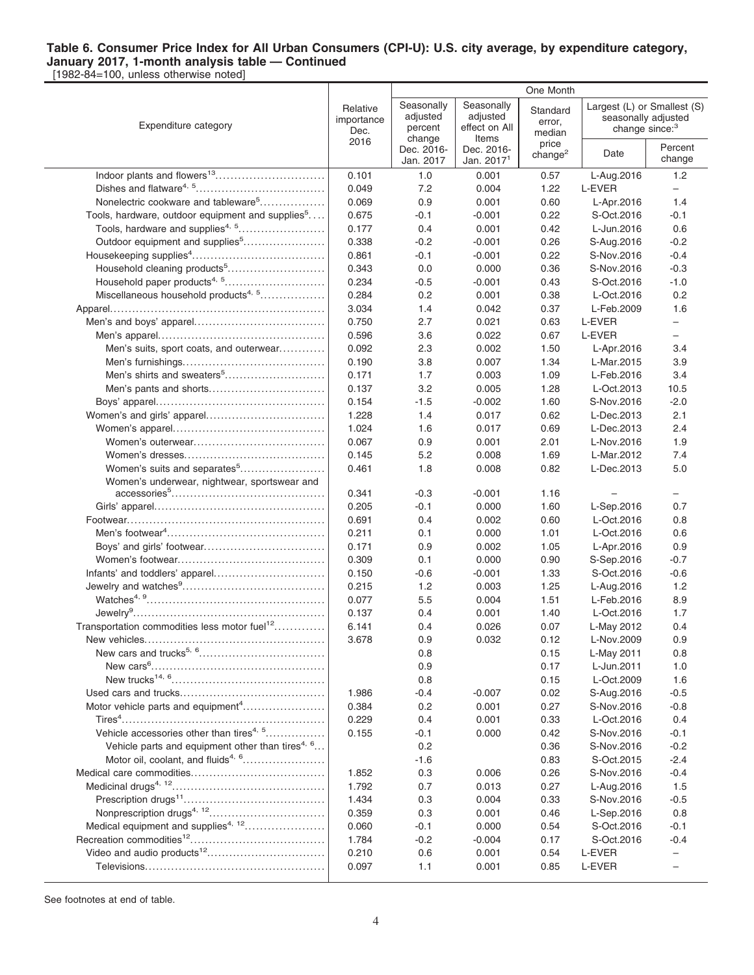[1982-84=100, unless otherwise noted]

|                                                              |                                        |                                             |                                                  | One Month                    |                                                   |                             |
|--------------------------------------------------------------|----------------------------------------|---------------------------------------------|--------------------------------------------------|------------------------------|---------------------------------------------------|-----------------------------|
| Expenditure category                                         | Relative<br>importance<br>Dec.<br>2016 | Seasonally<br>adjusted<br>percent<br>change | Seasonally<br>adjusted<br>effect on All<br>Items | Standard<br>error,<br>median | seasonally adjusted<br>change since: <sup>3</sup> | Largest (L) or Smallest (S) |
|                                                              |                                        | Dec. 2016-<br>Jan. 2017                     | Dec. 2016-<br>Jan. 2017 <sup>1</sup>             | price<br>change <sup>2</sup> | Date                                              | Percent<br>change           |
| Indoor plants and flowers <sup>13</sup>                      | 0.101                                  | 1.0                                         | 0.001                                            | 0.57                         | L-Aug.2016                                        | 1.2                         |
|                                                              | 0.049                                  | 7.2                                         | 0.004                                            | 1.22                         | L-EVER                                            | $\overline{\phantom{0}}$    |
| Nonelectric cookware and tableware <sup>5</sup>              | 0.069                                  | 0.9                                         | 0.001                                            | 0.60                         | L-Apr.2016                                        | 1.4                         |
| Tools, hardware, outdoor equipment and supplies <sup>5</sup> | 0.675                                  | $-0.1$                                      | $-0.001$                                         | 0.22                         | S-Oct.2016                                        | -0.1                        |
| Tools, hardware and supplies <sup>4, 5</sup>                 | 0.177                                  | 0.4                                         | 0.001                                            | 0.42                         | L-Jun.2016                                        | 0.6                         |
| Outdoor equipment and supplies <sup>5</sup>                  | 0.338                                  | $-0.2$                                      | $-0.001$                                         | 0.26                         | S-Aug.2016                                        | $-0.2$                      |
|                                                              | 0.861                                  | $-0.1$                                      | $-0.001$                                         | 0.22                         | S-Nov.2016                                        | $-0.4$                      |
| Household cleaning products <sup>5</sup>                     | 0.343                                  | 0.0                                         | 0.000                                            | 0.36                         | S-Nov.2016                                        | $-0.3$                      |
| Household paper products <sup>4, 5</sup>                     | 0.234                                  | $-0.5$                                      | $-0.001$                                         | 0.43                         | S-Oct.2016                                        | $-1.0$                      |
| Miscellaneous household products <sup>4, 5</sup>             | 0.284                                  | 0.2                                         | 0.001                                            | 0.38                         | L-Oct.2016                                        | 0.2                         |
|                                                              | 3.034                                  | 1.4                                         | 0.042                                            | 0.37                         | L-Feb.2009                                        | 1.6                         |
|                                                              | 0.750                                  | 2.7                                         | 0.021                                            | 0.63                         | L-EVER                                            | $\overline{\phantom{0}}$    |
|                                                              | 0.596                                  | 3.6                                         | 0.022                                            | 0.67                         | L-EVER                                            | $\qquad \qquad -$           |
| Men's suits, sport coats, and outerwear                      | 0.092                                  | 2.3                                         | 0.002                                            | 1.50                         | L-Apr.2016                                        | 3.4                         |
|                                                              | 0.190                                  | 3.8                                         | 0.007                                            | 1.34                         | L-Mar.2015                                        | 3.9                         |
| Men's shirts and sweaters <sup>5</sup>                       | 0.171                                  | 1.7                                         | 0.003                                            | 1.09                         | L-Feb.2016                                        | 3.4                         |
|                                                              | 0.137                                  | 3.2                                         | 0.005                                            | 1.28                         | L-Oct.2013                                        | 10.5                        |
|                                                              | 0.154                                  | $-1.5$                                      | $-0.002$                                         | 1.60                         | S-Nov.2016                                        | $-2.0$                      |
|                                                              | 1.228                                  | 1.4                                         | 0.017                                            | 0.62                         | L-Dec.2013                                        | 2.1                         |
|                                                              | 1.024                                  | 1.6                                         | 0.017                                            | 0.69                         | L-Dec.2013                                        | 2.4                         |
|                                                              | 0.067                                  | 0.9                                         | 0.001                                            | 2.01                         | L-Nov.2016                                        | 1.9                         |
|                                                              | 0.145                                  | 5.2                                         | 0.008                                            | 1.69                         | L-Mar.2012                                        | 7.4                         |
| Women's suits and separates <sup>5</sup>                     | 0.461                                  | 1.8                                         | 0.008                                            | 0.82                         | L-Dec.2013                                        | 5.0                         |
| Women's underwear, nightwear, sportswear and                 | 0.341                                  | $-0.3$                                      | $-0.001$                                         | 1.16                         |                                                   | $\overline{\phantom{0}}$    |
|                                                              | 0.205                                  | $-0.1$                                      | 0.000                                            | 1.60                         | L-Sep.2016                                        | 0.7                         |
|                                                              | 0.691                                  | 0.4                                         | 0.002                                            | 0.60                         | L-Oct.2016                                        | 0.8                         |
|                                                              | 0.211                                  | 0.1                                         | 0.000                                            | 1.01                         | L-Oct.2016                                        | 0.6                         |
|                                                              | 0.171                                  | 0.9                                         | 0.002                                            | 1.05                         | L-Apr.2016                                        | 0.9                         |
|                                                              | 0.309                                  | 0.1                                         | 0.000                                            | 0.90                         | S-Sep.2016                                        | $-0.7$                      |
|                                                              | 0.150                                  | $-0.6$                                      | $-0.001$                                         | 1.33                         | S-Oct.2016                                        | $-0.6$                      |
|                                                              | 0.215                                  | 1.2                                         | 0.003                                            | 1.25                         | L-Aug.2016                                        | 1.2                         |
|                                                              | 0.077                                  | 5.5                                         | 0.004                                            | 1.51                         | L-Feb.2016                                        | 8.9                         |
|                                                              | 0.137                                  | 0.4                                         | 0.001                                            | 1.40                         | L-Oct.2016                                        | 1.7                         |
| Transportation commodities less motor fuel <sup>12</sup>     | 6.141                                  | 0.4                                         | 0.026                                            | 0.07                         | L-May 2012                                        | 0.4                         |
|                                                              | 3.678                                  | $0.9\,$                                     | 0.032                                            | 0.12                         | L-Nov.2009                                        | 0.9                         |
|                                                              |                                        | 0.8                                         |                                                  | 0.15                         | L-May 2011                                        | 0.8                         |
|                                                              |                                        | 0.9                                         |                                                  | 0.17                         | L-Jun.2011                                        | 1.0                         |
|                                                              |                                        | 0.8                                         |                                                  | 0.15                         | L-Oct.2009                                        | 1.6                         |
|                                                              | 1.986                                  | $-0.4$                                      | $-0.007$                                         | 0.02                         | S-Aug.2016                                        | $-0.5$                      |
| Motor vehicle parts and equipment <sup>4</sup>               | 0.384                                  | 0.2                                         | 0.001                                            | 0.27                         | S-Nov.2016                                        | $-0.8$                      |
|                                                              | 0.229                                  | 0.4                                         | 0.001                                            | 0.33                         | L-Oct.2016                                        | 0.4                         |
| Vehicle accessories other than tires <sup>4, 5</sup>         | 0.155                                  | $-0.1$                                      | 0.000                                            | 0.42                         | S-Nov.2016                                        | $-0.1$                      |
| Vehicle parts and equipment other than tires <sup>4, 6</sup> |                                        | 0.2                                         |                                                  | 0.36                         | S-Nov.2016                                        | $-0.2$                      |
| Motor oil, coolant, and fluids <sup>4, 6</sup>               |                                        | $-1.6$                                      |                                                  | 0.83                         | S-Oct.2015                                        | $-2.4$                      |
|                                                              | 1.852                                  | 0.3                                         | 0.006                                            | 0.26                         | S-Nov.2016                                        | $-0.4$                      |
|                                                              | 1.792                                  | 0.7                                         | 0.013                                            | 0.27                         | L-Aug.2016                                        | 1.5                         |
|                                                              | 1.434                                  | 0.3                                         | 0.004                                            | 0.33                         | S-Nov.2016                                        | $-0.5$                      |
| Nonprescription drugs <sup>4, 12</sup>                       | 0.359                                  | 0.3                                         | 0.001                                            | 0.46                         | L-Sep.2016                                        | 0.8                         |
| Medical equipment and supplies <sup>4, 12</sup>              | 0.060                                  | $-0.1$                                      | 0.000                                            | 0.54                         | S-Oct.2016                                        | $-0.1$                      |
|                                                              | 1.784                                  | $-0.2$                                      | $-0.004$                                         | 0.17                         | S-Oct.2016                                        | -0.4                        |
|                                                              | 0.210                                  | 0.6                                         | 0.001                                            | 0.54                         | L-EVER                                            | $\overline{\phantom{0}}$    |
|                                                              | 0.097                                  | 1.1                                         | 0.001                                            | 0.85                         | L-EVER                                            | $\overline{\phantom{0}}$    |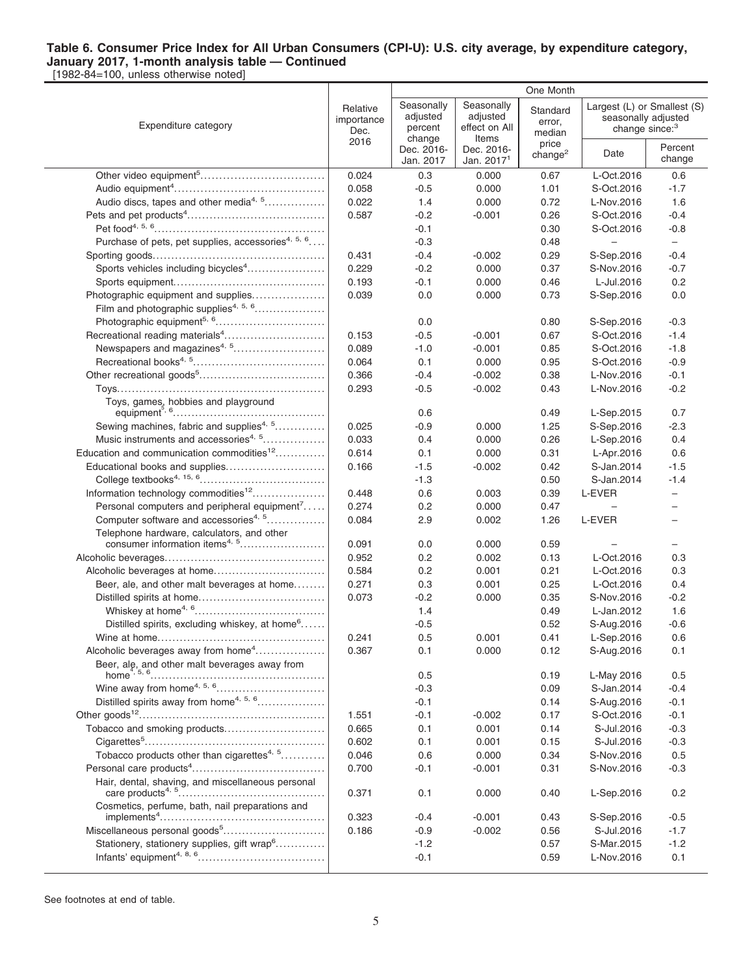[1982-84=100, unless otherwise noted]

|                                                                                          |                                | One Month                                   |                                                  |                              |                                                                                  |                          |
|------------------------------------------------------------------------------------------|--------------------------------|---------------------------------------------|--------------------------------------------------|------------------------------|----------------------------------------------------------------------------------|--------------------------|
| Expenditure category                                                                     | Relative<br>importance<br>Dec. | Seasonally<br>adjusted<br>percent<br>change | Seasonally<br>adjusted<br>effect on All<br>Items | Standard<br>error,<br>median | Largest (L) or Smallest (S)<br>seasonally adjusted<br>change since: <sup>3</sup> |                          |
|                                                                                          | 2016                           | Dec. 2016-<br>Jan. 2017                     | Dec. 2016-<br>Jan. $20171$                       | price<br>change <sup>2</sup> | Date                                                                             | Percent<br>change        |
|                                                                                          | 0.024                          | 0.3                                         | 0.000                                            | 0.67                         | L-Oct.2016                                                                       | 0.6                      |
|                                                                                          | 0.058                          | $-0.5$                                      | 0.000                                            | 1.01                         | S-Oct.2016                                                                       | $-1.7$                   |
| Audio discs, tapes and other media <sup>4, 5</sup>                                       | 0.022                          | 1.4                                         | 0.000                                            | 0.72                         | L-Nov.2016                                                                       | 1.6                      |
|                                                                                          | 0.587                          | $-0.2$                                      | $-0.001$                                         | 0.26                         | S-Oct.2016                                                                       | $-0.4$                   |
|                                                                                          |                                | $-0.1$                                      |                                                  | 0.30                         | S-Oct.2016                                                                       | $-0.8$                   |
| Purchase of pets, pet supplies, accessories <sup>4, 5, 6</sup>                           |                                | $-0.3$                                      |                                                  | 0.48                         |                                                                                  | $\overline{\phantom{0}}$ |
|                                                                                          | 0.431                          | $-0.4$                                      | $-0.002$                                         | 0.29                         | S-Sep.2016                                                                       | $-0.4$                   |
| Sports vehicles including bicycles <sup>4</sup>                                          | 0.229                          | $-0.2$                                      | 0.000                                            | 0.37                         | S-Nov.2016                                                                       | $-0.7$                   |
|                                                                                          | 0.193                          | $-0.1$                                      | 0.000                                            | 0.46                         | L-Jul.2016                                                                       | 0.2                      |
| Photographic equipment and supplies<br>Film and photographic supplies <sup>4, 5, 6</sup> | 0.039                          | 0.0                                         | 0.000                                            | 0.73                         | S-Sep.2016                                                                       | 0.0                      |
| Photographic equipment <sup>5, 6</sup>                                                   |                                | 0.0                                         |                                                  | 0.80                         | S-Sep.2016                                                                       | $-0.3$                   |
| Recreational reading materials <sup>4</sup>                                              | 0.153                          | $-0.5$                                      | $-0.001$                                         | 0.67                         | S-Oct.2016                                                                       | $-1.4$                   |
| Newspapers and magazines <sup>4, 5</sup>                                                 | 0.089                          | $-1.0$                                      | $-0.001$                                         | 0.85                         | S-Oct.2016                                                                       | $-1.8$                   |
|                                                                                          | 0.064                          | 0.1                                         | 0.000                                            | 0.95                         | S-Oct.2016                                                                       | $-0.9$                   |
|                                                                                          | 0.366                          | $-0.4$                                      | $-0.002$                                         | 0.38                         | L-Nov.2016                                                                       | $-0.1$                   |
|                                                                                          | 0.293                          | $-0.5$                                      | $-0.002$                                         | 0.43                         | L-Nov.2016                                                                       | $-0.2$                   |
| Toys, games, hobbies and playground                                                      |                                | 0.6                                         |                                                  | 0.49                         | L-Sep.2015                                                                       | 0.7                      |
| Sewing machines, fabric and supplies <sup>4, 5</sup>                                     | 0.025                          | $-0.9$                                      | 0.000                                            | 1.25                         | S-Sep.2016                                                                       | $-2.3$                   |
| Music instruments and accessories <sup>4, 5</sup>                                        | 0.033                          | 0.4                                         | 0.000                                            | 0.26                         | L-Sep.2016                                                                       | 0.4                      |
| Education and communication commodities <sup>12</sup>                                    | 0.614                          | 0.1                                         | 0.000                                            | 0.31                         | L-Apr.2016                                                                       | 0.6                      |
| Educational books and supplies                                                           | 0.166                          | $-1.5$                                      | $-0.002$                                         | 0.42                         | S-Jan.2014                                                                       | $-1.5$                   |
|                                                                                          |                                | $-1.3$                                      |                                                  | 0.50                         | S-Jan.2014                                                                       | $-1.4$                   |
| Information technology commodities <sup>12</sup>                                         | 0.448                          | 0.6                                         | 0.003                                            | 0.39                         | L-EVER                                                                           | $\overline{\phantom{0}}$ |
| Personal computers and peripheral equipment <sup>7</sup>                                 | 0.274                          | 0.2                                         | 0.000                                            | 0.47                         |                                                                                  |                          |
| Computer software and accessories <sup>4, 5</sup>                                        | 0.084                          | 2.9                                         | 0.002                                            | 1.26                         | L-EVER                                                                           |                          |
| Telephone hardware, calculators, and other<br>consumer information items <sup>4, 5</sup> | 0.091                          | 0.0                                         | 0.000                                            | 0.59                         |                                                                                  |                          |
|                                                                                          | 0.952                          | 0.2                                         | 0.002                                            | 0.13                         | L-Oct.2016                                                                       | 0.3                      |
| Alcoholic beverages at home                                                              | 0.584                          | 0.2                                         | 0.001                                            | 0.21                         | L-Oct.2016                                                                       | 0.3                      |
| Beer, ale, and other malt beverages at home                                              | 0.271                          | 0.3                                         | 0.001                                            | 0.25                         | L-Oct.2016                                                                       | 0.4                      |
|                                                                                          | 0.073                          | $-0.2$                                      | 0.000                                            | 0.35                         | S-Nov.2016                                                                       | $-0.2$                   |
|                                                                                          |                                | 1.4                                         |                                                  | 0.49                         | L-Jan.2012                                                                       | 1.6                      |
| Distilled spirits, excluding whiskey, at home <sup>6</sup>                               |                                | $-0.5$                                      |                                                  | 0.52                         | S-Aug.2016                                                                       | $-0.6$                   |
|                                                                                          | 0.241                          | 0.5                                         | 0.001                                            | 0.41                         | L-Sep.2016                                                                       | 0.6                      |
| Alcoholic beverages away from home <sup>4</sup>                                          | 0.367                          | 0.1                                         | 0.000                                            | 0.12                         | S-Aug.2016                                                                       | 0.1                      |
| Beer, ale, and other malt beverages away from                                            |                                | 0.5                                         |                                                  | 0.19                         | L-May 2016                                                                       | 0.5                      |
|                                                                                          |                                | $-0.3$                                      |                                                  | 0.09                         | S-Jan.2014                                                                       | $-0.4$                   |
| Distilled spirits away from home <sup>4, 5, 6</sup>                                      |                                | $-0.1$                                      |                                                  | 0.14                         | S-Aug.2016                                                                       | $-0.1$                   |
|                                                                                          | 1.551                          | $-0.1$                                      | $-0.002$                                         | 0.17                         | S-Oct.2016                                                                       | -0.1                     |
| Tobacco and smoking products                                                             | 0.665                          | 0.1                                         | 0.001                                            | 0.14                         | S-Jul.2016                                                                       | $-0.3$                   |
|                                                                                          | 0.602                          | 0.1                                         | 0.001                                            | 0.15                         | S-Jul.2016                                                                       | $-0.3$                   |
| Tobacco products other than cigarettes <sup>4, 5</sup>                                   | 0.046                          | 0.6                                         | 0.000                                            | 0.34                         | S-Nov.2016                                                                       | 0.5                      |
|                                                                                          | 0.700                          | $-0.1$                                      | $-0.001$                                         | 0.31                         | S-Nov.2016                                                                       | $-0.3$                   |
| Hair, dental, shaving, and miscellaneous personal                                        | 0.371                          | 0.1                                         | 0.000                                            | 0.40                         | L-Sep.2016                                                                       | 0.2                      |
| Cosmetics, perfume, bath, nail preparations and                                          |                                |                                             |                                                  |                              |                                                                                  |                          |
|                                                                                          | 0.323                          | $-0.4$                                      | $-0.001$                                         | 0.43                         | S-Sep.2016                                                                       | $-0.5$                   |
| Miscellaneous personal goods <sup>5</sup>                                                | 0.186                          | $-0.9$                                      | $-0.002$                                         | 0.56                         | S-Jul.2016                                                                       | $-1.7$                   |
| Stationery, stationery supplies, gift wrap <sup>6</sup>                                  |                                | $-1.2$                                      |                                                  | 0.57                         | S-Mar.2015<br>L-Nov.2016                                                         | $-1.2$                   |
|                                                                                          |                                | $-0.1$                                      |                                                  | 0.59                         |                                                                                  | 0.1                      |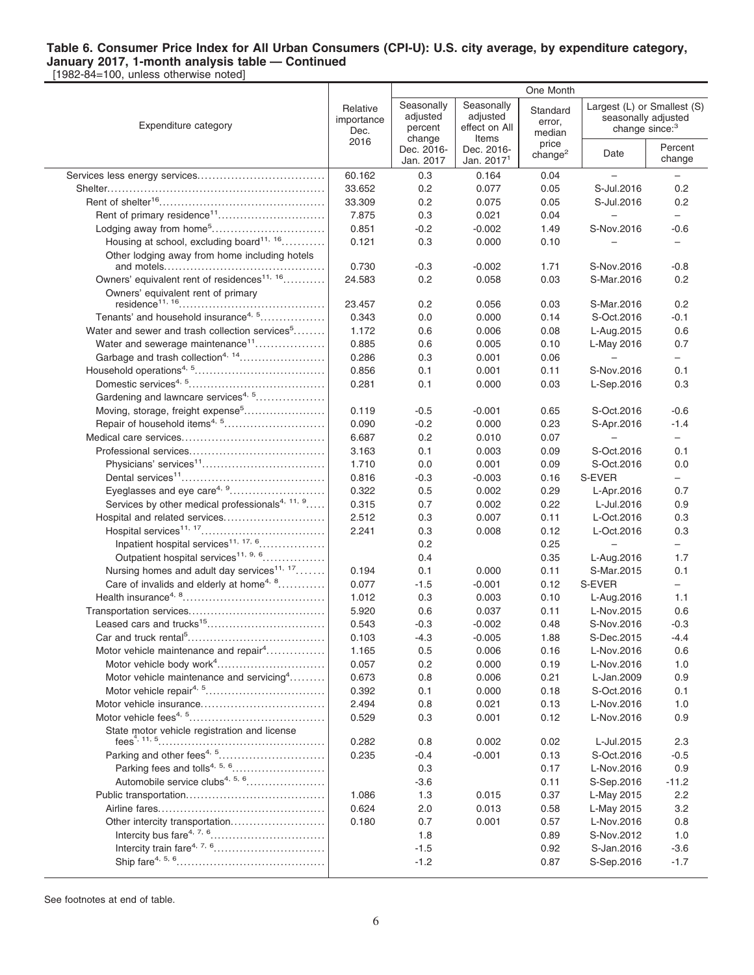[1982-84=100, unless otherwise noted]

|                                                             |                                        |                                             |                                                  | One Month                    |                                                                                  |                          |
|-------------------------------------------------------------|----------------------------------------|---------------------------------------------|--------------------------------------------------|------------------------------|----------------------------------------------------------------------------------|--------------------------|
| Expenditure category                                        | Relative<br>importance<br>Dec.<br>2016 | Seasonally<br>adjusted<br>percent<br>change | Seasonally<br>adjusted<br>effect on All<br>Items | Standard<br>error,<br>median | Largest (L) or Smallest (S)<br>seasonally adjusted<br>change since: <sup>3</sup> |                          |
|                                                             |                                        | Dec. 2016-<br>Jan. 2017                     | Dec. 2016-<br>Jan. 2017 <sup>1</sup>             | price<br>change <sup>2</sup> | Date                                                                             | Percent<br>change        |
|                                                             | 60.162                                 | 0.3                                         | 0.164                                            | 0.04                         |                                                                                  | $-$                      |
|                                                             | 33.652                                 | 0.2                                         | 0.077                                            | 0.05                         | S-Jul.2016                                                                       | 0.2                      |
|                                                             | 33.309                                 | 0.2                                         | 0.075                                            | 0.05                         | S-Jul.2016                                                                       | 0.2                      |
|                                                             | 7.875                                  | 0.3                                         | 0.021                                            | 0.04                         | $\overline{\phantom{0}}$                                                         | $\overline{\phantom{0}}$ |
|                                                             | 0.851                                  | $-0.2$                                      | $-0.002$                                         | 1.49                         | S-Nov.2016                                                                       | $-0.6$                   |
| Housing at school, excluding board <sup>11, 16</sup>        | 0.121                                  | 0.3                                         | 0.000                                            | 0.10                         |                                                                                  |                          |
| Other lodging away from home including hotels               | 0.730                                  | $-0.3$                                      | -0.002                                           | 1.71                         | S-Nov.2016                                                                       | $-0.8$                   |
| Owners' equivalent rent of residences <sup>11, 16</sup>     | 24.583                                 | 0.2                                         | 0.058                                            | 0.03                         | S-Mar.2016                                                                       | 0.2                      |
| Owners' equivalent rent of primary                          |                                        |                                             |                                                  |                              |                                                                                  |                          |
|                                                             | 23.457                                 | 0.2                                         | 0.056                                            | 0.03                         | S-Mar.2016                                                                       | 0.2                      |
| Tenants' and household insurance <sup>4, 5</sup>            | 0.343                                  | 0.0                                         | 0.000                                            | 0.14                         | S-Oct.2016                                                                       | $-0.1$                   |
| Water and sewer and trash collection services <sup>5</sup>  | 1.172                                  | 0.6                                         | 0.006                                            | 0.08                         | L-Aug.2015                                                                       | 0.6                      |
| Water and sewerage maintenance <sup>11</sup>                | 0.885                                  | 0.6                                         | 0.005                                            | 0.10                         | L-May 2016                                                                       | 0.7                      |
| Garbage and trash collection <sup>4, 14</sup>               | 0.286                                  | 0.3                                         | 0.001                                            | 0.06                         | $\overline{\phantom{m}}$                                                         | $\overline{\phantom{0}}$ |
|                                                             | 0.856                                  | 0.1                                         | 0.001                                            | 0.11                         | S-Nov.2016                                                                       | 0.1                      |
|                                                             | 0.281                                  | 0.1                                         | 0.000                                            | 0.03                         | L-Sep.2016                                                                       | 0.3                      |
| Gardening and lawncare services <sup>4, 5</sup>             |                                        |                                             |                                                  |                              |                                                                                  |                          |
| Moving, storage, freight expense <sup>5</sup>               | 0.119                                  | $-0.5$                                      | -0.001                                           | 0.65                         | S-Oct.2016                                                                       | $-0.6$                   |
|                                                             | 0.090                                  | $-0.2$                                      | 0.000                                            | 0.23                         | S-Apr.2016                                                                       | $-1.4$                   |
|                                                             | 6.687                                  | 0.2                                         | 0.010                                            | 0.07                         |                                                                                  | $\overline{\phantom{0}}$ |
|                                                             | 3.163                                  | 0.1                                         | 0.003                                            | 0.09                         | S-Oct.2016                                                                       | 0.1                      |
|                                                             | 1.710                                  | 0.0                                         | 0.001                                            | 0.09                         | S-Oct.2016                                                                       | 0.0                      |
|                                                             | 0.816                                  | $-0.3$                                      | $-0.003$                                         | 0.16                         | S-EVER                                                                           | $\overline{\phantom{0}}$ |
| Eyeglasses and eye care <sup>4, 9</sup>                     | 0.322                                  | 0.5                                         | 0.002                                            | 0.29                         | L-Apr.2016                                                                       | 0.7                      |
| Services by other medical professionals <sup>4, 11, 9</sup> | 0.315                                  | 0.7                                         | 0.002                                            | 0.22                         | L-Jul.2016                                                                       | 0.9                      |
| Hospital and related services                               | 2.512                                  | 0.3                                         | 0.007                                            | 0.11                         | L-Oct.2016                                                                       | 0.3                      |
|                                                             | 2.241                                  | 0.3                                         | 0.008                                            | 0.12                         | L-Oct.2016                                                                       | 0.3                      |
| Inpatient hospital services <sup>11, 17, 6</sup>            |                                        | 0.2                                         |                                                  | 0.25                         | $\qquad \qquad -$                                                                | $-$                      |
| Outpatient hospital services <sup>11, 9, 6</sup>            |                                        | 0.4                                         |                                                  | 0.35                         | L-Aug.2016                                                                       | 1.7                      |
| Nursing homes and adult day services <sup>11, 17</sup>      | 0.194                                  | 0.1                                         | 0.000                                            | 0.11                         | S-Mar.2015                                                                       | 0.1                      |
| Care of invalids and elderly at home <sup>4, 8</sup>        | 0.077                                  | $-1.5$                                      | $-0.001$                                         | 0.12                         | S-EVER                                                                           | $\overline{\phantom{0}}$ |
|                                                             | 1.012                                  | 0.3                                         | 0.003                                            | 0.10                         | L-Aug.2016                                                                       | 1.1                      |
|                                                             | 5.920                                  | 0.6                                         | 0.037                                            | 0.11                         | L-Nov.2015                                                                       | 0.6                      |
|                                                             | 0.543                                  | $-0.3$                                      | $-0.002$                                         | 0.48                         | S-Nov.2016                                                                       | $-0.3$                   |
|                                                             | 0.103                                  | $-4.3$                                      | $-0.005$                                         | 1.88                         | S-Dec.2015                                                                       | $-4.4$                   |
| Motor vehicle maintenance and repair <sup>4</sup>           | 1.165                                  | 0.5                                         | 0.006                                            | 0.16                         | L-Nov.2016                                                                       | 0.6                      |
|                                                             | 0.057                                  | 0.2                                         | 0.000                                            | 0.19                         | L-Nov.2016                                                                       | 1.0                      |
| Motor vehicle maintenance and servicing <sup>4</sup>        | 0.673                                  | 0.8                                         | 0.006                                            | 0.21                         | L-Jan.2009                                                                       | 0.9                      |
|                                                             | 0.392                                  | 0.1                                         | 0.000                                            | 0.18                         | S-Oct.2016                                                                       | 0.1                      |
| Motor vehicle insurance                                     | 2.494                                  | 0.8                                         | 0.021                                            | 0.13                         | L-Nov.2016                                                                       | 1.0                      |
|                                                             | 0.529                                  | 0.3                                         | 0.001                                            | 0.12                         | L-Nov.2016                                                                       | 0.9                      |
| State motor vehicle registration and license                | 0.282                                  | 0.8                                         | 0.002                                            | 0.02                         | L-Jul.2015                                                                       | 2.3                      |
|                                                             | 0.235                                  | -0.4                                        | $-0.001$                                         | 0.13                         | S-Oct.2016                                                                       | $-0.5$                   |
|                                                             |                                        | 0.3                                         |                                                  | 0.17                         | L-Nov.2016                                                                       | 0.9                      |
| Automobile service clubs <sup>4, 5, 6</sup>                 |                                        | $-3.6$                                      |                                                  | 0.11                         | S-Sep.2016                                                                       | $-11.2$                  |
|                                                             | 1.086                                  | 1.3                                         | 0.015                                            | 0.37                         | L-May 2015                                                                       | 2.2                      |
|                                                             | 0.624                                  | 2.0                                         | 0.013                                            | 0.58                         | L-May 2015                                                                       | 3.2                      |
| Other intercity transportation                              | 0.180                                  | 0.7                                         | 0.001                                            | 0.57                         | L-Nov.2016                                                                       | 0.8                      |
|                                                             |                                        | 1.8                                         |                                                  | 0.89                         | S-Nov.2012                                                                       | 1.0                      |
|                                                             |                                        | $-1.5$                                      |                                                  | 0.92                         | S-Jan.2016                                                                       | $-3.6$                   |
|                                                             |                                        | $-1.2$                                      |                                                  | 0.87                         | S-Sep.2016                                                                       | $-1.7$                   |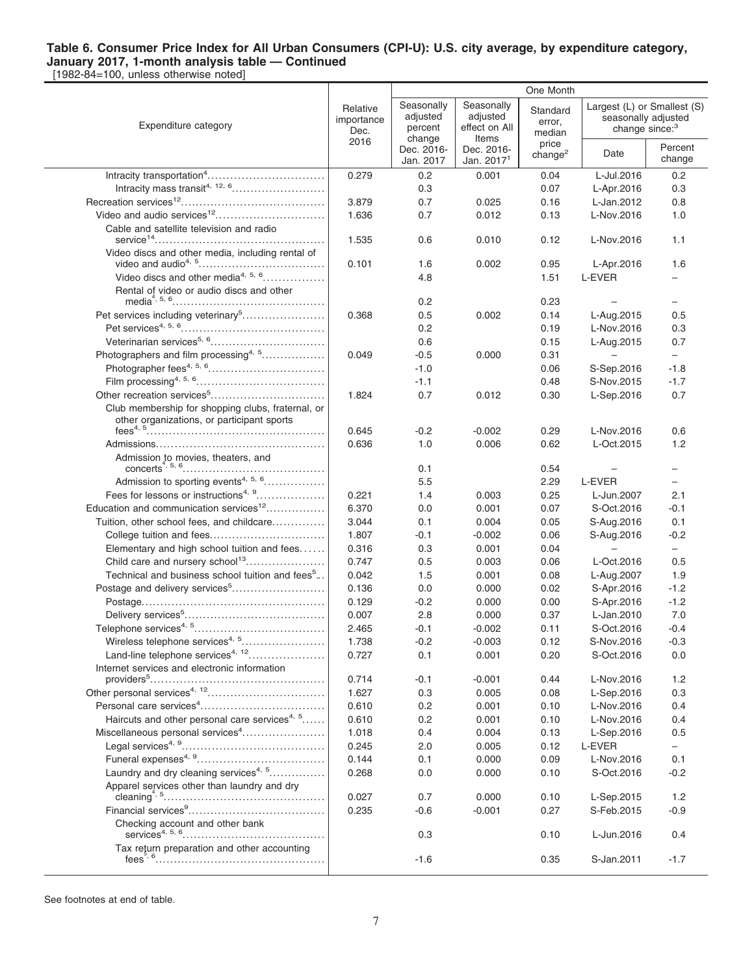[1982-84=100, unless otherwise noted]

|                                                                                                 |                                        |                                                           |                                                                | One Month                             |                          |                                                                      |
|-------------------------------------------------------------------------------------------------|----------------------------------------|-----------------------------------------------------------|----------------------------------------------------------------|---------------------------------------|--------------------------|----------------------------------------------------------------------|
| Expenditure category                                                                            | Relative<br>importance<br>Dec.<br>2016 | Seasonally<br>adjusted<br>percent<br>change<br>Dec. 2016- | Seasonally<br>adjusted<br>effect on All<br>Items<br>Dec. 2016- | Standard<br>error,<br>median<br>price | seasonally adjusted      | Largest (L) or Smallest (S)<br>change since: <sup>3</sup><br>Percent |
|                                                                                                 |                                        | Jan. 2017                                                 | Jan. 2017 <sup>1</sup>                                         | change <sup>2</sup>                   | Date                     | change                                                               |
| Intracity transportation <sup>4</sup>                                                           | 0.279                                  | 0.2                                                       | 0.001                                                          | 0.04                                  | L-Jul.2016               | 0.2                                                                  |
|                                                                                                 |                                        | 0.3                                                       |                                                                | 0.07                                  | L-Apr.2016               | 0.3                                                                  |
|                                                                                                 | 3.879                                  | 0.7                                                       | 0.025                                                          | 0.16                                  | L-Jan.2012               | 0.8                                                                  |
|                                                                                                 | 1.636                                  | 0.7                                                       | 0.012                                                          | 0.13                                  | L-Nov.2016               | 1.0                                                                  |
| Cable and satellite television and radio                                                        | 1.535                                  | 0.6                                                       | 0.010                                                          | 0.12                                  | L-Nov.2016               | 1.1                                                                  |
| Video discs and other media, including rental of                                                |                                        |                                                           |                                                                |                                       |                          |                                                                      |
|                                                                                                 | 0.101                                  | 1.6                                                       | 0.002                                                          | 0.95                                  | L-Apr.2016               | 1.6                                                                  |
| Video discs and other media <sup>4, 5, 6</sup>                                                  |                                        | 4.8                                                       |                                                                | 1.51                                  | L-EVER                   |                                                                      |
| Rental of video or audio discs and other                                                        |                                        | 0.2                                                       |                                                                | 0.23                                  |                          |                                                                      |
| Pet services including veterinary <sup>5</sup>                                                  | 0.368                                  | 0.5                                                       | 0.002                                                          | 0.14                                  | L-Aug.2015               | 0.5                                                                  |
|                                                                                                 |                                        | 0.2                                                       |                                                                | 0.19                                  | L-Nov.2016               | 0.3                                                                  |
| Veterinarian services <sup>5, 6</sup>                                                           |                                        | 0.6                                                       |                                                                | 0.15                                  | L-Aug.2015               | 0.7                                                                  |
| Photographers and film processing <sup>4, 5</sup>                                               | 0.049                                  | $-0.5$                                                    | 0.000                                                          | 0.31                                  | $\overline{\phantom{m}}$ | $\overline{\phantom{0}}$                                             |
|                                                                                                 |                                        | $-1.0$                                                    |                                                                | 0.06                                  | S-Sep.2016               | $-1.8$                                                               |
|                                                                                                 |                                        | $-1.1$                                                    |                                                                | 0.48                                  | S-Nov.2015               | $-1.7$                                                               |
|                                                                                                 | 1.824                                  | 0.7                                                       | 0.012                                                          | 0.30                                  | L-Sep.2016               | 0.7                                                                  |
| Club membership for shopping clubs, fraternal, or<br>other organizations, or participant sports |                                        |                                                           |                                                                |                                       |                          |                                                                      |
|                                                                                                 | 0.645                                  | $-0.2$                                                    | $-0.002$                                                       | 0.29                                  | L-Nov.2016               | 0.6                                                                  |
|                                                                                                 | 0.636                                  | 1.0                                                       | 0.006                                                          | 0.62                                  | L-Oct.2015               | 1.2                                                                  |
| Admission to movies, theaters, and                                                              |                                        | 0.1                                                       |                                                                | 0.54                                  |                          |                                                                      |
| Admission to sporting events <sup>4, 5, 6</sup>                                                 |                                        | 5.5                                                       |                                                                | 2.29                                  | L-EVER                   | $-$                                                                  |
| Fees for lessons or instructions <sup>4, 9</sup>                                                | 0.221                                  | 1.4                                                       | 0.003                                                          | 0.25                                  | L-Jun.2007               | 2.1                                                                  |
| Education and communication services <sup>12</sup>                                              | 6.370                                  | 0.0                                                       | 0.001                                                          | 0.07                                  | S-Oct.2016               | $-0.1$                                                               |
| Tuition, other school fees, and childcare                                                       | 3.044                                  | 0.1                                                       | 0.004                                                          | 0.05                                  | S-Aug.2016               | 0.1                                                                  |
| College tuition and fees                                                                        | 1.807                                  | $-0.1$                                                    | $-0.002$                                                       | 0.06                                  | S-Aug.2016               | $-0.2$                                                               |
| Elementary and high school tuition and fees                                                     | 0.316                                  | 0.3                                                       | 0.001                                                          | 0.04                                  | $\overline{\phantom{a}}$ | $-$                                                                  |
| Child care and nursery school <sup>13</sup>                                                     | 0.747                                  | 0.5                                                       | 0.003                                                          | 0.06                                  | L-Oct.2016               | 0.5                                                                  |
| Technical and business school tuition and fees <sup>5</sup>                                     | 0.042                                  | 1.5                                                       | 0.001                                                          | 0.08                                  | L-Aug.2007               | 1.9                                                                  |
| Postage and delivery services <sup>5</sup>                                                      | 0.136                                  | 0.0                                                       | 0.000                                                          | 0.02                                  | S-Apr.2016               | $-1.2$                                                               |
|                                                                                                 | 0.129                                  | $-0.2$                                                    | 0.000                                                          | 0.00                                  | S-Apr.2016               | $-1.2$                                                               |
|                                                                                                 | 0.007                                  | 2.8                                                       | 0.000                                                          | 0.37                                  | L-Jan.2010               | 7.0                                                                  |
| Wireless telephone services <sup>4, 5</sup>                                                     | 2.465                                  | $-0.1$                                                    | $-0.002$                                                       | 0.11                                  | S-Oct.2016               | $-0.4$                                                               |
| Land-line telephone services <sup>4, 12</sup>                                                   | 1.738                                  | $-0.2$                                                    | $-0.003$                                                       | 0.12                                  | S-Nov.2016               | $-0.3$                                                               |
| Internet services and electronic information                                                    | 0.727                                  | 0.1                                                       | 0.001                                                          | 0.20                                  | S-Oct.2016               | 0.0                                                                  |
|                                                                                                 | 0.714                                  | $-0.1$                                                    | $-0.001$                                                       | 0.44                                  | L-Nov.2016               | 1.2                                                                  |
|                                                                                                 | 1.627                                  | 0.3                                                       | 0.005                                                          | 0.08                                  | L-Sep.2016               | 0.3                                                                  |
|                                                                                                 | 0.610                                  | 0.2                                                       | 0.001                                                          | 0.10                                  | L-Nov.2016               | 0.4                                                                  |
| Haircuts and other personal care services <sup>4, 5</sup>                                       | 0.610                                  | 0.2                                                       | 0.001                                                          | 0.10                                  | L-Nov.2016               | 0.4                                                                  |
| Miscellaneous personal services <sup>4</sup>                                                    | 1.018                                  | 0.4                                                       | 0.004                                                          | 0.13                                  | L-Sep.2016               | 0.5                                                                  |
|                                                                                                 | 0.245                                  | 2.0                                                       | 0.005                                                          | 0.12                                  | L-EVER                   | $\overline{\phantom{0}}$                                             |
|                                                                                                 | 0.144                                  | 0.1                                                       | 0.000                                                          | 0.09                                  | L-Nov.2016               | 0.1                                                                  |
| Laundry and dry cleaning services <sup>4, 5</sup>                                               | 0.268                                  | 0.0                                                       | 0.000                                                          | 0.10                                  | S-Oct.2016               | $-0.2$                                                               |
| Apparel services other than laundry and dry                                                     | 0.027                                  | 0.7                                                       | 0.000                                                          | 0.10                                  | L-Sep.2015               | 1.2                                                                  |
|                                                                                                 | 0.235                                  | $-0.6$                                                    | $-0.001$                                                       | 0.27                                  | S-Feb.2015               | $-0.9$                                                               |
| Checking account and other bank                                                                 |                                        | 0.3                                                       |                                                                | 0.10                                  | L-Jun.2016               | 0.4                                                                  |
| Tax return preparation and other accounting                                                     |                                        | $-1.6$                                                    |                                                                | 0.35                                  | S-Jan.2011               | $-1.7$                                                               |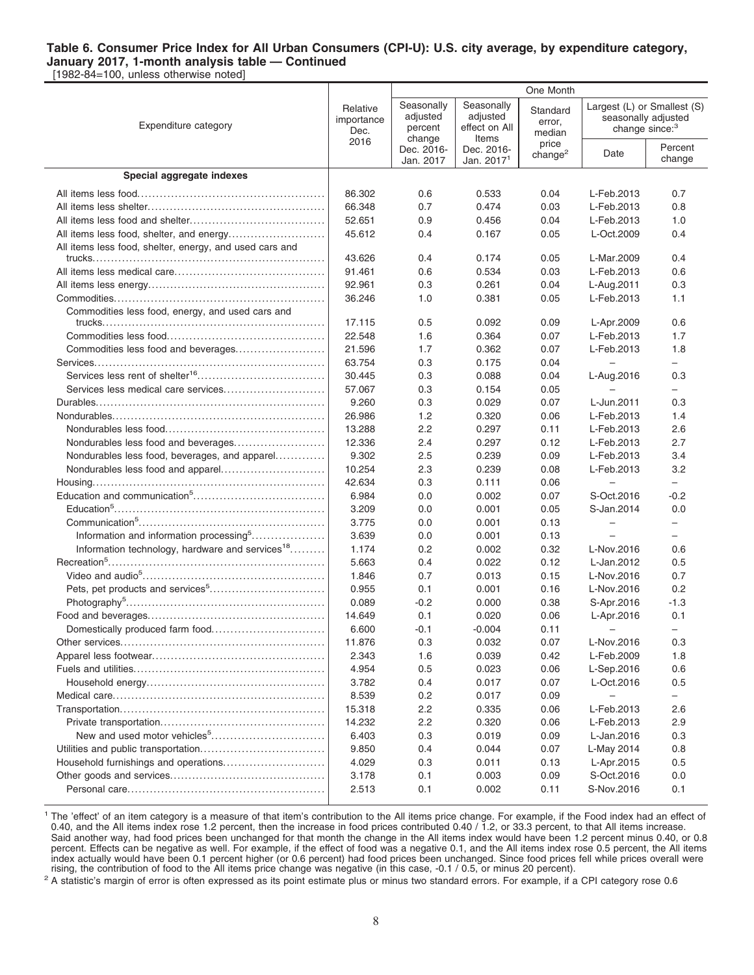[1982-84=100, unless otherwise noted]

|                                                             |                                        | One Month                                                                                       |                            |                                       |                                                                                  |                          |
|-------------------------------------------------------------|----------------------------------------|-------------------------------------------------------------------------------------------------|----------------------------|---------------------------------------|----------------------------------------------------------------------------------|--------------------------|
| Expenditure category                                        | Relative<br>importance<br>Dec.<br>2016 | Seasonally<br>Seasonally<br>adjusted<br>adjusted<br>effect on All<br>percent<br>change<br>Items |                            | Standard<br>error,<br>median<br>price | Largest (L) or Smallest (S)<br>seasonally adjusted<br>change since: <sup>3</sup> |                          |
|                                                             |                                        | Dec. 2016-<br>Jan. 2017                                                                         | Dec. 2016-<br>Jan. $20171$ | change <sup>2</sup>                   | Date                                                                             | Percent<br>change        |
| Special aggregate indexes                                   |                                        |                                                                                                 |                            |                                       |                                                                                  |                          |
|                                                             | 86.302                                 | 0.6                                                                                             | 0.533                      | 0.04                                  | L-Feb.2013                                                                       | 0.7                      |
|                                                             | 66.348                                 | 0.7                                                                                             | 0.474                      | 0.03                                  | L-Feb.2013                                                                       | 0.8                      |
|                                                             | 52.651                                 | 0.9                                                                                             | 0.456                      | 0.04                                  | L-Feb.2013                                                                       | 1.0                      |
|                                                             | 45.612                                 | 0.4                                                                                             | 0.167                      | 0.05                                  | L-Oct.2009                                                                       | 0.4                      |
| All items less food, shelter, energy, and used cars and     |                                        |                                                                                                 |                            |                                       |                                                                                  |                          |
|                                                             | 43.626                                 | 0.4                                                                                             | 0.174                      | 0.05                                  | L-Mar.2009                                                                       | 0.4                      |
|                                                             | 91.461                                 | 0.6                                                                                             | 0.534                      | 0.03                                  | L-Feb.2013                                                                       | 0.6                      |
|                                                             | 92.961                                 | 0.3                                                                                             | 0.261                      | 0.04                                  | L-Aug.2011                                                                       | 0.3                      |
|                                                             | 36.246                                 | 1.0                                                                                             | 0.381                      | 0.05                                  | L-Feb.2013                                                                       | 1.1                      |
| Commodities less food, energy, and used cars and            |                                        |                                                                                                 |                            |                                       |                                                                                  |                          |
|                                                             | 17.115                                 | 0.5                                                                                             | 0.092                      | 0.09                                  | L-Apr.2009                                                                       | 0.6                      |
|                                                             | 22.548                                 | 1.6                                                                                             | 0.364                      | 0.07                                  | L-Feb.2013                                                                       | 1.7                      |
| Commodities less food and beverages                         | 21.596                                 | 1.7                                                                                             | 0.362                      | 0.07                                  | L-Feb.2013                                                                       | 1.8                      |
|                                                             | 63.754                                 | 0.3                                                                                             | 0.175                      | 0.04                                  |                                                                                  | -                        |
|                                                             | 30.445                                 | 0.3                                                                                             | 0.088                      | 0.04                                  | L-Aug.2016                                                                       | 0.3                      |
|                                                             | 57.067                                 | 0.3                                                                                             | 0.154                      | 0.05                                  |                                                                                  | $\overline{\phantom{0}}$ |
|                                                             | 9.260                                  | 0.3                                                                                             | 0.029                      | 0.07                                  | L-Jun.2011                                                                       | 0.3                      |
|                                                             | 26.986                                 | 1.2                                                                                             | 0.320                      | 0.06                                  | L-Feb.2013                                                                       | 1.4                      |
|                                                             | 13.288                                 | 2.2                                                                                             | 0.297                      | 0.11                                  | L-Feb.2013                                                                       | 2.6                      |
|                                                             | 12.336                                 | 2.4                                                                                             | 0.297                      | 0.12                                  | L-Feb.2013                                                                       | 2.7                      |
| Nondurables less food, beverages, and apparel               | 9.302                                  | 2.5                                                                                             | 0.239                      | 0.09                                  | L-Feb.2013                                                                       | 3.4                      |
|                                                             | 10.254                                 | 2.3                                                                                             | 0.239                      | 0.08                                  | L-Feb.2013                                                                       | 3.2                      |
|                                                             | 42.634                                 | 0.3                                                                                             | 0.111                      | 0.06                                  | $\overline{\phantom{0}}$                                                         | $\qquad \qquad -$        |
|                                                             | 6.984                                  | 0.0                                                                                             | 0.002                      | 0.07                                  | S-Oct.2016                                                                       | $-0.2$                   |
|                                                             | 3.209                                  | 0.0                                                                                             | 0.001                      | 0.05                                  | S-Jan.2014                                                                       | 0.0                      |
|                                                             | 3.775                                  | 0.0                                                                                             | 0.001                      | 0.13                                  |                                                                                  | $\qquad \qquad -$        |
| Information and information processing <sup>5</sup>         | 3.639                                  | 0.0                                                                                             | 0.001                      | 0.13                                  | $\overline{\phantom{0}}$                                                         | -                        |
| Information technology, hardware and services <sup>18</sup> | 1.174                                  | 0.2                                                                                             | 0.002                      | 0.32                                  | L-Nov.2016                                                                       | 0.6                      |
|                                                             | 5.663                                  | 0.4                                                                                             | 0.022                      | 0.12                                  | L-Jan.2012                                                                       | 0.5                      |
|                                                             | 1.846                                  | 0.7                                                                                             | 0.013                      | 0.15                                  | L-Nov.2016                                                                       | 0.7                      |
|                                                             | 0.955                                  | 0.1                                                                                             | 0.001                      | 0.16                                  | L-Nov.2016                                                                       | 0.2                      |
|                                                             | 0.089                                  | $-0.2$                                                                                          | 0.000                      | 0.38                                  | S-Apr.2016                                                                       | $-1.3$                   |
|                                                             | 14.649                                 | 0.1                                                                                             | 0.020                      | 0.06                                  | L-Apr.2016                                                                       | 0.1                      |
|                                                             | 6.600                                  | -0.1                                                                                            | $-0.004$                   | 0.11                                  | $\overline{\phantom{0}}$                                                         | $\qquad \qquad -$        |
|                                                             | 11.876                                 | 0.3                                                                                             | 0.032                      | 0.07                                  | L-Nov.2016                                                                       | 0.3                      |
|                                                             | 2.343                                  | 1.6                                                                                             | 0.039                      | 0.42                                  | L-Feb.2009                                                                       | 1.8                      |
|                                                             | 4.954                                  | 0.5                                                                                             | 0.023                      | 0.06                                  | L-Sep.2016                                                                       | 0.6                      |
|                                                             | 3.782                                  | 0.4                                                                                             | 0.017                      | 0.07                                  | L-Oct.2016                                                                       | 0.5                      |
|                                                             | 8.539                                  | 0.2                                                                                             | 0.017                      | 0.09                                  | $\overline{\phantom{0}}$                                                         | $\overline{\phantom{0}}$ |
|                                                             | 15.318                                 | 2.2                                                                                             | 0.335                      | 0.06                                  | L-Feb.2013                                                                       | 2.6                      |
|                                                             | 14.232                                 | 2.2                                                                                             | 0.320                      | 0.06                                  | L-Feb.2013                                                                       | 2.9                      |
|                                                             | 6.403                                  | 0.3                                                                                             | 0.019                      | 0.09                                  | L-Jan.2016                                                                       | 0.3                      |
|                                                             | 9.850                                  | 0.4                                                                                             | 0.044                      | 0.07                                  | L-May 2014                                                                       | 0.8                      |
|                                                             | 4.029                                  | 0.3                                                                                             | 0.011                      | 0.13                                  | L-Apr.2015                                                                       | 0.5                      |
|                                                             | 3.178                                  | 0.1                                                                                             | 0.003                      | 0.09                                  | S-Oct.2016                                                                       | 0.0                      |
|                                                             | 2.513                                  | 0.1                                                                                             | 0.002                      | 0.11                                  | S-Nov.2016                                                                       | 0.1                      |

<sup>1</sup> The 'effect' of an item category is a measure of that item's contribution to the All items price change. For example, if the Food index had an effect of 0.40, and the All items index rose 1.2 percent, then the increase in food prices contributed 0.40 / 1.2, or 33.3 percent, to that All items increase. Said another way, had food prices been unchanged for that month the change in the All items index would have been 1.2 percent minus 0.40, or 0.8 percent. Effects can be negative as well. For example, if the effect of food was a negative 0.1, and the All items index rose 0.5 percent, the All items index actually would have been 0.1 percent higher (or 0.6 percent) had food prices been unchanged. Since food prices fell while prices overall were rising, the contribution of food to the All items price change was negative (in this case, -0.1 / 0.5, or minus 20 percent).

<sup>2</sup> A statistic's margin of error is often expressed as its point estimate plus or minus two standard errors. For example, if a CPI category rose 0.6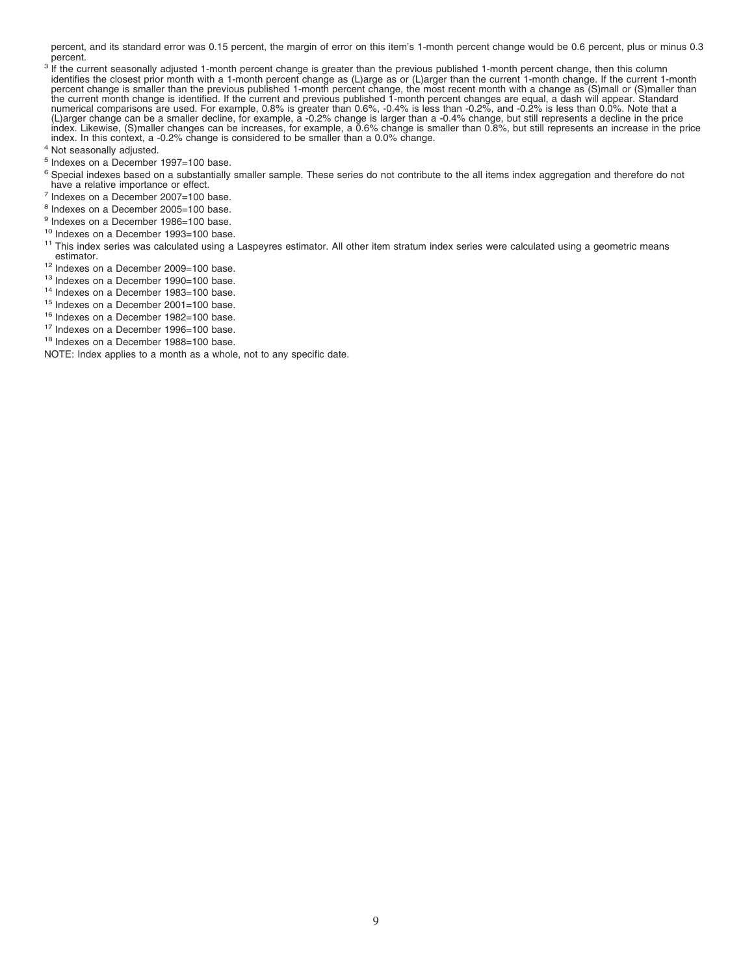percent, and its standard error was 0.15 percent, the margin of error on this item's 1-month percent change would be 0.6 percent, plus or minus 0.3 percent.

- <sup>3</sup> If the current seasonally adjusted 1-month percent change is greater than the previous published 1-month percent change, then this column identifies the closest prior month with a 1-month percent change as or (L)arger
- <sup>4</sup> Not seasonally adjusted.
- 5 Indexes on a December 1997=100 base.
- <sup>6</sup> Special indexes based on a substantially smaller sample. These series do not contribute to the all items index aggregation and therefore do not have a relative importance or effect.
- 7 Indexes on a December 2007=100 base.
- <sup>8</sup> Indexes on a December 2005=100 base.
- <sup>9</sup> Indexes on a December 1986=100 base.
- 10 Indexes on a December 1993=100 base.
- <sup>11</sup> This index series was calculated using a Laspeyres estimator. All other item stratum index series were calculated using a geometric means estimator.
- <sup>12</sup> Indexes on a December 2009=100 base.
- 13 Indexes on a December 1990=100 base.
- <sup>14</sup> Indexes on a December 1983=100 base.
- <sup>15</sup> Indexes on a December 2001=100 base.
- <sup>16</sup> Indexes on a December 1982=100 base.
- <sup>17</sup> Indexes on a December 1996=100 base.
- <sup>18</sup> Indexes on a December 1988=100 base.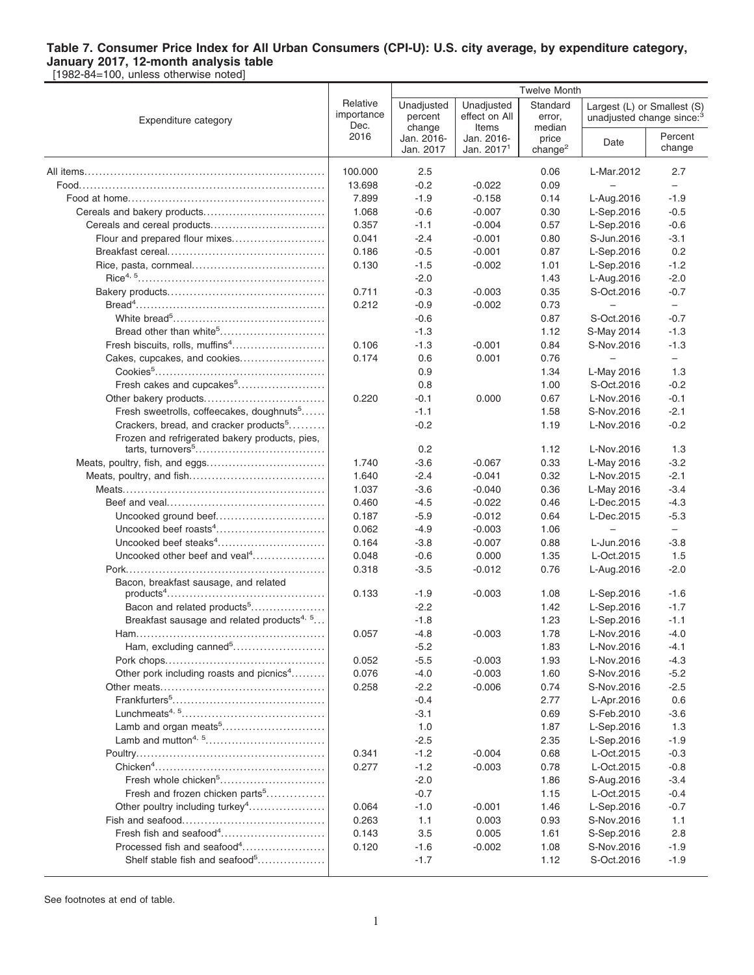## **Table 7. Consumer Price Index for All Urban Consumers (CPI-U): U.S. city average, by expenditure category,**

**January 2017, 12-month analysis table** [1982-84=100, unless otherwise noted]

|                                                        |                                |                                 |                                      |                              | <b>Twelve Month</b>                                                  |                          |  |  |  |
|--------------------------------------------------------|--------------------------------|---------------------------------|--------------------------------------|------------------------------|----------------------------------------------------------------------|--------------------------|--|--|--|
| Expenditure category                                   | Relative<br>importance<br>Dec. | Unadjusted<br>percent<br>change | Unadjusted<br>effect on All<br>Items | Standard<br>error,<br>median | Largest (L) or Smallest (S)<br>unadjusted change since: <sup>3</sup> |                          |  |  |  |
|                                                        | 2016                           | Jan. 2016-<br>Jan. 2017         | Jan. 2016-<br>Jan. 2017 <sup>1</sup> | price<br>change <sup>2</sup> | Date                                                                 | Percent<br>change        |  |  |  |
|                                                        | 100.000                        | 2.5                             |                                      | 0.06                         | L-Mar.2012                                                           | 2.7                      |  |  |  |
|                                                        | 13.698                         | $-0.2$                          | $-0.022$                             | 0.09                         |                                                                      | $\overline{\phantom{0}}$ |  |  |  |
|                                                        | 7.899                          | $-1.9$                          | $-0.158$                             | 0.14                         | L-Aug.2016                                                           | $-1.9$                   |  |  |  |
|                                                        | 1.068                          | $-0.6$                          | $-0.007$                             | 0.30                         | L-Sep.2016                                                           | $-0.5$                   |  |  |  |
|                                                        | 0.357                          | $-1.1$                          | $-0.004$                             | 0.57                         | L-Sep.2016                                                           | $-0.6$                   |  |  |  |
| Flour and prepared flour mixes                         | 0.041                          | $-2.4$                          | $-0.001$                             | 0.80                         | S-Jun.2016                                                           | $-3.1$                   |  |  |  |
|                                                        | 0.186                          | $-0.5$                          | $-0.001$                             | 0.87                         | L-Sep.2016                                                           | 0.2                      |  |  |  |
|                                                        | 0.130                          | $-1.5$                          | $-0.002$                             | 1.01                         | L-Sep.2016                                                           | $-1.2$                   |  |  |  |
|                                                        |                                | $-2.0$                          |                                      | 1.43                         | L-Aug.2016                                                           | $-2.0$                   |  |  |  |
|                                                        | 0.711                          | $-0.3$                          | $-0.003$                             | 0.35                         | S-Oct.2016                                                           | $-0.7$                   |  |  |  |
|                                                        | 0.212                          | $-0.9$                          | $-0.002$                             | 0.73                         | $\overline{\phantom{0}}$                                             | $\qquad \qquad -$        |  |  |  |
|                                                        |                                | $-0.6$                          |                                      | 0.87                         | S-Oct.2016                                                           | $-0.7$                   |  |  |  |
|                                                        |                                | $-1.3$                          |                                      | 1.12                         | S-May 2014                                                           | $-1.3$                   |  |  |  |
|                                                        | 0.106                          | $-1.3$                          | $-0.001$                             | 0.84                         | S-Nov.2016                                                           | $-1.3$                   |  |  |  |
| Cakes, cupcakes, and cookies                           | 0.174                          | 0.6                             | 0.001                                | 0.76                         |                                                                      | $\overline{\phantom{0}}$ |  |  |  |
|                                                        |                                | 0.9                             |                                      | 1.34                         | L-May 2016                                                           | 1.3                      |  |  |  |
| Fresh cakes and cupcakes <sup>5</sup>                  |                                | 0.8                             |                                      | 1.00                         | S-Oct.2016                                                           | $-0.2$                   |  |  |  |
|                                                        | 0.220                          | $-0.1$                          | 0.000                                | 0.67                         | L-Nov.2016                                                           | $-0.1$                   |  |  |  |
| Fresh sweetrolls, coffeecakes, doughnuts <sup>5</sup>  |                                | $-1.1$                          |                                      | 1.58                         | S-Nov.2016                                                           | $-2.1$                   |  |  |  |
| Crackers, bread, and cracker products <sup>5</sup>     |                                | $-0.2$                          |                                      | 1.19                         | L-Nov.2016                                                           | $-0.2$                   |  |  |  |
| Frozen and refrigerated bakery products, pies,         |                                |                                 |                                      |                              |                                                                      |                          |  |  |  |
|                                                        |                                | 0.2                             |                                      | 1.12                         | L-Nov.2016                                                           | 1.3                      |  |  |  |
|                                                        | 1.740                          | $-3.6$                          | $-0.067$                             | 0.33                         | L-May 2016                                                           | $-3.2$                   |  |  |  |
|                                                        | 1.640                          | $-2.4$                          | $-0.041$                             | 0.32                         | L-Nov.2015                                                           | $-2.1$                   |  |  |  |
|                                                        | 1.037                          | $-3.6$                          | $-0.040$                             | 0.36                         | L-May 2016                                                           | $-3.4$                   |  |  |  |
|                                                        | 0.460                          | $-4.5$                          | $-0.022$                             | 0.46                         | L-Dec.2015                                                           | $-4.3$                   |  |  |  |
| Uncooked ground beef                                   | 0.187                          | $-5.9$                          | $-0.012$                             | 0.64                         | L-Dec.2015                                                           | $-5.3$                   |  |  |  |
|                                                        | 0.062                          | $-4.9$                          | $-0.003$                             | 1.06                         | $\overline{\phantom{0}}$                                             | $\qquad \qquad -$        |  |  |  |
|                                                        | 0.164                          | $-3.8$                          | $-0.007$                             | 0.88                         | L-Jun.2016                                                           | $-3.8$                   |  |  |  |
| Uncooked other beef and veal <sup>4</sup>              | 0.048                          | $-0.6$                          | 0.000                                | 1.35                         | L-Oct.2015                                                           | 1.5                      |  |  |  |
|                                                        | 0.318                          | $-3.5$                          | $-0.012$                             | 0.76                         | L-Aug.2016                                                           | $-2.0$                   |  |  |  |
| Bacon, breakfast sausage, and related                  |                                |                                 |                                      |                              |                                                                      |                          |  |  |  |
|                                                        | 0.133                          | $-1.9$                          | $-0.003$                             | 1.08                         | L-Sep.2016                                                           | $-1.6$                   |  |  |  |
| Bacon and related products <sup>5</sup>                |                                | $-2.2$                          |                                      | 1.42                         | L-Sep.2016                                                           | $-1.7$                   |  |  |  |
| Breakfast sausage and related products <sup>4, 5</sup> |                                | $-1.8$                          |                                      | 1.23                         | L-Sep.2016                                                           | $-1.1$                   |  |  |  |
|                                                        | 0.057                          | $-4.8$                          | $-0.003$                             | 1.78                         | L-Nov.2016<br>L-Nov.2016                                             | $-4.0$                   |  |  |  |
| Ham, excluding canned <sup>5</sup>                     |                                | $-5.2$                          |                                      | 1.83                         |                                                                      | $-4.1$                   |  |  |  |
| Other pork including roasts and picnics <sup>4</sup>   | 0.052                          | $-5.5$                          | $-0.003$                             | 1.93                         | L-Nov.2016                                                           | $-4.3$                   |  |  |  |
|                                                        | 0.076<br>0.258                 | $-4.0$<br>$-2.2$                | $-0.003$<br>$-0.006$                 | 1.60<br>0.74                 | S-Nov.2016<br>S-Nov.2016                                             | $-5.2$<br>$-2.5$         |  |  |  |
|                                                        |                                | $-0.4$                          |                                      | 2.77                         |                                                                      | 0.6                      |  |  |  |
|                                                        |                                | $-3.1$                          |                                      | 0.69                         | L-Apr.2016<br>S-Feb.2010                                             | $-3.6$                   |  |  |  |
| Lamb and organ meats <sup>5</sup>                      |                                | 1.0                             |                                      | 1.87                         | L-Sep.2016                                                           | 1.3                      |  |  |  |
|                                                        |                                | $-2.5$                          |                                      | 2.35                         | L-Sep.2016                                                           | $-1.9$                   |  |  |  |
|                                                        |                                |                                 |                                      |                              |                                                                      |                          |  |  |  |
|                                                        | 0.341<br>0.277                 | $-1.2$<br>$-1.2$                | $-0.004$<br>$-0.003$                 | 0.68<br>0.78                 | L-Oct.2015<br>L-Oct.2015                                             | $-0.3$<br>$-0.8$         |  |  |  |
| Fresh whole chicken <sup>5</sup>                       |                                | $-2.0$                          |                                      | 1.86                         | S-Aug.2016                                                           | $-3.4$                   |  |  |  |
| Fresh and frozen chicken parts <sup>5</sup>            |                                | $-0.7$                          |                                      | 1.15                         | L-Oct.2015                                                           | $-0.4$                   |  |  |  |
| Other poultry including turkey <sup>4</sup>            | 0.064                          | $-1.0$                          |                                      | 1.46                         |                                                                      | $-0.7$                   |  |  |  |
|                                                        | 0.263                          | 1.1                             | $-0.001$<br>0.003                    | 0.93                         | L-Sep.2016<br>S-Nov.2016                                             | 1.1                      |  |  |  |
|                                                        | 0.143                          | 3.5                             | 0.005                                | 1.61                         | S-Sep.2016                                                           | 2.8                      |  |  |  |
| Processed fish and seafood <sup>4</sup>                | 0.120                          | $-1.6$                          | $-0.002$                             | 1.08                         | S-Nov.2016                                                           | $-1.9$                   |  |  |  |
| Shelf stable fish and seafood <sup>5</sup>             |                                | $-1.7$                          |                                      | 1.12                         | S-Oct.2016                                                           | $-1.9$                   |  |  |  |
|                                                        |                                |                                 |                                      |                              |                                                                      |                          |  |  |  |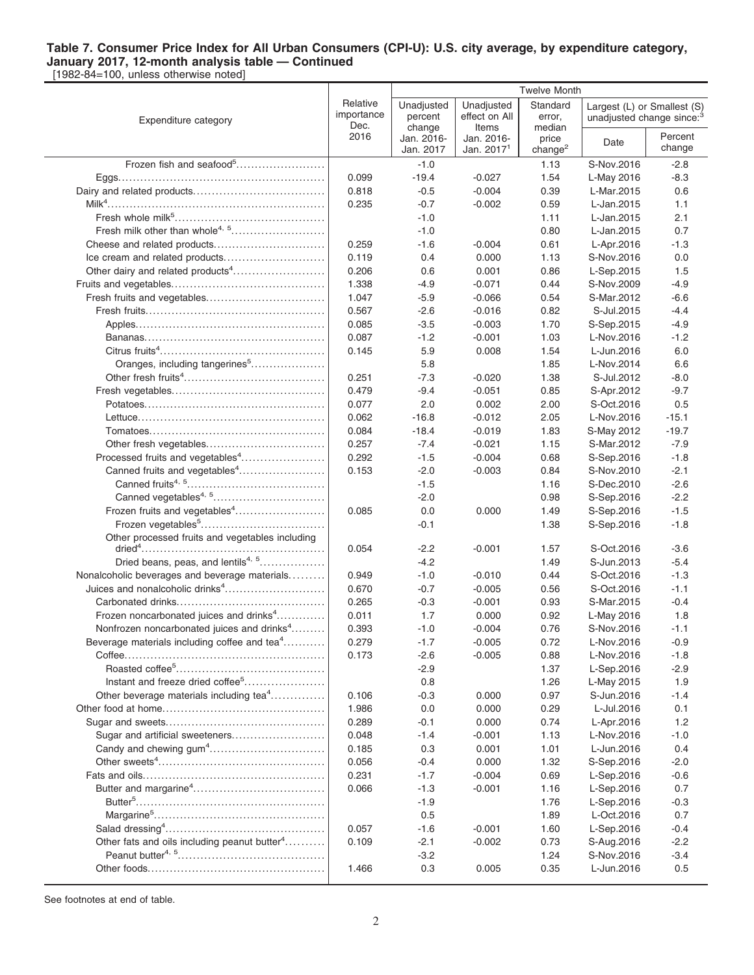[1982-84=100, unless otherwise noted]

|                                                          |                                | <b>Twelve Month</b>             |                                                                              |                              |                                                                      |                   |
|----------------------------------------------------------|--------------------------------|---------------------------------|------------------------------------------------------------------------------|------------------------------|----------------------------------------------------------------------|-------------------|
| Expenditure category                                     | Relative<br>importance<br>Dec. | Unadjusted<br>percent<br>change | Unadjusted<br>effect on All<br>Items<br>Jan. 2016-<br>Jan. 2017 <sup>1</sup> | Standard<br>error,<br>median | Largest (L) or Smallest (S)<br>unadjusted change since: <sup>3</sup> |                   |
|                                                          | 2016                           | Jan. 2016-<br>Jan. 2017         |                                                                              | price<br>change <sup>2</sup> | Date                                                                 | Percent<br>change |
| Frozen fish and seafood <sup>5</sup>                     |                                | $-1.0$                          |                                                                              | 1.13                         | S-Nov.2016                                                           | $-2.8$            |
|                                                          | 0.099                          | $-19.4$                         | $-0.027$                                                                     | 1.54                         | L-May 2016                                                           | $-8.3$            |
|                                                          | 0.818                          | $-0.5$                          | $-0.004$                                                                     | 0.39                         | L-Mar.2015                                                           | 0.6               |
|                                                          | 0.235                          | $-0.7$                          | $-0.002$                                                                     | 0.59                         | L-Jan.2015                                                           | 1.1               |
|                                                          |                                | $-1.0$                          |                                                                              | 1.11                         | L-Jan.2015                                                           | 2.1               |
|                                                          |                                | $-1.0$                          |                                                                              | 0.80                         | L-Jan.2015                                                           | 0.7               |
|                                                          | 0.259                          | $-1.6$                          | $-0.004$                                                                     | 0.61                         | L-Apr.2016                                                           | $-1.3$            |
| Ice cream and related products                           | 0.119                          | 0.4                             | 0.000                                                                        | 1.13                         | S-Nov.2016                                                           | 0.0               |
| Other dairy and related products <sup>4</sup>            | 0.206                          | 0.6                             | 0.001                                                                        | 0.86                         | L-Sep.2015                                                           | 1.5               |
|                                                          | 1.338                          | $-4.9$                          | $-0.071$                                                                     | 0.44                         | S-Nov.2009                                                           | $-4.9$            |
|                                                          | 1.047                          | $-5.9$                          | $-0.066$                                                                     | 0.54                         | S-Mar.2012                                                           | $-6.6$            |
|                                                          | 0.567                          | $-2.6$                          | $-0.016$                                                                     | 0.82                         | S-Jul.2015                                                           | $-4.4$            |
|                                                          | 0.085                          | $-3.5$                          | $-0.003$                                                                     | 1.70                         | S-Sep.2015                                                           | $-4.9$            |
|                                                          | 0.087                          | $-1.2$                          | $-0.001$                                                                     | 1.03                         | L-Nov.2016                                                           | $-1.2$            |
|                                                          | 0.145                          | 5.9                             | 0.008                                                                        | 1.54                         | L-Jun.2016                                                           | 6.0               |
| Oranges, including tangerines <sup>5</sup>               |                                | 5.8                             |                                                                              | 1.85                         | L-Nov.2014                                                           | 6.6               |
|                                                          | 0.251                          | $-7.3$                          | $-0.020$                                                                     | 1.38                         | S-Jul.2012                                                           | $-8.0$            |
|                                                          | 0.479                          | $-9.4$                          | $-0.051$                                                                     | 0.85                         | S-Apr.2012                                                           | $-9.7$            |
|                                                          | 0.077                          | 2.0                             | 0.002                                                                        | 2.00                         | S-Oct.2016                                                           | 0.5               |
|                                                          | 0.062                          | $-16.8$                         | $-0.012$                                                                     | 2.05                         | L-Nov.2016                                                           | $-15.1$           |
|                                                          | 0.084                          | $-18.4$                         | $-0.019$                                                                     | 1.83                         | S-May 2012                                                           | $-19.7$           |
|                                                          | 0.257                          | $-7.4$                          | $-0.021$                                                                     | 1.15                         | S-Mar.2012                                                           | $-7.9$            |
| Processed fruits and vegetables <sup>4</sup>             | 0.292                          | $-1.5$                          | $-0.004$                                                                     | 0.68                         | S-Sep.2016                                                           | $-1.8$            |
| Canned fruits and vegetables <sup>4</sup>                | 0.153                          | $-2.0$                          | $-0.003$                                                                     | 0.84                         | S-Nov.2010                                                           | $-2.1$            |
|                                                          |                                | $-1.5$                          |                                                                              | 1.16                         | S-Dec.2010                                                           | $-2.6$            |
|                                                          |                                | $-2.0$                          |                                                                              | 0.98                         | S-Sep.2016                                                           | $-2.2$            |
| Frozen fruits and vegetables <sup>4</sup>                | 0.085                          | 0.0                             | 0.000                                                                        | 1.49                         | S-Sep.2016                                                           | $-1.5$            |
|                                                          |                                | $-0.1$                          |                                                                              | 1.38                         | S-Sep.2016                                                           | $-1.8$            |
| Other processed fruits and vegetables including          | 0.054                          | $-2.2$                          | $-0.001$                                                                     | 1.57                         | S-Oct.2016                                                           | $-3.6$            |
| Dried beans, peas, and lentils <sup>4, 5</sup>           |                                | $-4.2$                          |                                                                              | 1.49                         | S-Jun.2013                                                           | $-5.4$            |
| Nonalcoholic beverages and beverage materials            | 0.949                          | $-1.0$                          | $-0.010$                                                                     | 0.44                         | S-Oct.2016                                                           | $-1.3$            |
| Juices and nonalcoholic drinks <sup>4</sup>              | 0.670                          | $-0.7$                          | $-0.005$                                                                     | 0.56                         | S-Oct.2016                                                           | $-1.1$            |
|                                                          | 0.265                          | $-0.3$                          | $-0.001$                                                                     | 0.93                         | S-Mar.2015                                                           | $-0.4$            |
| Frozen noncarbonated juices and drinks <sup>4</sup>      | 0.011                          | 1.7                             | 0.000                                                                        | 0.92                         | L-May 2016                                                           | 1.8               |
| Nonfrozen noncarbonated juices and drinks <sup>4</sup>   | 0.393                          | $-1.0$                          | $-0.004$                                                                     | 0.76                         | S-Nov.2016                                                           | $-1.1$            |
| Beverage materials including coffee and tea <sup>4</sup> | 0.279                          | $-1.7$                          | $-0.005$                                                                     | 0.72                         | L-Nov.2016                                                           | $-0.9$            |
|                                                          | 0.173                          | $-2.6$                          | $-0.005$                                                                     | 0.88                         | L-Nov.2016                                                           | $-1.8$            |
|                                                          |                                | $-2.9$                          |                                                                              | 1.37                         | L-Sep.2016                                                           | $-2.9$            |
| Instant and freeze dried coffee <sup>5</sup>             |                                | 0.8                             |                                                                              | 1.26                         | L-May 2015                                                           | 1.9               |
| Other beverage materials including tea <sup>4</sup>      | 0.106                          | $-0.3$                          | 0.000                                                                        | 0.97                         | S-Jun.2016                                                           | $-1.4$            |
|                                                          | 1.986                          | 0.0                             | 0.000                                                                        | 0.29                         | L-Jul.2016                                                           | 0.1               |
|                                                          | 0.289                          | -0.1                            | 0.000                                                                        | 0.74                         | L-Apr.2016                                                           | 1.2               |
| Sugar and artificial sweeteners                          | 0.048                          | $-1.4$                          | $-0.001$                                                                     | 1.13                         | L-Nov.2016                                                           | $-1.0$            |
|                                                          | 0.185                          | 0.3                             | 0.001                                                                        | 1.01                         | L-Jun.2016                                                           | 0.4               |
|                                                          | 0.056                          | $-0.4$                          | 0.000                                                                        | 1.32                         | S-Sep.2016                                                           | $-2.0$            |
|                                                          | 0.231                          | $-1.7$                          | $-0.004$                                                                     | 0.69                         | L-Sep.2016                                                           | $-0.6$            |
|                                                          | 0.066                          | $-1.3$                          | $-0.001$                                                                     | 1.16                         | L-Sep.2016                                                           | 0.7               |
|                                                          |                                | $-1.9$                          |                                                                              | 1.76                         | L-Sep.2016                                                           | $-0.3$            |
|                                                          |                                | 0.5                             |                                                                              | 1.89                         | L-Oct.2016                                                           | 0.7               |
|                                                          | 0.057                          | $-1.6$                          | $-0.001$                                                                     | 1.60                         | L-Sep.2016                                                           | $-0.4$            |
| Other fats and oils including peanut butter <sup>4</sup> | 0.109                          | $-2.1$                          | $-0.002$                                                                     | 0.73                         | S-Aug.2016                                                           | $-2.2$            |
|                                                          |                                | $-3.2$                          |                                                                              | 1.24                         | S-Nov.2016                                                           | $-3.4$            |
|                                                          | 1.466                          | 0.3                             | 0.005                                                                        | 0.35                         | L-Jun.2016                                                           | 0.5               |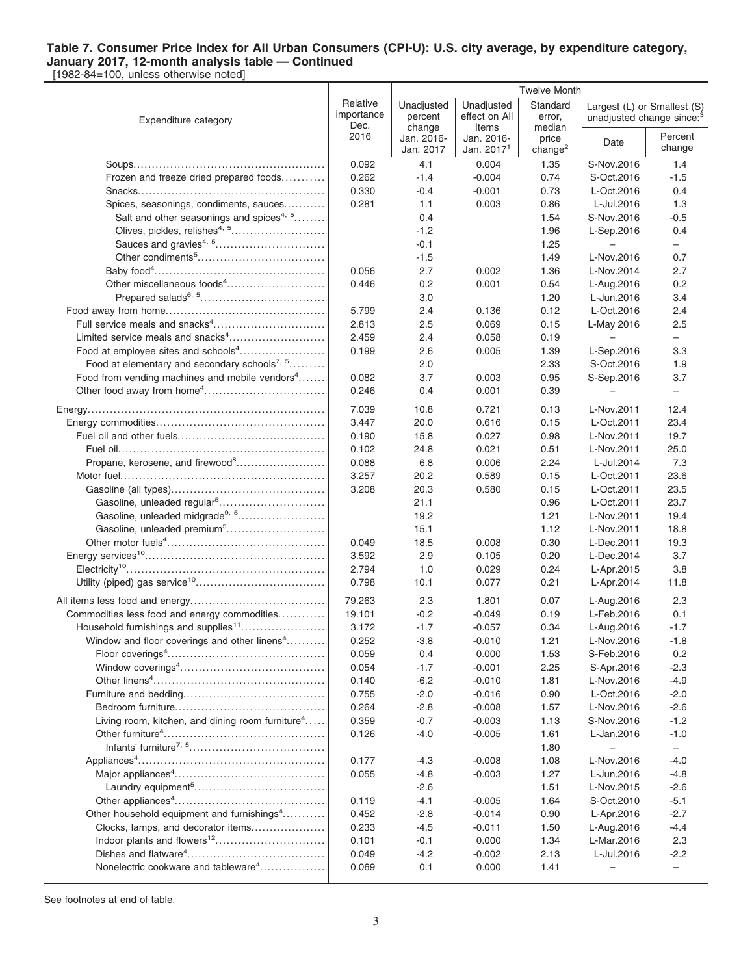[1982-84=100, unless otherwise noted]

|                                                              | <b>Twelve Month</b>            |                                   |                                      |                              |                                                                      |                          |  |
|--------------------------------------------------------------|--------------------------------|-----------------------------------|--------------------------------------|------------------------------|----------------------------------------------------------------------|--------------------------|--|
| Expenditure category                                         | Relative<br>importance<br>Dec. | Unadjusted<br>percent             | Unadjusted<br>effect on All<br>Items | Standard<br>error,<br>median | Largest (L) or Smallest (S)<br>unadjusted change since: <sup>3</sup> |                          |  |
|                                                              | 2016                           | change<br>Jan. 2016-<br>Jan. 2017 | Jan. 2016-<br>Jan. 2017 <sup>1</sup> | price<br>change <sup>2</sup> | Date                                                                 | Percent<br>change        |  |
|                                                              | 0.092                          | 4.1                               | 0.004                                | 1.35                         | S-Nov.2016                                                           | 1.4                      |  |
| Frozen and freeze dried prepared foods                       | 0.262                          | $-1.4$                            | $-0.004$                             | 0.74                         | S-Oct.2016                                                           | $-1.5$                   |  |
|                                                              | 0.330                          | $-0.4$                            | $-0.001$                             | 0.73                         | L-Oct.2016                                                           | 0.4                      |  |
| Spices, seasonings, condiments, sauces                       | 0.281                          | 1.1                               | 0.003                                | 0.86                         | L-Jul.2016                                                           | 1.3                      |  |
| Salt and other seasonings and spices <sup>4, 5</sup>         |                                | 0.4                               |                                      | 1.54                         | S-Nov.2016                                                           | $-0.5$                   |  |
| Olives, pickles, relishes <sup>4, 5</sup>                    |                                | $-1.2$                            |                                      | 1.96                         | L-Sep.2016                                                           | 0.4                      |  |
| Sauces and gravies <sup>4, 5</sup>                           |                                | $-0.1$                            |                                      | 1.25                         |                                                                      | $\overline{\phantom{0}}$ |  |
|                                                              |                                | $-1.5$                            |                                      | 1.49                         | L-Nov.2016                                                           | 0.7                      |  |
|                                                              | 0.056                          | 2.7                               | 0.002                                | 1.36                         | L-Nov.2014                                                           | 2.7                      |  |
| Other miscellaneous foods <sup>4</sup>                       | 0.446                          | 0.2                               | 0.001                                | 0.54                         | L-Aug.2016                                                           | 0.2                      |  |
|                                                              |                                | 3.0                               |                                      | 1.20                         | L-Jun.2016                                                           | 3.4                      |  |
|                                                              | 5.799                          | 2.4                               | 0.136                                | 0.12                         | L-Oct.2016                                                           | 2.4                      |  |
|                                                              | 2.813                          | 2.5                               | 0.069                                | 0.15                         | L-May 2016                                                           | 2.5                      |  |
| Limited service meals and snacks <sup>4</sup>                | 2.459                          | 2.4                               | 0.058                                | 0.19                         | $\overline{\phantom{0}}$                                             | $\equiv$                 |  |
| Food at employee sites and schools <sup>4</sup>              | 0.199                          | 2.6                               | 0.005                                | 1.39                         | L-Sep.2016                                                           | 3.3                      |  |
| Food at elementary and secondary schools <sup>7, 5</sup>     |                                | 2.0                               |                                      | 2.33                         | S-Oct.2016                                                           | 1.9                      |  |
| Food from vending machines and mobile vendors <sup>4</sup>   | 0.082                          | 3.7                               | 0.003                                | 0.95                         | S-Sep.2016                                                           | 3.7                      |  |
|                                                              | 0.246                          | 0.4                               | 0.001                                | 0.39                         |                                                                      | $\qquad \qquad -$        |  |
|                                                              | 7.039                          | 10.8                              | 0.721                                | 0.13                         | L-Nov.2011                                                           | 12.4                     |  |
|                                                              | 3.447                          | 20.0                              | 0.616                                | 0.15                         | L-Oct.2011                                                           | 23.4                     |  |
|                                                              | 0.190                          | 15.8                              | 0.027                                | 0.98                         | L-Nov.2011                                                           | 19.7                     |  |
|                                                              | 0.102                          | 24.8                              | 0.021                                | 0.51                         | L-Nov.2011                                                           | 25.0                     |  |
| Propane, kerosene, and firewood <sup>8</sup>                 | 0.088                          | 6.8                               | 0.006                                | 2.24                         | L-Jul.2014                                                           | 7.3                      |  |
|                                                              | 3.257                          | 20.2                              | 0.589                                | 0.15                         | L-Oct.2011                                                           | 23.6                     |  |
|                                                              | 3.208                          | 20.3                              | 0.580                                | 0.15                         | L-Oct.2011                                                           | 23.5                     |  |
| Gasoline, unleaded regular <sup>5</sup>                      |                                | 21.1                              |                                      | 0.96                         | L-Oct.2011                                                           | 23.7                     |  |
| Gasoline, unleaded midgrade <sup>9, 5</sup>                  |                                | 19.2                              |                                      | 1.21                         | L-Nov.2011                                                           | 19.4                     |  |
| Gasoline, unleaded premium <sup>5</sup>                      |                                | 15.1                              |                                      | 1.12                         | L-Nov.2011                                                           | 18.8                     |  |
|                                                              | 0.049                          | 18.5                              | 0.008                                | 0.30                         | L-Dec.2011                                                           | 19.3                     |  |
|                                                              | 3.592                          | 2.9                               | 0.105                                | 0.20                         | L-Dec.2014                                                           | 3.7                      |  |
|                                                              | 2.794                          | 1.0                               | 0.029                                | 0.24                         | L-Apr.2015                                                           | 3.8                      |  |
|                                                              | 0.798                          | 10.1                              | 0.077                                | 0.21                         | L-Apr.2014                                                           | 11.8                     |  |
|                                                              | 79.263                         | 2.3                               | 1.801                                | 0.07                         | L-Aug.2016                                                           | 2.3                      |  |
| Commodities less food and energy commodities                 | 19.101                         | $-0.2$                            | $-0.049$                             | 0.19                         | L-Feb.2016                                                           | 0.1                      |  |
| Household furnishings and supplies <sup>11</sup>             | 3.172                          | $-1.7$                            | $-0.057$                             | 0.34                         | L-Aug.2016                                                           | $-1.7$                   |  |
| Window and floor coverings and other linens <sup>4</sup>     | 0.252                          | -3.8                              | $-0.010$                             | 1.21                         | L-Nov.2016                                                           | -1.8                     |  |
|                                                              | 0.059                          | 0.4                               | 0.000                                | 1.53                         | S-Feb.2016                                                           | 0.2                      |  |
|                                                              | 0.054                          | $-1.7$                            | $-0.001$                             | 2.25                         | S-Apr.2016                                                           | $-2.3$                   |  |
|                                                              | 0.140                          | $-6.2$                            | $-0.010$                             | 1.81                         | L-Nov.2016                                                           | $-4.9$                   |  |
|                                                              | 0.755                          | $-2.0$                            | $-0.016$                             | 0.90                         | L-Oct.2016                                                           | $-2.0$                   |  |
|                                                              | 0.264                          | $-2.8$                            | $-0.008$                             | 1.57                         | L-Nov.2016                                                           | $-2.6$                   |  |
| Living room, kitchen, and dining room furniture <sup>4</sup> | 0.359                          | $-0.7$                            | $-0.003$                             | 1.13                         | S-Nov.2016                                                           | $-1.2$                   |  |
|                                                              | 0.126                          | $-4.0$                            | $-0.005$                             | 1.61                         | L-Jan.2016                                                           | $-1.0$                   |  |
|                                                              |                                |                                   |                                      | 1.80                         | -                                                                    | $\overline{\phantom{0}}$ |  |
|                                                              | 0.177                          | $-4.3$                            | $-0.008$                             | 1.08                         | L-Nov.2016                                                           | $-4.0$                   |  |
|                                                              | 0.055                          | $-4.8$                            | $-0.003$                             | 1.27                         | L-Jun.2016                                                           | $-4.8$                   |  |
|                                                              |                                | $-2.6$                            |                                      | 1.51                         | L-Nov.2015                                                           | $-2.6$                   |  |
|                                                              | 0.119                          | $-4.1$                            | $-0.005$                             | 1.64                         | S-Oct.2010                                                           | $-5.1$                   |  |
| Other household equipment and furnishings <sup>4</sup>       | 0.452                          | $-2.8$                            | $-0.014$                             | 0.90                         | L-Apr.2016                                                           | $-2.7$                   |  |
| Clocks, lamps, and decorator items                           | 0.233                          | $-4.5$                            | $-0.011$                             | 1.50                         | L-Aug.2016                                                           | $-4.4$                   |  |
| Indoor plants and flowers <sup>12</sup>                      | 0.101                          | $-0.1$                            | 0.000                                | 1.34                         | L-Mar.2016                                                           | 2.3                      |  |
|                                                              | 0.049                          | $-4.2$                            | $-0.002$                             | 2.13                         | L-Jul.2016                                                           | $-2.2$                   |  |
| Nonelectric cookware and tableware <sup>4</sup>              | 0.069                          | 0.1                               | 0.000                                | 1.41                         | $\overline{\phantom{0}}$                                             | $\qquad \qquad -$        |  |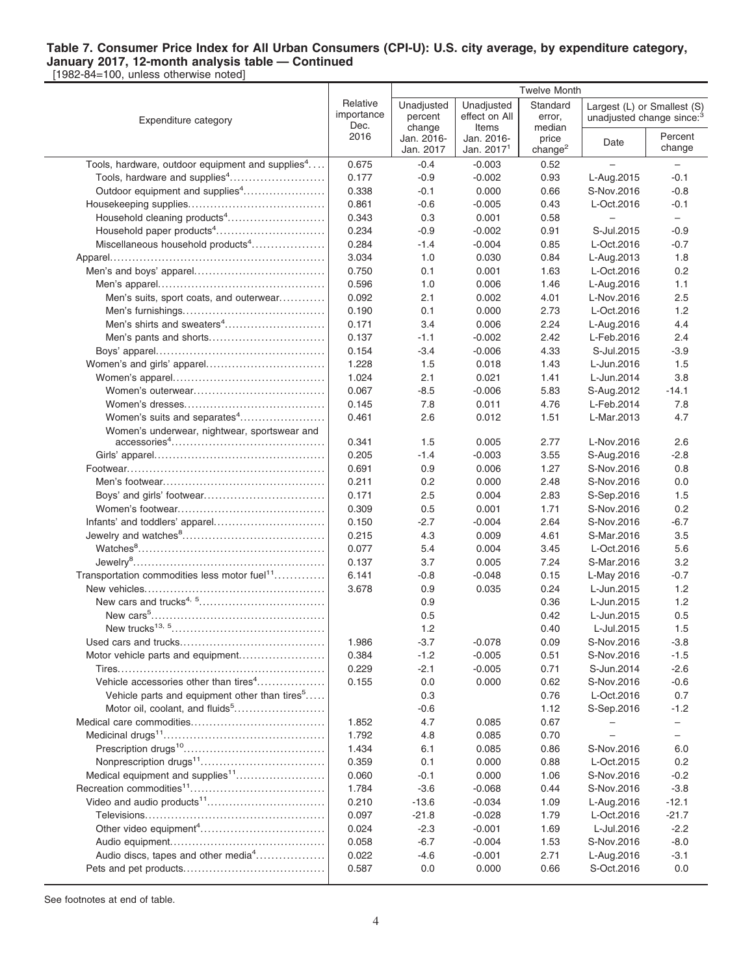[1982-84=100, unless otherwise noted]

|                                                              |                                | <b>Twelve Month</b>             |                                      |                              |                                                                      |                          |
|--------------------------------------------------------------|--------------------------------|---------------------------------|--------------------------------------|------------------------------|----------------------------------------------------------------------|--------------------------|
| Expenditure category                                         | Relative<br>importance<br>Dec. | Unadjusted<br>percent<br>change | Unadjusted<br>effect on All<br>Items | Standard<br>error,<br>median | Largest (L) or Smallest (S)<br>unadjusted change since: <sup>3</sup> |                          |
|                                                              | 2016                           | Jan. 2016-<br>Jan. 2017         | Jan. 2016-<br>Jan. 2017 <sup>1</sup> | price<br>change <sup>2</sup> | Date                                                                 | Percent<br>change        |
| Tools, hardware, outdoor equipment and supplies <sup>4</sup> | 0.675                          | $-0.4$                          | $-0.003$                             | 0.52                         | $\equiv$                                                             | $\overline{\phantom{0}}$ |
|                                                              | 0.177                          | $-0.9$                          | $-0.002$                             | 0.93                         | L-Aug.2015                                                           | $-0.1$                   |
| Outdoor equipment and supplies <sup>4</sup>                  | 0.338                          | $-0.1$                          | 0.000                                | 0.66                         | S-Nov.2016                                                           | $-0.8$                   |
|                                                              | 0.861                          | $-0.6$                          | $-0.005$                             | 0.43                         | L-Oct.2016                                                           | $-0.1$                   |
| Household cleaning products <sup>4</sup>                     | 0.343                          | 0.3                             | 0.001                                | 0.58                         | $\overline{\phantom{0}}$                                             | $\overline{\phantom{0}}$ |
|                                                              | 0.234                          | $-0.9$                          | $-0.002$                             | 0.91                         | S-Jul.2015                                                           | $-0.9$                   |
| Miscellaneous household products <sup>4</sup>                | 0.284                          | $-1.4$                          | $-0.004$                             | 0.85                         | L-Oct.2016                                                           | $-0.7$                   |
|                                                              | 3.034                          | 1.0                             | 0.030                                | 0.84                         | L-Aug.2013                                                           | 1.8                      |
|                                                              | 0.750                          | 0.1                             | 0.001                                | 1.63                         | L-Oct.2016                                                           | 0.2                      |
|                                                              | 0.596                          | 1.0                             | 0.006                                | 1.46                         | L-Aug.2016                                                           | 1.1                      |
| Men's suits, sport coats, and outerwear                      | 0.092                          | 2.1                             | 0.002                                | 4.01                         | L-Nov.2016                                                           | 2.5                      |
|                                                              | 0.190                          | 0.1                             | 0.000                                | 2.73                         | L-Oct.2016                                                           | 1.2                      |
|                                                              | 0.171                          | 3.4                             | 0.006                                | 2.24                         | L-Aug.2016                                                           | 4.4                      |
|                                                              | 0.137                          | $-1.1$                          | $-0.002$                             | 2.42                         | L-Feb.2016                                                           | 2.4                      |
|                                                              | 0.154                          | $-3.4$                          | $-0.006$                             | 4.33                         | S-Jul.2015                                                           | $-3.9$                   |
|                                                              | 1.228                          | 1.5                             | 0.018                                | 1.43                         | L-Jun.2016                                                           | 1.5                      |
|                                                              | 1.024                          | 2.1                             | 0.021                                | 1.41                         | L-Jun.2014                                                           | 3.8                      |
|                                                              | 0.067                          | $-8.5$                          | $-0.006$                             | 5.83                         | S-Aug.2012                                                           | $-14.1$                  |
|                                                              | 0.145                          | 7.8                             | 0.011                                | 4.76                         | L-Feb.2014                                                           | 7.8                      |
| Women's suits and separates <sup>4</sup>                     | 0.461                          | 2.6                             | 0.012                                | 1.51                         | L-Mar.2013                                                           | 4.7                      |
| Women's underwear, nightwear, sportswear and                 | 0.341                          | 1.5                             | 0.005                                | 2.77                         | L-Nov.2016                                                           | 2.6                      |
|                                                              | 0.205                          | $-1.4$                          | $-0.003$                             | 3.55                         | S-Aug.2016                                                           | $-2.8$                   |
|                                                              | 0.691                          | 0.9                             | 0.006                                | 1.27                         | S-Nov.2016                                                           | 0.8                      |
|                                                              | 0.211                          | 0.2                             | 0.000                                | 2.48                         | S-Nov.2016                                                           | 0.0                      |
|                                                              | 0.171                          | 2.5                             | 0.004                                | 2.83                         | S-Sep.2016                                                           | 1.5                      |
|                                                              | 0.309                          | 0.5                             | 0.001                                | 1.71                         | S-Nov.2016                                                           | 0.2                      |
|                                                              | 0.150                          | $-2.7$                          | $-0.004$                             | 2.64                         | S-Nov.2016                                                           | $-6.7$                   |
|                                                              | 0.215                          | 4.3                             | 0.009                                | 4.61                         | S-Mar.2016                                                           | 3.5                      |
|                                                              | 0.077                          | 5.4                             | 0.004                                | 3.45                         | L-Oct.2016                                                           | 5.6                      |
|                                                              | 0.137                          | 3.7                             | 0.005                                | 7.24                         | S-Mar.2016                                                           | 3.2                      |
| Transportation commodities less motor fuel <sup>11</sup>     | 6.141                          | $-0.8$                          | $-0.048$                             | 0.15                         | L-May 2016                                                           | $-0.7$                   |
|                                                              | 3.678                          | 0.9                             | 0.035                                | 0.24                         | L-Jun.2015                                                           | 1.2                      |
|                                                              |                                | 0.9                             |                                      | 0.36                         | L-Jun.2015                                                           | 1.2                      |
|                                                              |                                | 0.5                             |                                      | 0.42                         | L-Jun.2015                                                           | 0.5                      |
|                                                              |                                | 1.2                             |                                      | 0.40                         | L-Jul.2015                                                           | 1.5                      |
|                                                              | 1.986                          | $-3.7$                          | $-0.078$                             | 0.09                         | S-Nov.2016                                                           | $-3.8$                   |
| Motor vehicle parts and equipment                            | 0.384                          | $-1.2$                          | $-0.005$                             | 0.51                         | S-Nov.2016                                                           | $-1.5$                   |
|                                                              | 0.229                          | $-2.1$                          | $-0.005$                             | 0.71                         | S-Jun.2014                                                           | $-2.6$                   |
| Vehicle accessories other than tires <sup>4</sup>            | 0.155                          | 0.0                             | 0.000                                | 0.62                         | S-Nov.2016                                                           | $-0.6$                   |
| Vehicle parts and equipment other than tires <sup>5</sup>    |                                | 0.3                             |                                      | 0.76                         | L-Oct.2016                                                           | 0.7                      |
| Motor oil, coolant, and fluids <sup>5</sup>                  |                                | $-0.6$                          |                                      | 1.12                         | S-Sep.2016                                                           | $-1.2$                   |
|                                                              | 1.852                          | 4.7                             | 0.085                                | 0.67                         |                                                                      | $\overline{\phantom{0}}$ |
|                                                              | 1.792                          | 4.8                             | 0.085                                | 0.70                         | $\overline{\phantom{0}}$                                             | -                        |
|                                                              | 1.434                          | 6.1                             | 0.085                                | 0.86                         | S-Nov.2016                                                           | 6.0                      |
|                                                              | 0.359                          | 0.1                             | 0.000                                | 0.88                         | L-Oct.2015                                                           | 0.2                      |
| Medical equipment and supplies <sup>11</sup>                 | 0.060                          | $-0.1$                          | 0.000                                | 1.06                         | S-Nov.2016                                                           | $-0.2$                   |
|                                                              | 1.784                          | $-3.6$                          | $-0.068$                             | 0.44                         | S-Nov.2016                                                           | $-3.8$                   |
|                                                              | 0.210                          | $-13.6$                         | $-0.034$                             | 1.09                         | L-Aug.2016                                                           | $-12.1$                  |
|                                                              | 0.097                          | $-21.8$                         | $-0.028$                             | 1.79                         | L-Oct.2016                                                           | $-21.7$                  |
|                                                              | 0.024                          | $-2.3$                          | $-0.001$                             | 1.69                         | L-Jul.2016                                                           | $-2.2$                   |
|                                                              | 0.058                          | $-6.7$                          | $-0.004$                             | 1.53                         | S-Nov.2016                                                           | $-8.0$                   |
| Audio discs, tapes and other media <sup>4</sup>              | 0.022                          | $-4.6$                          | $-0.001$                             | 2.71                         | L-Aug.2016                                                           | $-3.1$                   |
|                                                              | 0.587                          | 0.0                             | 0.000                                | 0.66                         | S-Oct.2016                                                           |                          |
|                                                              |                                |                                 |                                      |                              |                                                                      | 0.0                      |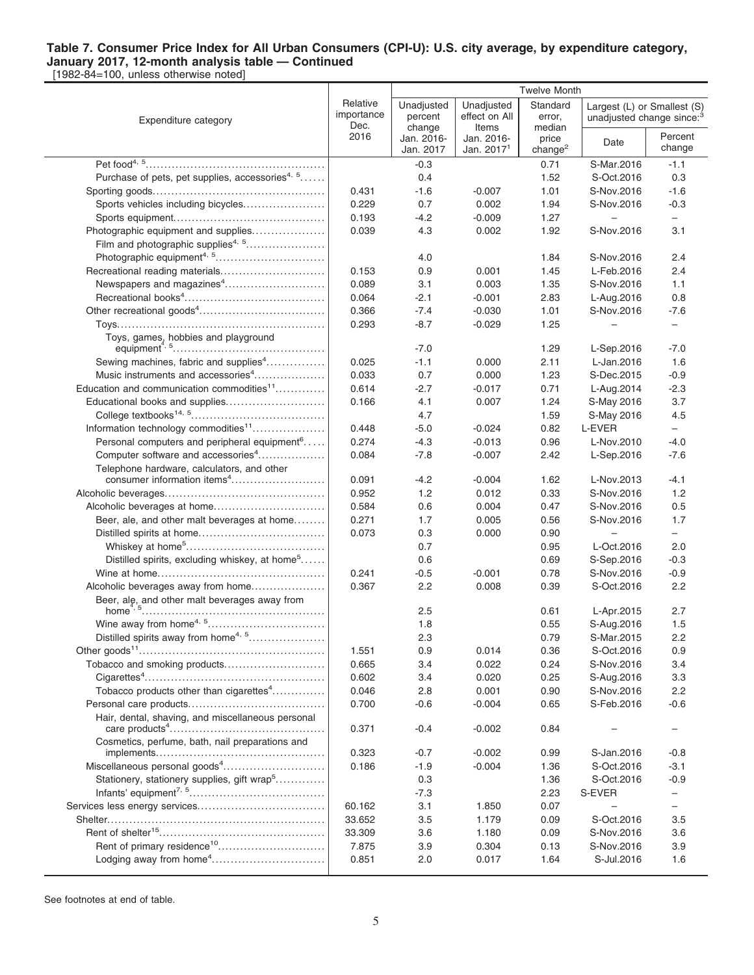[1982-84=100, unless otherwise noted]

|                                                                                                              | Relative<br>importance<br>Dec. | <b>Twelve Month</b>               |                                               |                                        |                                                                      |                          |  |
|--------------------------------------------------------------------------------------------------------------|--------------------------------|-----------------------------------|-----------------------------------------------|----------------------------------------|----------------------------------------------------------------------|--------------------------|--|
| Expenditure category                                                                                         |                                | Unadjusted<br>percent             | Unadjusted<br>effect on All                   | Standard<br>error,                     | Largest (L) or Smallest (S)<br>unadjusted change since: <sup>3</sup> |                          |  |
|                                                                                                              | 2016                           | change<br>Jan. 2016-<br>Jan. 2017 | Items<br>Jan. 2016-<br>Jan. 2017 <sup>1</sup> | median<br>price<br>change <sup>2</sup> | Date                                                                 | Percent<br>change        |  |
|                                                                                                              |                                | $-0.3$                            |                                               | 0.71                                   | S-Mar.2016                                                           | $-1.1$                   |  |
| Purchase of pets, pet supplies, accessories <sup>4, 5</sup>                                                  |                                | 0.4                               |                                               | 1.52                                   | S-Oct.2016                                                           | 0.3                      |  |
|                                                                                                              | 0.431                          | $-1.6$                            | $-0.007$                                      | 1.01                                   | S-Nov.2016                                                           | $-1.6$                   |  |
| Sports vehicles including bicycles                                                                           | 0.229                          | 0.7                               | 0.002                                         | 1.94                                   | S-Nov.2016                                                           | $-0.3$                   |  |
|                                                                                                              | 0.193                          | -4.2                              | $-0.009$                                      | 1.27                                   | $\overline{\phantom{0}}$                                             | $\overline{\phantom{0}}$ |  |
| Photographic equipment and supplies                                                                          | 0.039                          | 4.3                               | 0.002                                         | 1.92                                   | S-Nov.2016                                                           | 3.1                      |  |
| Film and photographic supplies <sup>4, 5</sup>                                                               |                                |                                   |                                               |                                        |                                                                      |                          |  |
|                                                                                                              |                                | 4.0                               |                                               | 1.84                                   | S-Nov.2016                                                           | 2.4                      |  |
| Recreational reading materials                                                                               | 0.153                          | 0.9                               | 0.001                                         | 1.45                                   | L-Feb.2016                                                           | 2.4                      |  |
|                                                                                                              | 0.089                          | 3.1                               | 0.003                                         | 1.35                                   | S-Nov.2016                                                           | 1.1                      |  |
|                                                                                                              | 0.064                          | $-2.1$                            | $-0.001$                                      | 2.83                                   | L-Aug.2016                                                           | 0.8                      |  |
|                                                                                                              | 0.366                          | $-7.4$                            | $-0.030$                                      | 1.01                                   | S-Nov.2016                                                           | $-7.6$                   |  |
|                                                                                                              | 0.293                          | $-8.7$                            | $-0.029$                                      | 1.25                                   | -                                                                    | -                        |  |
| Toys, games, hobbies and playground                                                                          |                                |                                   |                                               |                                        |                                                                      |                          |  |
|                                                                                                              |                                | $-7.0$                            |                                               | 1.29                                   | L-Sep.2016                                                           | $-7.0$                   |  |
| Sewing machines, fabric and supplies <sup>4</sup>                                                            | 0.025                          | $-1.1$                            | 0.000                                         | 2.11                                   | L-Jan.2016                                                           | 1.6                      |  |
| Music instruments and accessories <sup>4</sup>                                                               | 0.033                          | 0.7                               | 0.000                                         | 1.23                                   | S-Dec.2015                                                           | $-0.9$                   |  |
| Education and communication commodities <sup>11</sup>                                                        | 0.614                          | $-2.7$                            | $-0.017$                                      | 0.71                                   | L-Aug.2014                                                           | $-2.3$                   |  |
| Educational books and supplies                                                                               | 0.166                          | 4.1                               | 0.007                                         | 1.24                                   | S-May 2016                                                           | 3.7                      |  |
|                                                                                                              |                                | 4.7                               |                                               | 1.59                                   | S-May 2016<br>L-EVER                                                 | 4.5<br>$-$               |  |
| Information technology commodities <sup>11</sup><br>Personal computers and peripheral equipment <sup>6</sup> | 0.448<br>0.274                 | $-5.0$<br>$-4.3$                  | $-0.024$<br>$-0.013$                          | 0.82<br>0.96                           | L-Nov.2010                                                           | $-4.0$                   |  |
| Computer software and accessories <sup>4</sup>                                                               | 0.084                          | $-7.8$                            | $-0.007$                                      | 2.42                                   |                                                                      | $-7.6$                   |  |
| Telephone hardware, calculators, and other                                                                   |                                |                                   |                                               |                                        | L-Sep.2016                                                           |                          |  |
| consumer information items <sup>4</sup>                                                                      | 0.091                          | $-4.2$                            | $-0.004$                                      | 1.62                                   | L-Nov.2013                                                           | $-4.1$                   |  |
|                                                                                                              | 0.952                          | 1.2                               | 0.012                                         | 0.33                                   | S-Nov.2016                                                           | 1.2                      |  |
|                                                                                                              | 0.584                          | 0.6                               | 0.004                                         | 0.47                                   | S-Nov.2016                                                           | 0.5                      |  |
| Beer, ale, and other malt beverages at home                                                                  | 0.271                          | 1.7                               | 0.005                                         | 0.56                                   | S-Nov.2016                                                           | 1.7                      |  |
|                                                                                                              | 0.073                          | 0.3                               | 0.000                                         | 0.90                                   | $\qquad \qquad -$                                                    | $\overline{\phantom{0}}$ |  |
|                                                                                                              |                                | 0.7                               |                                               | 0.95                                   | L-Oct.2016                                                           | 2.0                      |  |
| Distilled spirits, excluding whiskey, at home <sup>5</sup>                                                   |                                | 0.6                               |                                               | 0.69                                   | S-Sep.2016                                                           | $-0.3$                   |  |
|                                                                                                              | 0.241                          | -0.5                              | $-0.001$                                      | 0.78                                   | S-Nov.2016                                                           | $-0.9$                   |  |
| Alcoholic beverages away from home                                                                           | 0.367                          | 2.2                               | 0.008                                         | 0.39                                   | S-Oct.2016                                                           | 2.2                      |  |
| Beer, ale, and other malt beverages away from                                                                |                                |                                   |                                               |                                        |                                                                      |                          |  |
|                                                                                                              |                                | 2.5                               |                                               | 0.61                                   | L-Apr.2015                                                           | 2.7                      |  |
|                                                                                                              |                                | 1.8                               |                                               | 0.55                                   | S-Aug.2016                                                           | 1.5                      |  |
| Distilled spirits away from home4, 5                                                                         |                                | 2.3                               |                                               | 0.79                                   | S-Mar.2015                                                           | 2.2                      |  |
|                                                                                                              | 1.551                          | 0.9                               | 0.014                                         | 0.36                                   | S-Oct.2016                                                           | 0.9                      |  |
| Tobacco and smoking products                                                                                 | 0.665                          | 3.4                               | 0.022                                         | 0.24                                   | S-Nov.2016                                                           | 3.4                      |  |
|                                                                                                              | 0.602                          | 3.4                               | 0.020                                         | 0.25                                   | S-Aug.2016                                                           | 3.3                      |  |
| Tobacco products other than cigarettes <sup>4</sup>                                                          | 0.046                          | 2.8                               | 0.001                                         | 0.90                                   | S-Nov.2016                                                           | 2.2                      |  |
|                                                                                                              | 0.700                          | $-0.6$                            | $-0.004$                                      | 0.65                                   | S-Feb.2016                                                           | $-0.6$                   |  |
| Hair, dental, shaving, and miscellaneous personal                                                            | 0.371                          | $-0.4$                            | $-0.002$                                      | 0.84                                   |                                                                      |                          |  |
| Cosmetics, perfume, bath, nail preparations and                                                              |                                |                                   |                                               |                                        |                                                                      |                          |  |
|                                                                                                              | 0.323                          | $-0.7$                            | $-0.002$                                      | 0.99                                   | S-Jan.2016<br>S-Oct.2016                                             | $-0.8$                   |  |
| Miscellaneous personal goods <sup>4</sup><br>Stationery, stationery supplies, gift wrap <sup>5</sup>         | 0.186                          | $-1.9$<br>0.3                     | $-0.004$                                      | 1.36<br>1.36                           | S-Oct.2016                                                           | $-3.1$<br>$-0.9$         |  |
|                                                                                                              |                                |                                   |                                               |                                        | S-EVER                                                               | $\qquad \qquad -$        |  |
|                                                                                                              | 60.162                         | $-7.3$<br>3.1                     | 1.850                                         | 2.23<br>0.07                           |                                                                      | $-$                      |  |
|                                                                                                              | 33.652                         | 3.5                               | 1.179                                         | 0.09                                   | S-Oct.2016                                                           | 3.5                      |  |
|                                                                                                              | 33.309                         | 3.6                               | 1.180                                         | 0.09                                   | S-Nov.2016                                                           | 3.6                      |  |
| Rent of primary residence <sup>10</sup>                                                                      | 7.875                          | 3.9                               | 0.304                                         | 0.13                                   | S-Nov.2016                                                           | 3.9                      |  |
| Lodging away from home <sup>4</sup>                                                                          | 0.851                          | 2.0                               | 0.017                                         | 1.64                                   | S-Jul.2016                                                           | 1.6                      |  |
|                                                                                                              |                                |                                   |                                               |                                        |                                                                      |                          |  |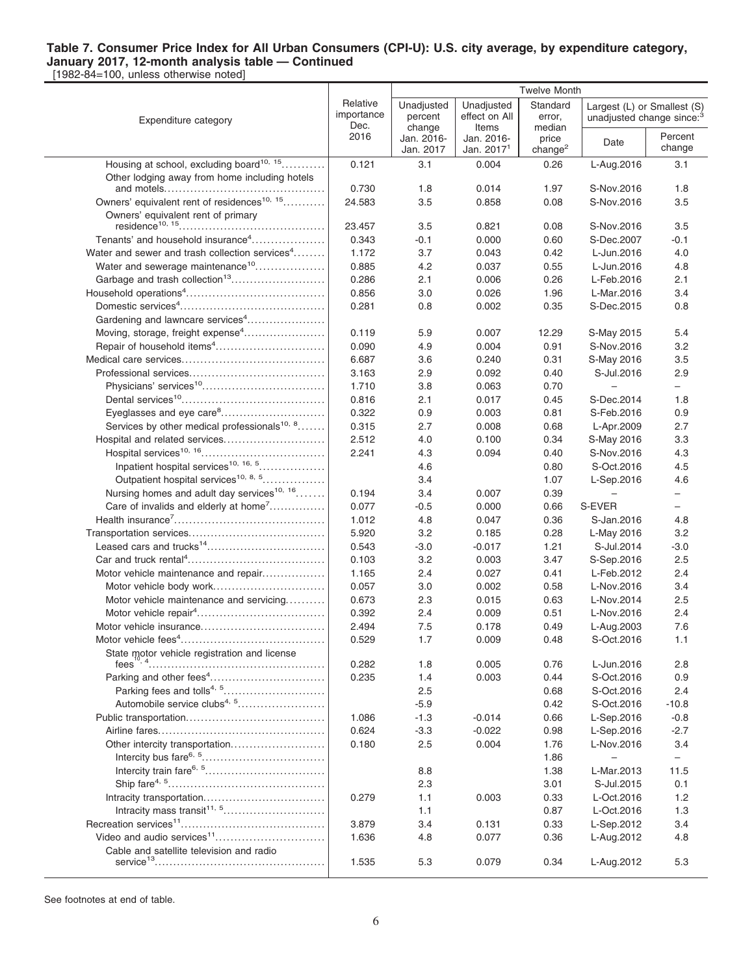[1982-84=100, unless otherwise noted]

|                                                                                                                                                                                                                                                                                                                                                                |                                |                                   |                                     | <b>Twelve Month</b>                    |                                                                      |                          |  |
|----------------------------------------------------------------------------------------------------------------------------------------------------------------------------------------------------------------------------------------------------------------------------------------------------------------------------------------------------------------|--------------------------------|-----------------------------------|-------------------------------------|----------------------------------------|----------------------------------------------------------------------|--------------------------|--|
| Expenditure category                                                                                                                                                                                                                                                                                                                                           | Relative<br>importance<br>Dec. | Unadjusted<br>percent             | Unadjusted<br>effect on All         | Standard<br>error,                     | Largest (L) or Smallest (S)<br>unadjusted change since: <sup>3</sup> |                          |  |
|                                                                                                                                                                                                                                                                                                                                                                | 2016                           | change<br>Jan. 2016-<br>Jan. 2017 | Items<br>Jan. 2016-<br>Jan. $20171$ | median<br>price<br>change <sup>2</sup> | Date                                                                 | Percent<br>change        |  |
| Housing at school, excluding board <sup>10, 15</sup>                                                                                                                                                                                                                                                                                                           | 0.121                          | 3.1                               | 0.004                               | 0.26                                   | L-Aug.2016                                                           | 3.1                      |  |
| Other lodging away from home including hotels                                                                                                                                                                                                                                                                                                                  |                                |                                   |                                     |                                        |                                                                      |                          |  |
|                                                                                                                                                                                                                                                                                                                                                                | 0.730                          | 1.8                               | 0.014                               | 1.97                                   | S-Nov.2016                                                           | 1.8                      |  |
| Owners' equivalent rent of residences <sup>10, 15</sup>                                                                                                                                                                                                                                                                                                        | 24.583                         | 3.5                               | 0.858                               | 0.08                                   | S-Nov.2016                                                           | 3.5                      |  |
| Owners' equivalent rent of primary                                                                                                                                                                                                                                                                                                                             | 23.457                         | 3.5                               | 0.821                               | 0.08                                   | S-Nov.2016                                                           | 3.5                      |  |
| Tenants' and household insurance <sup>4</sup>                                                                                                                                                                                                                                                                                                                  | 0.343                          | -0.1                              | 0.000                               | 0.60                                   | S-Dec.2007                                                           | $-0.1$                   |  |
| Water and sewer and trash collection services <sup>4</sup>                                                                                                                                                                                                                                                                                                     | 1.172                          | 3.7                               | 0.043                               | 0.42                                   | L-Jun.2016                                                           | 4.0                      |  |
| Water and sewerage maintenance <sup>10</sup>                                                                                                                                                                                                                                                                                                                   | 0.885                          | 4.2                               | 0.037                               | 0.55                                   | L-Jun.2016                                                           | 4.8                      |  |
| Garbage and trash collection <sup>13</sup>                                                                                                                                                                                                                                                                                                                     | 0.286                          | 2.1                               | 0.006                               | 0.26                                   | L-Feb.2016                                                           | 2.1                      |  |
|                                                                                                                                                                                                                                                                                                                                                                | 0.856                          | 3.0                               | 0.026                               | 1.96                                   | L-Mar.2016                                                           | 3.4                      |  |
|                                                                                                                                                                                                                                                                                                                                                                | 0.281                          | 0.8                               | 0.002                               | 0.35                                   | S-Dec.2015                                                           | 0.8                      |  |
| Gardening and lawncare services <sup>4</sup>                                                                                                                                                                                                                                                                                                                   |                                |                                   |                                     |                                        |                                                                      |                          |  |
| Moving, storage, freight expense <sup>4</sup>                                                                                                                                                                                                                                                                                                                  | 0.119                          | 5.9                               | 0.007                               | 12.29                                  | S-May 2015                                                           | 5.4                      |  |
|                                                                                                                                                                                                                                                                                                                                                                | 0.090                          | 4.9                               | 0.004                               | 0.91                                   | S-Nov.2016                                                           | 3.2                      |  |
|                                                                                                                                                                                                                                                                                                                                                                | 6.687                          | 3.6                               | 0.240                               | 0.31                                   | S-May 2016                                                           | 3.5                      |  |
|                                                                                                                                                                                                                                                                                                                                                                | 3.163                          | 2.9                               | 0.092                               | 0.40                                   | S-Jul.2016                                                           | 2.9                      |  |
| Physicians' services <sup>10</sup>                                                                                                                                                                                                                                                                                                                             | 1.710                          | 3.8                               | 0.063                               | 0.70                                   | $\overline{\phantom{0}}$                                             | $\overline{\phantom{0}}$ |  |
|                                                                                                                                                                                                                                                                                                                                                                | 0.816                          | 2.1                               | 0.017                               | 0.45                                   | S-Dec.2014                                                           | 1.8                      |  |
| Eyeglasses and eye care <sup>8</sup>                                                                                                                                                                                                                                                                                                                           | 0.322                          | 0.9                               | 0.003                               | 0.81                                   | S-Feb.2016                                                           | 0.9                      |  |
| Services by other medical professionals <sup>10, 8</sup>                                                                                                                                                                                                                                                                                                       | 0.315                          | 2.7                               | 0.008                               | 0.68                                   | L-Apr.2009                                                           | 2.7                      |  |
| Hospital and related services                                                                                                                                                                                                                                                                                                                                  | 2.512                          | 4.0                               | 0.100                               | 0.34                                   | S-May 2016                                                           | 3.3                      |  |
|                                                                                                                                                                                                                                                                                                                                                                | 2.241                          | 4.3                               | 0.094                               | 0.40                                   | S-Nov.2016                                                           | 4.3                      |  |
| Inpatient hospital services <sup>10, 16, 5</sup>                                                                                                                                                                                                                                                                                                               |                                | 4.6                               |                                     | 0.80                                   | S-Oct.2016                                                           | 4.5                      |  |
| Outpatient hospital services <sup>10, 8, 5</sup>                                                                                                                                                                                                                                                                                                               |                                | 3.4                               |                                     | 1.07                                   | L-Sep.2016                                                           | 4.6                      |  |
| Nursing homes and adult day services <sup>10, 16</sup>                                                                                                                                                                                                                                                                                                         | 0.194                          | 3.4                               | 0.007                               | 0.39                                   |                                                                      | $\overline{\phantom{0}}$ |  |
| Care of invalids and elderly at home <sup>7</sup>                                                                                                                                                                                                                                                                                                              | 0.077                          | $-0.5$                            | 0.000                               | 0.66                                   | S-EVER                                                               | $\overline{\phantom{0}}$ |  |
|                                                                                                                                                                                                                                                                                                                                                                | 1.012                          | 4.8                               | 0.047                               | 0.36                                   | S-Jan.2016                                                           | 4.8                      |  |
|                                                                                                                                                                                                                                                                                                                                                                | 5.920                          | 3.2                               | 0.185                               | 0.28                                   | L-May 2016                                                           | 3.2                      |  |
| Leased cars and trucks <sup>14</sup>                                                                                                                                                                                                                                                                                                                           | 0.543                          | $-3.0$                            | $-0.017$                            | 1.21                                   | S-Jul.2014                                                           | $-3.0$                   |  |
|                                                                                                                                                                                                                                                                                                                                                                | 0.103                          | 3.2                               | 0.003                               | 3.47                                   | S-Sep.2016                                                           | 2.5                      |  |
| Motor vehicle maintenance and repair                                                                                                                                                                                                                                                                                                                           | 1.165                          | 2.4                               | 0.027                               | 0.41                                   | L-Feb.2012                                                           | 2.4                      |  |
| Motor vehicle body work                                                                                                                                                                                                                                                                                                                                        | 0.057                          | 3.0                               | 0.002                               | 0.58                                   | L-Nov.2016                                                           | 3.4                      |  |
| Motor vehicle maintenance and servicing                                                                                                                                                                                                                                                                                                                        | 0.673                          | 2.3                               | 0.015                               | 0.63                                   | L-Nov.2014                                                           | 2.5                      |  |
|                                                                                                                                                                                                                                                                                                                                                                | 0.392                          | 2.4                               | 0.009                               | 0.51                                   | L-Nov.2016                                                           | 2.4                      |  |
| Motor vehicle insurance                                                                                                                                                                                                                                                                                                                                        | 2.494                          | 7.5                               | 0.178                               | 0.49                                   | L-Aug.2003                                                           | 7.6                      |  |
|                                                                                                                                                                                                                                                                                                                                                                | 0.529                          | 1.7                               | 0.009                               | 0.48                                   | S-Oct.2016                                                           | 1.1                      |  |
| State motor vehicle registration and license                                                                                                                                                                                                                                                                                                                   |                                |                                   |                                     |                                        |                                                                      |                          |  |
| $fees''', 4, \ldots, 6, \ldots, 6, \ldots, 6, \ldots, 6, \ldots, 6, \ldots, 6, \ldots, 6, \ldots, 6, \ldots, 6, \ldots, 6, \ldots, 6, \ldots, 6, \ldots, 6, \ldots, 6, \ldots, 6, \ldots, 6, \ldots, 6, \ldots, 6, \ldots, 6, \ldots, 6, \ldots, 6, \ldots, 6, \ldots, 6, \ldots, 6, \ldots, 6, \ldots, 6, \ldots, 6, \ldots, 6, \ldots, 6, \ldots, 6, \ldots$ | 0.282                          | 1.8                               | 0.005                               | 0.76                                   | L-Jun.2016                                                           | 2.8                      |  |
|                                                                                                                                                                                                                                                                                                                                                                | 0.235                          | 1.4                               | 0.003                               | 0.44                                   | S-Oct.2016                                                           | 0.9                      |  |
|                                                                                                                                                                                                                                                                                                                                                                |                                | 2.5                               |                                     | 0.68                                   | S-Oct.2016                                                           | 2.4                      |  |
| Automobile service clubs <sup>4, 5</sup>                                                                                                                                                                                                                                                                                                                       |                                | $-5.9$                            |                                     | 0.42                                   | S-Oct.2016                                                           | $-10.8$                  |  |
|                                                                                                                                                                                                                                                                                                                                                                | 1.086                          | $-1.3$                            | $-0.014$                            | 0.66                                   | L-Sep.2016                                                           | $-0.8$                   |  |
|                                                                                                                                                                                                                                                                                                                                                                | 0.624                          | $-3.3$                            | $-0.022$                            | 0.98                                   | L-Sep.2016                                                           | $-2.7$                   |  |
| Other intercity transportation                                                                                                                                                                                                                                                                                                                                 | 0.180                          | 2.5                               | 0.004                               | 1.76                                   | L-Nov.2016                                                           | 3.4                      |  |
|                                                                                                                                                                                                                                                                                                                                                                |                                |                                   |                                     | 1.86                                   | $\overline{\phantom{m}}$                                             | -                        |  |
|                                                                                                                                                                                                                                                                                                                                                                |                                | 8.8                               |                                     | 1.38                                   | L-Mar.2013                                                           | 11.5                     |  |
|                                                                                                                                                                                                                                                                                                                                                                |                                | 2.3                               |                                     | 3.01                                   | S-Jul.2015                                                           | 0.1                      |  |
|                                                                                                                                                                                                                                                                                                                                                                | 0.279                          | 1.1                               | 0.003                               | 0.33                                   | L-Oct.2016                                                           | 1.2                      |  |
| Intracity mass transit <sup>11, 5</sup>                                                                                                                                                                                                                                                                                                                        |                                | 1.1                               |                                     | 0.87                                   | L-Oct.2016                                                           | 1.3                      |  |
|                                                                                                                                                                                                                                                                                                                                                                | 3.879                          | 3.4                               | 0.131                               | 0.33                                   | L-Sep.2012                                                           | 3.4                      |  |
| Video and audio services <sup>11</sup>                                                                                                                                                                                                                                                                                                                         | 1.636                          | 4.8                               | 0.077                               | 0.36                                   | L-Aug.2012                                                           | 4.8                      |  |
| Cable and satellite television and radio                                                                                                                                                                                                                                                                                                                       |                                |                                   |                                     |                                        |                                                                      |                          |  |
|                                                                                                                                                                                                                                                                                                                                                                | 1.535                          | 5.3                               | 0.079                               | 0.34                                   | L-Aug.2012                                                           | 5.3                      |  |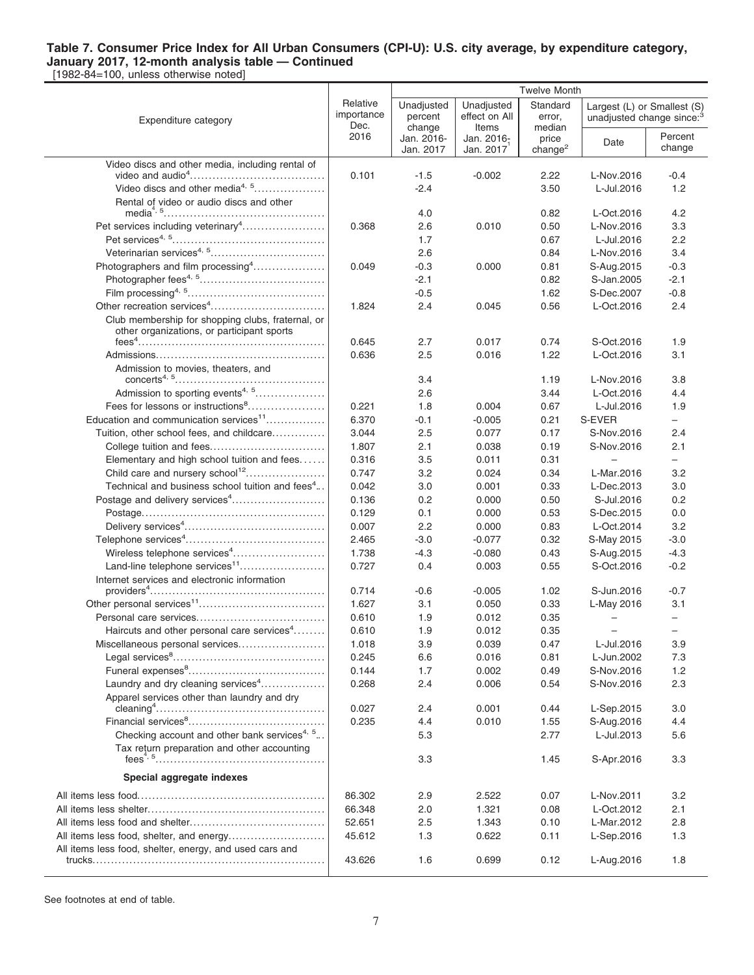[1982-84=100, unless otherwise noted]

|                                                                                                 |                                        | <b>Twelve Month</b>                           |                                                    |                                       |                                                                      |                          |  |
|-------------------------------------------------------------------------------------------------|----------------------------------------|-----------------------------------------------|----------------------------------------------------|---------------------------------------|----------------------------------------------------------------------|--------------------------|--|
| Expenditure category                                                                            | Relative<br>importance<br>Dec.<br>2016 | Unadjusted<br>percent<br>change<br>Jan. 2016- | Unadjusted<br>effect on All<br>Items<br>Jan. 2016- | Standard<br>error,<br>median<br>price | Largest (L) or Smallest (S)<br>unadjusted change since: <sup>3</sup> | Percent                  |  |
|                                                                                                 |                                        | Jan. 2017                                     | Jan. 2017                                          | change <sup>2</sup>                   | Date                                                                 | change                   |  |
| Video discs and other media, including rental of                                                |                                        |                                               |                                                    |                                       |                                                                      |                          |  |
|                                                                                                 | 0.101                                  | $-1.5$                                        | $-0.002$                                           | 2.22                                  | L-Nov.2016                                                           | $-0.4$                   |  |
| Video discs and other media <sup>4, 5</sup>                                                     |                                        | $-2.4$                                        |                                                    | 3.50                                  | L-Jul.2016                                                           | 1.2                      |  |
| Rental of video or audio discs and other                                                        |                                        | 4.0                                           |                                                    | 0.82                                  | L-Oct.2016                                                           | 4.2                      |  |
| Pet services including veterinary <sup>4</sup>                                                  | 0.368                                  | 2.6                                           | 0.010                                              | 0.50                                  | L-Nov.2016                                                           | 3.3                      |  |
|                                                                                                 |                                        | 1.7                                           |                                                    | 0.67                                  | L-Jul.2016                                                           | 2.2                      |  |
| Veterinarian services <sup>4, 5</sup>                                                           |                                        | 2.6                                           |                                                    | 0.84                                  | L-Nov.2016                                                           | 3.4                      |  |
| Photographers and film processing <sup>4</sup>                                                  | 0.049                                  | $-0.3$                                        | 0.000                                              | 0.81                                  | S-Aug.2015                                                           | $-0.3$                   |  |
|                                                                                                 |                                        | $-2.1$                                        |                                                    | 0.82                                  | S-Jan.2005                                                           | $-2.1$                   |  |
|                                                                                                 |                                        | $-0.5$                                        |                                                    | 1.62                                  | S-Dec.2007                                                           | $-0.8$                   |  |
| Other recreation services <sup>4</sup>                                                          | 1.824                                  | 2.4                                           | 0.045                                              | 0.56                                  | L-Oct.2016                                                           | 2.4                      |  |
| Club membership for shopping clubs, fraternal, or<br>other organizations, or participant sports |                                        |                                               |                                                    |                                       |                                                                      |                          |  |
|                                                                                                 | 0.645                                  | 2.7                                           | 0.017                                              | 0.74                                  | S-Oct.2016                                                           | 1.9                      |  |
|                                                                                                 | 0.636                                  | 2.5                                           | 0.016                                              | 1.22                                  | L-Oct.2016                                                           | 3.1                      |  |
| Admission to movies, theaters, and                                                              |                                        | 3.4                                           |                                                    | 1.19                                  | L-Nov.2016                                                           | 3.8                      |  |
| Admission to sporting events <sup>4, 5</sup>                                                    |                                        | 2.6                                           |                                                    | 3.44                                  | L-Oct.2016                                                           | 4.4                      |  |
| Fees for lessons or instructions <sup>8</sup>                                                   | 0.221                                  | 1.8                                           | 0.004                                              | 0.67                                  | L-Jul.2016                                                           | 1.9                      |  |
| Education and communication services <sup>11</sup>                                              | 6.370                                  | $-0.1$                                        | $-0.005$                                           | 0.21                                  | S-EVER                                                               | $\overline{\phantom{0}}$ |  |
| Tuition, other school fees, and childcare                                                       | 3.044                                  | 2.5                                           | 0.077                                              | 0.17                                  | S-Nov.2016                                                           | 2.4                      |  |
| College tuition and fees                                                                        | 1.807                                  | 2.1                                           | 0.038                                              | 0.19                                  | S-Nov.2016                                                           | 2.1                      |  |
| Elementary and high school tuition and fees                                                     | 0.316                                  | 3.5                                           | 0.011                                              | 0.31                                  | $\overline{\phantom{0}}$                                             | $-$                      |  |
| Child care and nursery school <sup>12</sup>                                                     | 0.747                                  | 3.2                                           | 0.024                                              | 0.34                                  | L-Mar.2016                                                           | 3.2                      |  |
| Technical and business school tuition and fees <sup>4</sup>                                     | 0.042                                  | 3.0                                           | 0.001                                              | 0.33                                  | L-Dec.2013                                                           | 3.0                      |  |
| Postage and delivery services <sup>4</sup>                                                      | 0.136                                  | 0.2                                           | 0.000                                              | 0.50                                  | S-Jul.2016                                                           | 0.2                      |  |
|                                                                                                 | 0.129                                  | 0.1                                           | 0.000                                              | 0.53                                  | S-Dec.2015                                                           | 0.0                      |  |
|                                                                                                 | 0.007                                  | 2.2                                           | 0.000                                              | 0.83                                  | L-Oct.2014                                                           | 3.2                      |  |
|                                                                                                 | 2.465                                  | $-3.0$                                        | $-0.077$                                           | 0.32                                  | S-May 2015                                                           | $-3.0$                   |  |
| Wireless telephone services <sup>4</sup>                                                        | 1.738                                  | $-4.3$                                        | $-0.080$                                           | 0.43                                  | S-Aug.2015                                                           | $-4.3$                   |  |
| Land-line telephone services <sup>11</sup>                                                      | 0.727                                  | 0.4                                           | 0.003                                              | 0.55                                  | S-Oct.2016                                                           | $-0.2$                   |  |
| Internet services and electronic information<br>$provides4.\dots\dots\dots\dots\dots$           | 0.714                                  | $-0.6$                                        | $-0.005$                                           | 1.02                                  | S-Jun.2016                                                           | $-0.7$                   |  |
|                                                                                                 | 1.627                                  | 3.1                                           | 0.050                                              | 0.33                                  | L-May 2016                                                           | 3.1                      |  |
|                                                                                                 | 0.610                                  | 1.9                                           | 0.012                                              | 0.35                                  | $\overline{\phantom{0}}$                                             | $\overline{\phantom{0}}$ |  |
| Haircuts and other personal care services <sup>4</sup>                                          | 0.610                                  | 1.9                                           | 0.012                                              | 0.35                                  |                                                                      | ÷.                       |  |
| Miscellaneous personal services                                                                 | 1.018                                  | 3.9                                           | 0.039                                              | 0.47                                  | L-Jul.2016                                                           | 3.9                      |  |
|                                                                                                 | 0.245                                  | 6.6                                           | 0.016                                              | 0.81                                  | L-Jun.2002                                                           | 7.3                      |  |
|                                                                                                 | 0.144                                  | 1.7                                           | 0.002                                              | 0.49                                  | S-Nov.2016                                                           | 1.2                      |  |
| Laundry and dry cleaning services <sup>4</sup>                                                  | 0.268                                  | 2.4                                           | 0.006                                              | 0.54                                  | S-Nov.2016                                                           | 2.3                      |  |
| Apparel services other than laundry and dry                                                     |                                        |                                               |                                                    |                                       |                                                                      |                          |  |
|                                                                                                 | 0.027                                  | 2.4                                           | 0.001                                              | 0.44                                  | L-Sep.2015                                                           | 3.0                      |  |
|                                                                                                 | 0.235                                  | 4.4                                           | 0.010                                              | 1.55                                  | S-Aug.2016                                                           | 4.4                      |  |
| Checking account and other bank services <sup>4, 5</sup>                                        |                                        | 5.3                                           |                                                    | 2.77                                  | L-Jul.2013                                                           | 5.6                      |  |
| Tax return preparation and other accounting                                                     |                                        | 3.3                                           |                                                    | 1.45                                  | S-Apr.2016                                                           | 3.3                      |  |
| Special aggregate indexes                                                                       |                                        |                                               |                                                    |                                       |                                                                      |                          |  |
|                                                                                                 | 86.302                                 | 2.9                                           | 2.522                                              | 0.07                                  | L-Nov.2011                                                           | 3.2                      |  |
|                                                                                                 | 66.348                                 | 2.0                                           | 1.321                                              | 0.08                                  | L-Oct.2012                                                           | 2.1                      |  |
|                                                                                                 | 52.651                                 | 2.5                                           | 1.343                                              | 0.10                                  | L-Mar.2012                                                           | 2.8                      |  |
|                                                                                                 | 45.612                                 | 1.3                                           | 0.622                                              | 0.11                                  | L-Sep.2016                                                           | 1.3                      |  |
| All items less food, shelter, energy, and used cars and                                         | 43.626                                 | 1.6                                           | 0.699                                              | 0.12                                  | L-Aug.2016                                                           | 1.8                      |  |
|                                                                                                 |                                        |                                               |                                                    |                                       |                                                                      |                          |  |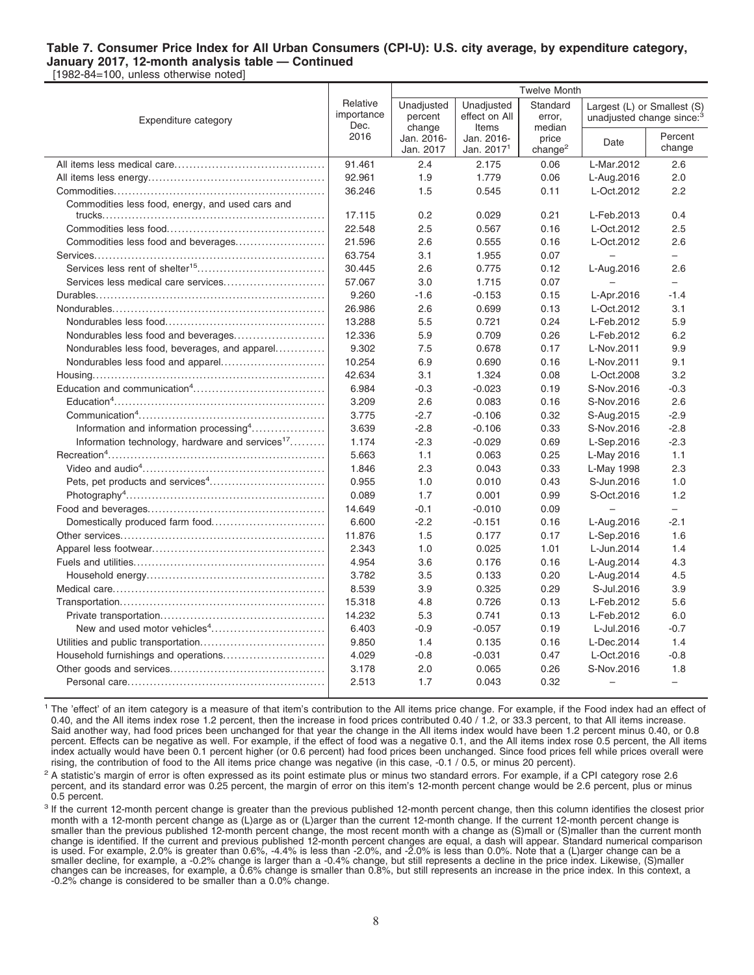[1982-84=100, unless otherwise noted]

|                                                             |                                | <b>Twelve Month</b>             |                                      |                              |                                                                      |                          |
|-------------------------------------------------------------|--------------------------------|---------------------------------|--------------------------------------|------------------------------|----------------------------------------------------------------------|--------------------------|
| Expenditure category                                        | Relative<br>importance<br>Dec. | Unadjusted<br>percent<br>change | Unadjusted<br>effect on All<br>Items | Standard<br>error,<br>median | Largest (L) or Smallest (S)<br>unadjusted change since: <sup>3</sup> |                          |
|                                                             | 2016                           | Jan. 2016-<br>Jan. 2017         | Jan. 2016-<br>Jan. $20171$           | price<br>change <sup>2</sup> | Date                                                                 | Percent<br>change        |
|                                                             | 91.461                         | 2.4                             | 2.175                                | 0.06                         | L-Mar.2012                                                           | 2.6                      |
|                                                             | 92.961                         | 1.9                             | 1.779                                | 0.06                         | L-Aug.2016                                                           | 2.0                      |
|                                                             | 36.246                         | 1.5                             | 0.545                                | 0.11                         | L-Oct.2012                                                           | 2.2                      |
| Commodities less food, energy, and used cars and            |                                |                                 |                                      |                              |                                                                      |                          |
|                                                             | 17.115                         | 0.2                             | 0.029                                | 0.21                         | L-Feb.2013                                                           | 0.4                      |
|                                                             | 22.548                         | 2.5                             | 0.567                                | 0.16                         | L-Oct.2012                                                           | 2.5                      |
|                                                             | 21.596                         | 2.6                             | 0.555                                | 0.16                         | L-Oct.2012                                                           | 2.6                      |
|                                                             | 63.754                         | 3.1                             | 1.955                                | 0.07                         | $\qquad \qquad -$                                                    | $\overline{\phantom{0}}$ |
|                                                             | 30.445                         | 2.6                             | 0.775                                | 0.12                         | L-Aug.2016                                                           | 2.6                      |
| Services less medical care services                         | 57.067                         | 3.0                             | 1.715                                | 0.07                         |                                                                      | $-$                      |
|                                                             | 9.260                          | $-1.6$                          | $-0.153$                             | 0.15                         | L-Apr.2016                                                           | $-1.4$                   |
|                                                             | 26.986                         | 2.6                             | 0.699                                | 0.13                         | L-Oct.2012                                                           | 3.1                      |
|                                                             | 13.288                         | 5.5                             | 0.721                                | 0.24                         | L-Feb.2012                                                           | 5.9                      |
|                                                             | 12.336                         | 5.9                             | 0.709                                | 0.26                         | L-Feb.2012                                                           | 6.2                      |
| Nondurables less food, beverages, and apparel               | 9.302                          | 7.5                             | 0.678                                | 0.17                         | L-Nov.2011                                                           | 9.9                      |
|                                                             | 10.254                         | 6.9                             | 0.690                                | 0.16                         | L-Nov.2011                                                           | 9.1                      |
|                                                             | 42.634                         | 3.1                             | 1.324                                | 0.08                         | L-Oct.2008                                                           | 3.2                      |
|                                                             | 6.984                          | $-0.3$                          | $-0.023$                             | 0.19                         | S-Nov.2016                                                           | $-0.3$                   |
|                                                             | 3.209                          | 2.6                             | 0.083                                | 0.16                         | S-Nov.2016                                                           | 2.6                      |
|                                                             | 3.775                          | $-2.7$                          | $-0.106$                             | 0.32                         | S-Aug.2015                                                           | $-2.9$                   |
| Information and information processing <sup>4</sup>         | 3.639                          | $-2.8$                          | $-0.106$                             | 0.33                         | S-Nov.2016                                                           | $-2.8$                   |
| Information technology, hardware and services <sup>17</sup> | 1.174                          | $-2.3$                          | $-0.029$                             | 0.69                         | L-Sep.2016                                                           | $-2.3$                   |
|                                                             | 5.663                          | 1.1                             | 0.063                                | 0.25                         | L-May 2016                                                           | 1.1                      |
|                                                             | 1.846                          | 2.3                             | 0.043                                | 0.33                         | L-May 1998                                                           | 2.3                      |
|                                                             | 0.955                          | 1.0                             | 0.010                                | 0.43                         | S-Jun.2016                                                           | 1.0                      |
|                                                             | 0.089                          | 1.7                             | 0.001                                | 0.99                         | S-Oct.2016                                                           | 1.2                      |
|                                                             | 14.649                         | $-0.1$                          | $-0.010$                             | 0.09                         |                                                                      | $-$                      |
|                                                             | 6.600                          | $-2.2$                          | $-0.151$                             | 0.16                         | L-Aug.2016                                                           | $-2.1$                   |
|                                                             | 11.876                         | 1.5                             | 0.177                                | 0.17                         | L-Sep.2016                                                           | 1.6                      |
|                                                             | 2.343                          | 1.0                             | 0.025                                | 1.01                         | L-Jun.2014                                                           | 1.4                      |
|                                                             | 4.954                          | 3.6                             | 0.176                                | 0.16                         | L-Aug.2014                                                           | 4.3                      |
|                                                             | 3.782                          | 3.5                             | 0.133                                | 0.20                         | L-Aug.2014                                                           | 4.5                      |
|                                                             | 8.539                          | 3.9                             | 0.325                                | 0.29                         | S-Jul.2016                                                           | 3.9                      |
|                                                             | 15.318                         | 4.8                             | 0.726                                | 0.13                         | L-Feb.2012                                                           | 5.6                      |
|                                                             | 14.232                         | 5.3                             | 0.741                                | 0.13                         | L-Feb.2012                                                           | 6.0                      |
|                                                             | 6.403                          | $-0.9$                          | $-0.057$                             | 0.19                         | L-Jul.2016                                                           | $-0.7$                   |
|                                                             | 9.850                          | 1.4                             | 0.135                                | 0.16                         | L-Dec.2014                                                           | 1.4                      |
|                                                             | 4.029                          | $-0.8$                          | $-0.031$                             | 0.47                         | L-Oct.2016                                                           | $-0.8$                   |
|                                                             | 3.178                          | 2.0                             | 0.065                                | 0.26                         | S-Nov.2016                                                           | 1.8                      |
|                                                             | 2.513                          | 1.7                             | 0.043                                | 0.32                         | $\sim$                                                               | $\equiv$                 |
|                                                             |                                |                                 |                                      |                              |                                                                      |                          |

<sup>1</sup> The 'effect' of an item category is a measure of that item's contribution to the All items price change. For example, if the Food index had an effect of 0.40, and the All items index rose 1.2 percent, then the increase in food prices contributed 0.40 / 1.2, or 33.3 percent, to that All items increase. Said another way, had food prices been unchanged for that year the change in the All items index would have been 1.2 percent minus 0.40, or 0.8 percent. Effects can be negative as well. For example, if the effect of food was a negative 0.1, and the All items index rose 0.5 percent, the All items index actually would have been 0.1 percent higher (or 0.6 percent) had food prices been unchanged. Since food prices fell while prices overall were rising, the contribution of food to the All items price change was negative (in this case, -0.1 / 0.5, or minus 20 percent).

<sup>2</sup> A statistic's margin of error is often expressed as its point estimate plus or minus two standard errors. For example, if a CPI category rose 2.6 percent, and its standard error was 0.25 percent, the margin of error on this item's 12-month percent change would be 2.6 percent, plus or minus 0.5 percent.

<sup>3</sup> If the current 12-month percent change is greater than the previous published 12-month percent change, then this column identifies the closest prior month with a 12-month percent change as (L)arge as or (L)arger than the current 12-month change. If the current 12-month percent change is smaller than the previous published 12-month percent change, the most recent month with a change as (S)mall or (S)maller than the current month change is identified. If the current and previous published 12-month percent changes are equal, a dash will appear. Standard numerical comparison<br>is used. For example, 2.0% is greater than 0.6%, -4.4% is less than -2.0%, a changes can be increases, for example, a 0.6% change is smaller than 0.8%, but still represents an increase in the price index. In this context, a -0.2% change is considered to be smaller than a 0.0% change.